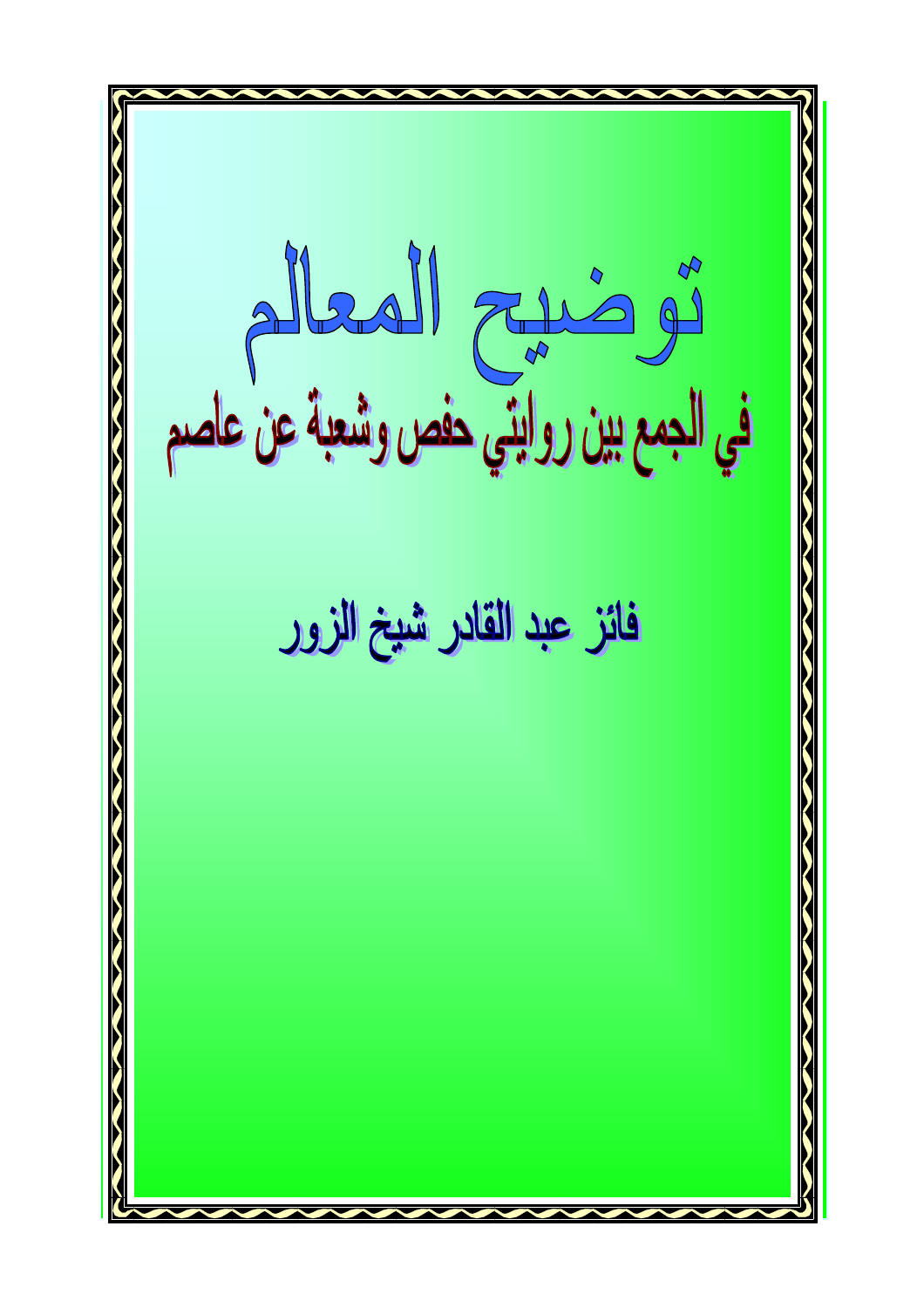أَبُّلُّ الْمَسْكُمُ الْمَسْكُمْ الْمَسْتَمْسَمْهِمْ الْمَسْتَمْسَ<br>في الجمع بين روايتي حفص وشعبة عن عاصم فائز عبد القادر شيخ الزور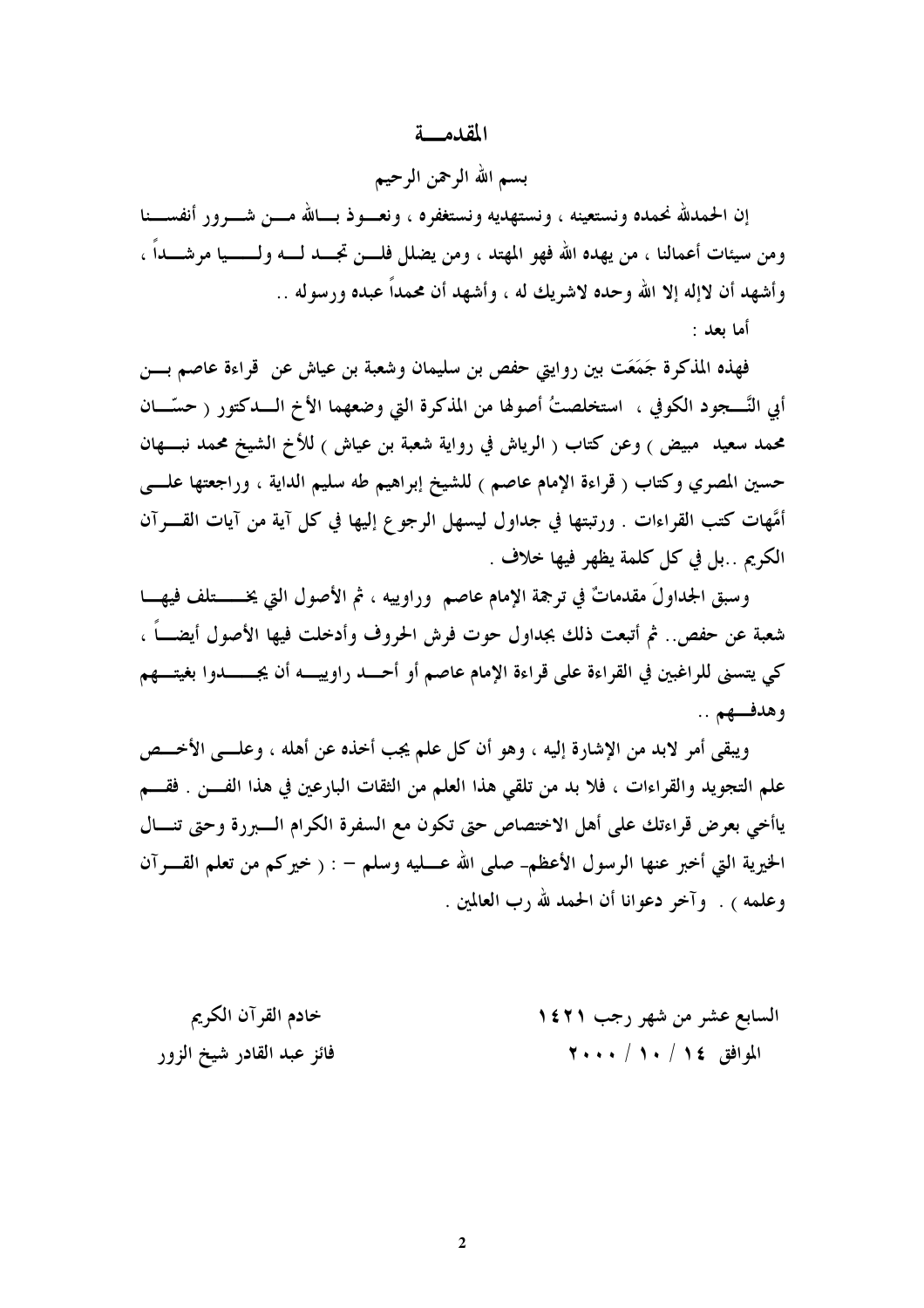#### المقدمة

بسم الله الرحمن الرحيم

إن الحمدلله نحمده ونستعينه ، ونستهديه ونستغفره ، ونعــوذ بــالله مـــن شـــرور أنفســـنا ومن سيئات أعمالنا ، من يهده الله فهو المهتد ، ومن يضلل فلـــن تجـــد لـــه ولــــــيا مرشــــداً ، وأشهد أن لاإله إلا الله وحده لاشريك له ، وأشهد أن محمداً عبده ورسوله ..

أما بعد :

فهذه المذكرة جَمَعَت بين روايتي حفص بن سليمان وشعبة بن عياش عن ۖ قراءة عاصم بـــن أبي النَّــــجود الكوفي ، استخلصتُ أصولها من المذكرة التي وضعهما الأخ الــــدكتور ( حسّــــان محمد سعيد ً مبيض ) وعن كتاب ( الرياش في رواية شعبة بن عياش ) للأخ الشيخ محمد نبـــهان حسين المصري وكتاب ( قراءة الإمام عاصم ) للشيخ إبراهيم طه سليم الداية ، وراجعتها علـــى أُمُّهات كتب القراءات . ورتبتها في جداول ليسهل الرجوع إليها في كل آية من آيات القـــرآن الكريم ..بل في كل كلمة يظهر فيها خلاف .

وسبق الجداولَ مقدماتٌ في ترجمة الإمام عاصم ۖ وراوييه ، ثم الأصول التي يخــــــتلف فيهـــا شعبة عن حفص.. ثم أتبعت ذلك بجداول حوت فرش الحروف وأدخلت فيها الأصول أيضــــاً ، كي يتسنى للراغبين في القراءة على قراءة الإمام عاصم أو أحسد راوييسه أن يجسسدوا بغيتسهم وهدفهم ..

ويبقى أمر لابد من الإشارة إليه ، وهو أن كل علم يجب أخذه عن أهله ، وعلـــى الأخـــص علم التجويد والقراءات ، فلا بد من تلقى هذا العلم من الثقات البارعين في هذا الفـــن . فقـــم ياأخي بعرض قراءتك على أهل الاختصاص حتى تكون مع السفرة الكرام السبررة وحتى تنسال الخيرية التي أخبر عنها الرسول الأعظم- صلى الله عـــليه وسلم – : ( خيركم من تعلم القــــرآن وعلمه ) . وآخر دعوانا أن الحمد لله رب العالمين .

| خادم القرآن الكريم        | السابع عشر من شهر رجب ١٤٢١ |
|---------------------------|----------------------------|
| فائز عبد القادر شيخ الزور | الموافق ١٤ / ١٠ / ٢٠٠٠     |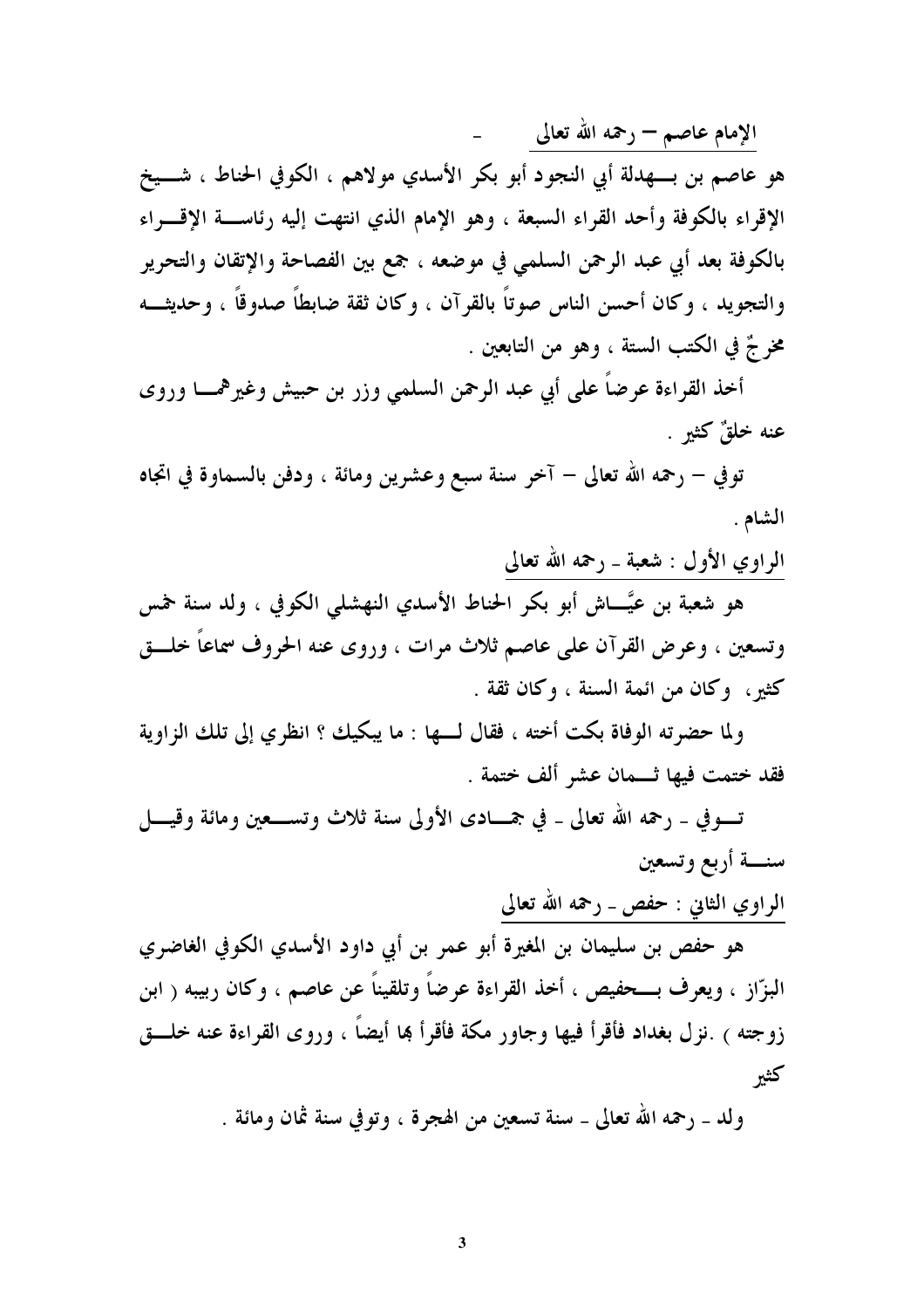الإمام عاصم — رحمه الله تعالى

هو عاصم بن بـــهدلة أبي النجود أبو بكر الأسدي مولاهم ، الكوفي الحناط ، شـــيخ الإقراء بالكوفة وأحد القراء السبعة ، وهو الإمام الذي انتهت إليه رئاســـة الإقــــراء بالكوفة بعد أبي عبد الرحمن السلمي في موضعه ، جمع بين الفصاحة والإتقان والتحرير والتجويد ، وكان أحسن الناس صوتاً بالقرآن ، وكان ثقة ضابطاً صدوقاً ، وحديثـــه مخر جٌ في الكتب الستة ، وهو من التابعين .

أخذ القراءة عرضاً على أبي عبد الرحمن السلمي وزر بن حبيش وغيرهمـــا وروى عنه خلقٌ كثيرٍ .

توفي – رحمه الله تعالى – آخر سنة سبع وعشرين ومائة ، ودفن بالسماوة في اتجاه الشام .

#### الراوي الأول : شعبة \_ رحمه الله تعالى

هو شعبة بن عيَّـــاش أبو بكر الحناط الأسدي النهشلي الكوفي ، ولد سنة حمس وتسعين ، وعرض القرآن على عاصم ثلاث مرات ، وروى عنه الحروف سماعاً خلـــق كثير، وكان من ائمة السنة ، وكان ثقة .

ولما حضرته الوفاة بكت أخته ، فقال لـــها : ما يبكيك ؟ انظري إلى تلك الزاوية فقد ختمت فيها ثـــمان عشر ألف ختمة .

تسوفي \_ رحمه الله تعالى \_ في جمـــادى الأولى سنة ثلاث وتســـعين ومائة وقيــــل سنسة أربع وتسعين

الراوي الثاني : حفص ـ رحمه الله تعالى

هو حفص بن سليمان بن المغيرة أبو عمر بن أبي داود الأسدي الكوفي الغاضري البزّاز ، ويعرف بـــحفيص ، أخذ القراءة عرضاً وتلقيناً عن عاصم ، وكان ربيبه ( ابن زوجته ) .نزل بغداد فأقرأ فيها وجاور مكة فأقرأ بما أيضاً ، وروى القراءة عنه خلـــق كثير

ولد ـ رحمه الله تعالى ـ سنة تسعين من الهجرة ، وتوفي سنة ثمان ومائة .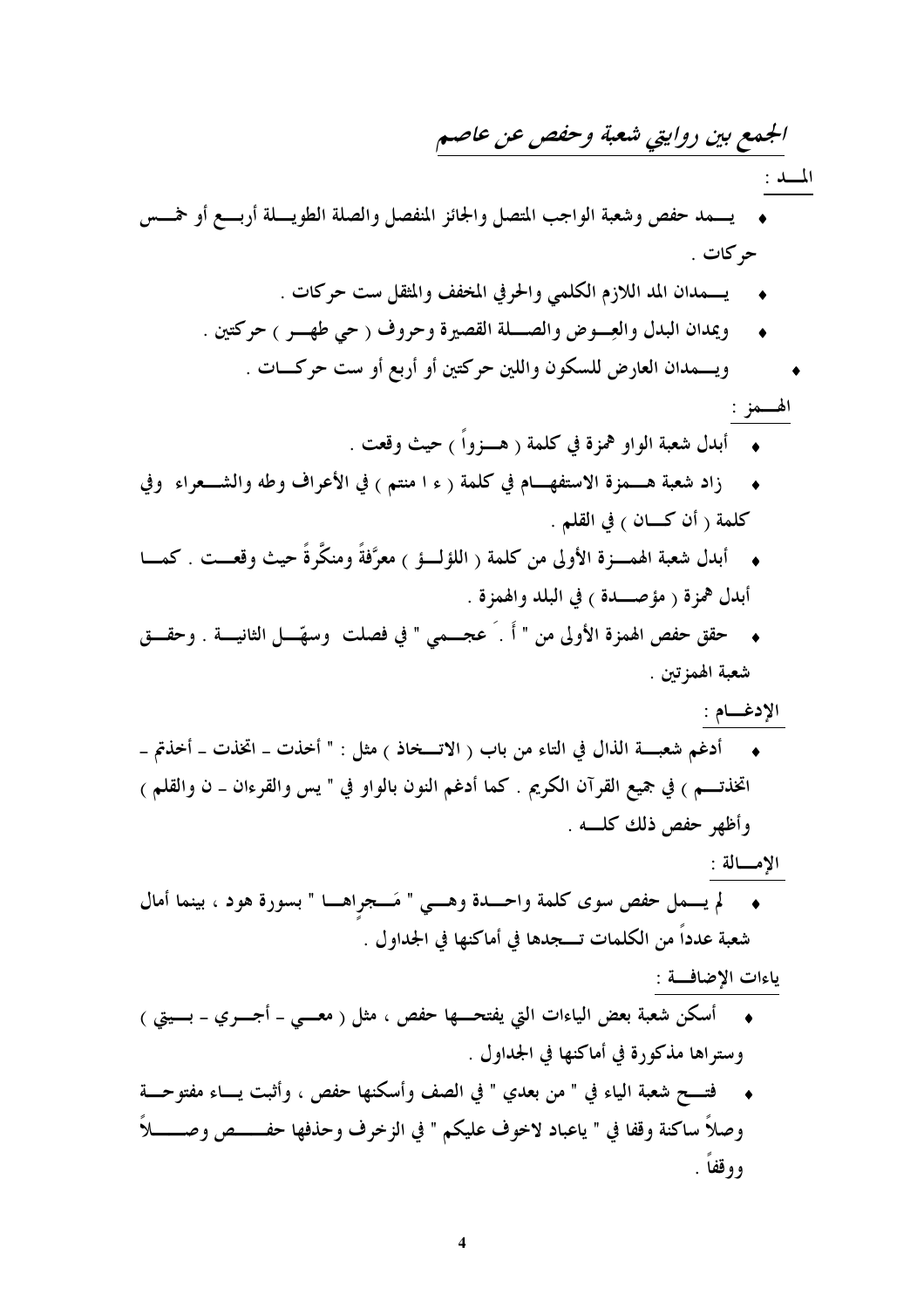# الجمع بين روايتي شعبة وحفص عن عاصم

المسلد

- يسمد حفص وشعبة الواجب المتصل والجائز المنفصل والصلة الطويسلة أربسع أو خمسس حركات .
	- يـــمدان المد اللازم الكلمي والحرفي المخفف والمثقل ست حركات .
	- ويمدان البدل والعِسوض والصبلة القصيرة وحروف ( حي طهسس ) حركتين .
		- ويسمدان العارض للسكون واللين حركتين أو أربع أو ست حركـات .

الھـــمز :

- 
- زاد شعبة هـمزة الاستفهـام في كلمة ( ء ا منتم ) في الأعراف وطه والشـعراء "وفي كلمة ( أن كـــان ) في القلم .
- أبدل شعبة الهمــــزة الأولى من كلمة ( اللؤلــــؤ ) معرَّفةً ومنكَّرةً حيث وقعـــت . كمــــا أبدل همزة ( مؤصلة) في البلد والهمزة .
- حقق حفص الهمزة الأولى من " أَ . َ عجـــمي " في فصلت ۖ وسهَّـــل الثانيــــة . وحقـــق شعبة الهمزتين .

الإدغــام :

أدغم شعبــــة الذال في التاء من باب ( الاتــــخاذ ) مثل : " أخذت \_ اتخذت \_ أخذتم \_ اتخذتـــم ) في جميع القرآن الكريم . كما أدغم النون بالواو في " يس والقرءان ــ ن والقلم ) وأظهر حفص ذلك كلسه .

الإمسالة :

• لم يـــمل حفص سوى كلمة واحـــدة وهـــي " مَـــجراهـــا " بسورة هود ، بينما أمال شعبة عدداً من الكلمات تـــجدها في أماكنها في الجداول .

ياءات الإضافة :

- أسكن شعبة بعض الياءات التي يفتحـــها حفص ، مثل ( معــــي ــ أجـــــري ــ بـــــيتي ) وستراها مذكورة في أماكنها في الجداول .
- ♦ فتــــح شعبة الياء في " من بعدي " في الصف وأسكنها حفص ، وأثبت يــــاء مفتوحـــة وصلاً ساكنة وقفا في " ياعباد لاخوف عليكم " في الزخرف وحذفها حفــــص وصــــــلاً ووقفا .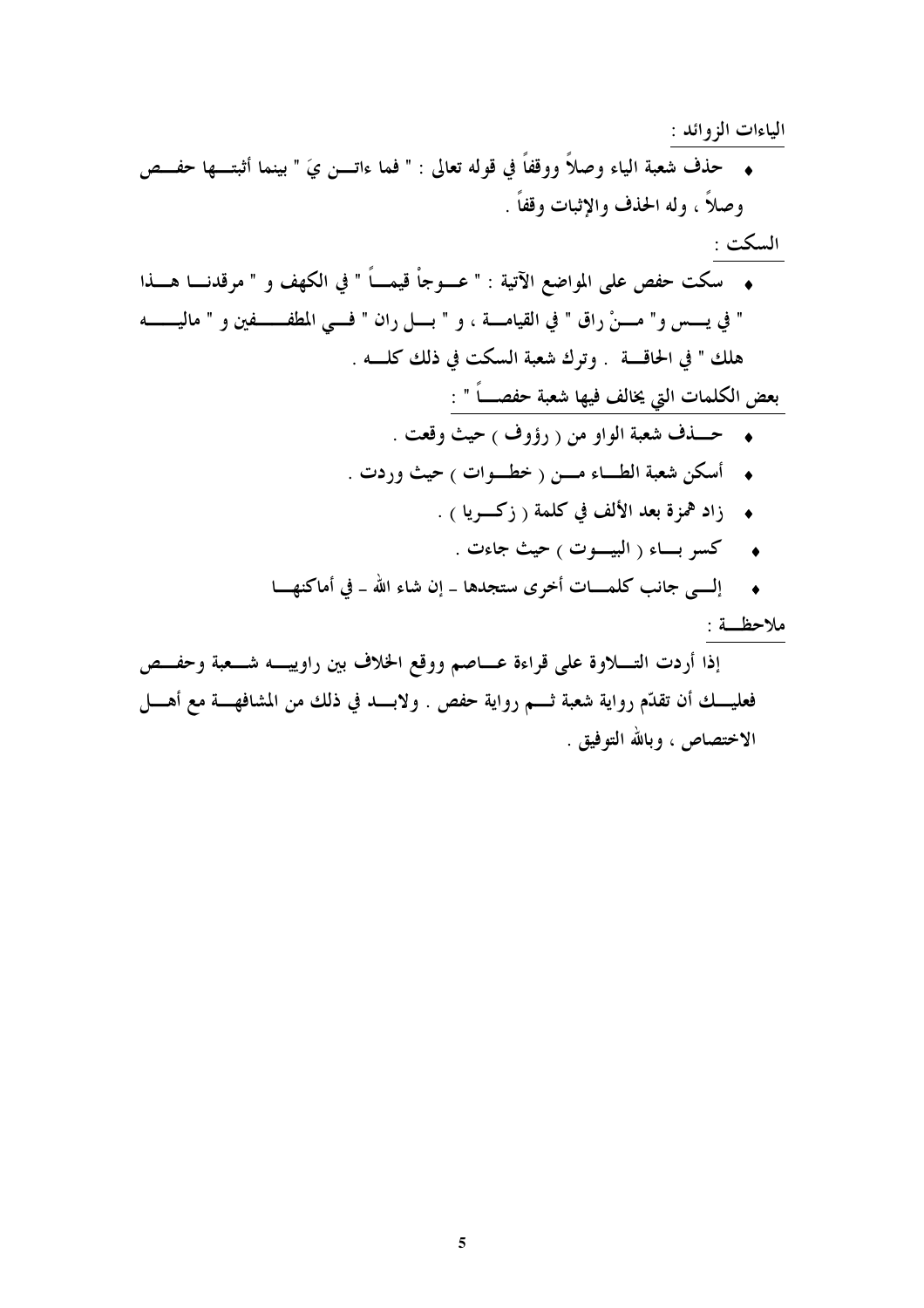# الياءات الزوائد : ◆ حذف شعبة الياء وصلاً ووقفاً في قوله تعالى : " فما ءاتــن يَ " بينما أثبتـــها حفـــص وصلاً ، وله الحذف والإثبات وقفاً .

# السكت : • سكت حفص على المواضع الآتية : " عـــوجاْ قيمـــاً " في الكهف و " مرقدنــــا هــــذا " في يــــس و" مــــنْ راق " في القيامــــة ، و " بــــل ران " فــــى المطفـــــــفين و " ماليــــــــه

هلك " في الحاقة . وترك شعبة السكت في ذلك كلمه .

بعض الكلمات التي يخالف فيها شعبة حفصـــاً " :

- حسذف شعبة الواو من ( رؤوف ) حيث وقعت .
- أسكن شعبة الطـاء مـــن ( خطــوات ) حيث وردت .
	- زاد <sup>هم</sup>زة بعد الألف في كلمة ( زكــــريا ) .
		- ◆ كسر بساء ( البيسوت <sub>)</sub> حيث جاءت .
- إلــي جانب كلمـــات أخرى ستجدها \_ إن شاء الله \_ في أماكنهـــا

ملاحظــة :

إذا أردت التـــلاوة على قراءة عـــاصم ووقع الخلاف بين راوييـــه شـــعبة وحفـــص فعليـــك أن تقدّم رواية شعبة ثــــم رواية حفص . ولابــــد في ذلك من المشافهــــة مع أهــــل الاختصاص ، وبالله التوفيق .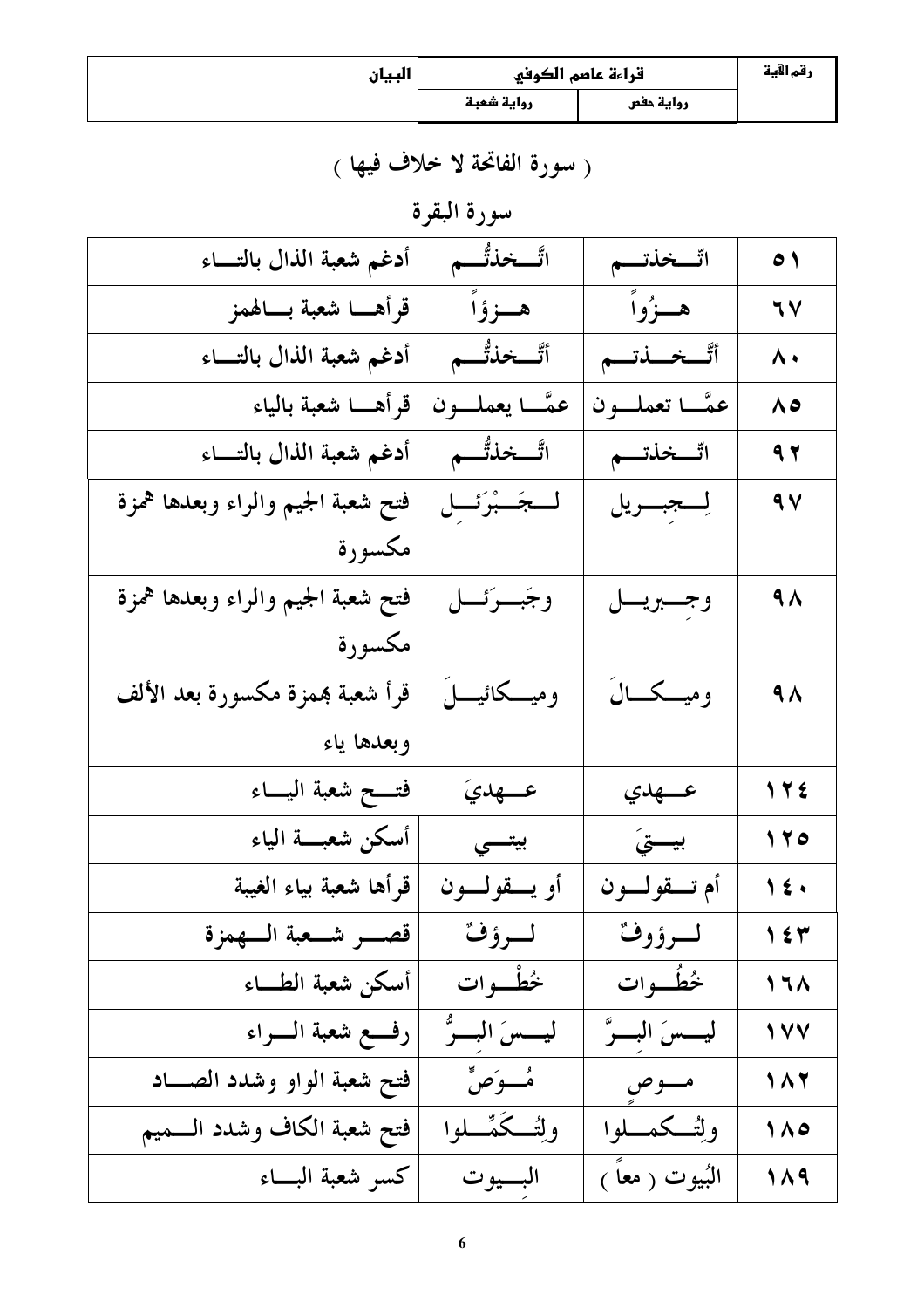| البيان | قراءة عاصم الكوفي |           | رقم الآية |
|--------|-------------------|-----------|-----------|
|        | رواية شعبة        | رواية حفص |           |

( سورة الفاتحة لا خلاف فيها )

سورة البقرة

| أدغم شعبة الذال بالتساء           | اتَّـــخذتُّـــم  | اتّـــخذتـــم               | $\bullet$           |
|-----------------------------------|-------------------|-----------------------------|---------------------|
| قرأهـــا شعبة بـــالهمز           | هــزؤاً           | هـــزُواً                   | 77                  |
| أدغم شعبة الذال بالتساء           | أتَّـــخذتُّــــم | أتَّــخـــــذتـــم          | $\lambda \cdot$     |
| قرأهــــا شعبة بالياء             | عمَّــا يعملـــون | عمَّــا تعملـــون           | ۸٥                  |
| أدغم شعبة الذال بالتساء           | اتَّـــخذتُّــــم | اتّــخذتـــم                | 9 <sub>7</sub>      |
| فتح شعبة الجيم والراء وبعدها همزة | لمجَسْبُرَئَسل    | لِــــجبـــــريل            | 9V                  |
| مكسورة                            |                   |                             |                     |
| فتح شعبة الجيم والراء وبعدها همزة | وجَبِرئِــل       | وجسبريسل                    | $\overline{A}$      |
| مكسورة                            |                   |                             |                     |
| قرأ شعبة بممزة مكسورة بعد الألف   |                   | وميـــكـــالَ               | $\overline{4A}$     |
| وبعدها ياء                        |                   |                             |                     |
| فتسح شعبة اليساء                  | عسهديَ            | ع جدي                       | 175                 |
| أسكن شعبسة الياء                  | بيتسي             | بيستيَ                      | 170                 |
| قرأها شعبة بياء الغيبة            | أو يسقولسون       | أم تـــقولـــون             | $\sqrt{\epsilon}$   |
| قصسر شمعبة السهمزة                | لسرؤف             | لسرؤوف                      | $\gamma$ { $\gamma$ |
| أسكن شعبة الطساء                  | خُطْبوات          | خُطُبوات                    | 17 <sub>A</sub>     |
| رفع شعبة السراء                   | ليـــسَ البـــرُّ | ليـــسَ البـــرَّ           | 111                 |
| فتح شعبة الواو وشدد الصــاد       | مُسوَصٍّ          | مسوص                        | 187                 |
| فتح شعبة الكاف وشدد السميم        | ولتُكَمِّـــلوا   | وإئسكمسلوا                  | $\wedge$            |
| كسو شعبة البساء                   | البسيوت           | البُيوت ( معاً <sub>)</sub> | 119                 |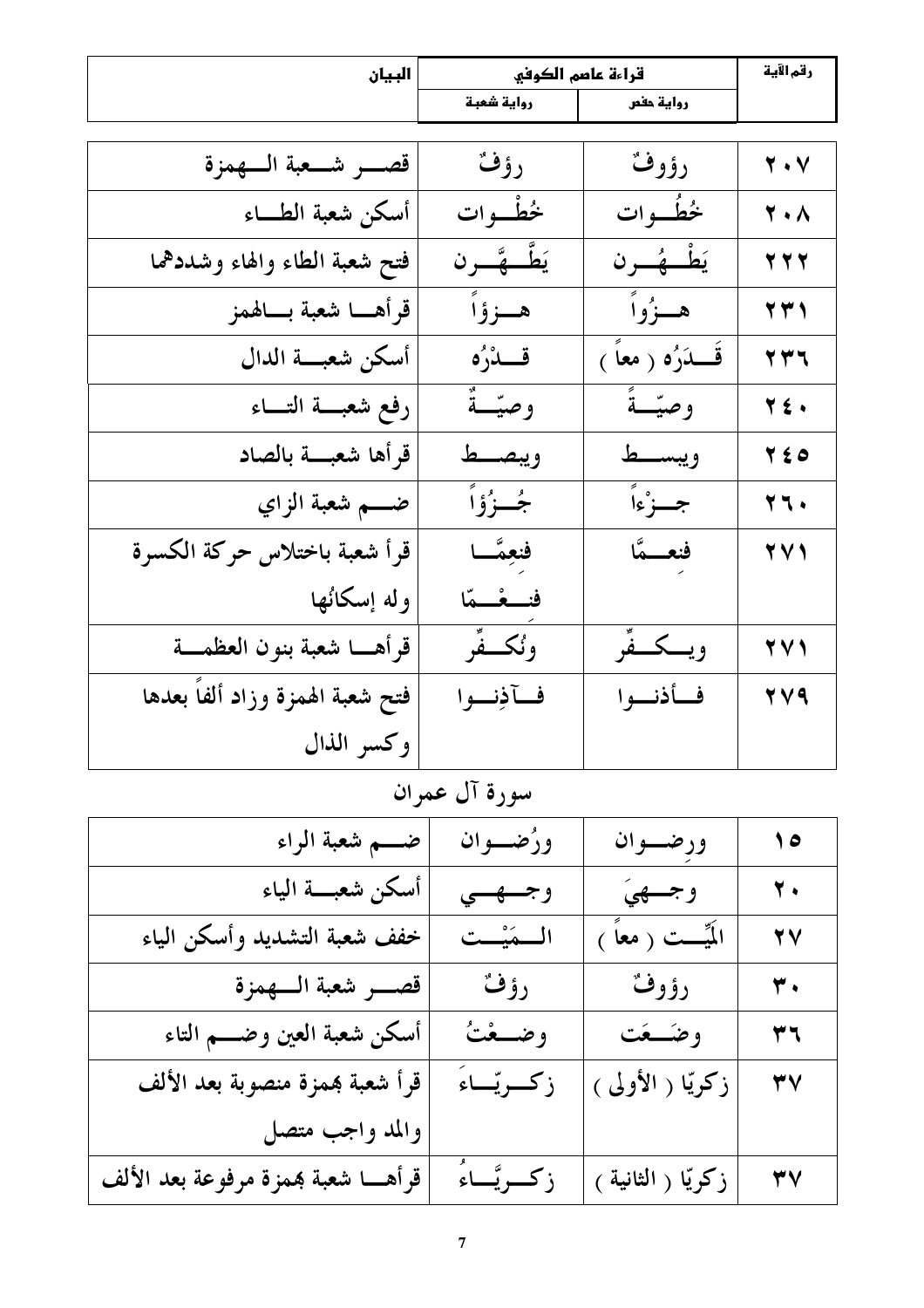| البيان                           | قراءة عاصم الكوفي  |                     | رقم الآية                     |
|----------------------------------|--------------------|---------------------|-------------------------------|
|                                  | رواية شعبة         | رواية حفص           |                               |
|                                  |                    |                     |                               |
| قصــــر شـــعبة الـــهمزة        | رؤف                | رؤوف                | $\mathbf{y} \cdot \mathbf{v}$ |
| أسكن شعبة الطـــاء               | خُطْبوات           | خُطُّــوات          | $\mathbf{Y} \cdot \mathbf{A}$ |
| فتح شعبة الطاء والهاء وشددهما    | يَطَّـــ جَّــــرن | يَطْ هُـــرن        | $\tau$ $\tau$ $\tau$          |
| قرأهــا شعبة بــالهمز            | هـــزؤاً           | هــزُواً            | $\tau$ $\tau$                 |
| أسكن شعبسة الدال                 | قسدُرُه            | قَـــدَرُه ( معاً ) | 777                           |
| رفع شعبسة التساء                 | وصيّتةٌ            | وصيّتةً             | $\forall$ ź.                  |
| قرأها شعبسة بالصاد               | ويبصط              | ويبسط               | $Y \leq 0$                    |
| ضــــم شعبة الزاي                | جُسزُوْاً          | جسزْءاً             | $\forall \forall$ .           |
| قرأ شعبة باختلاس حركة الكسرة     | فنعِمَّــا         | فنعسمًا             | $\forall$                     |
| وله إسكانُها                     | فنسغسقا            |                     |                               |
| قرأهـــا شعبة بنون العظمـــة     | ونُكَّـفِّر        | ويسكسفًر            | $\forall$                     |
| فتح شعبة الهمزة وزاد ألفاً بعدها | فسآذِنسوا          | فأذنوا              | TV9                           |
| وكسر الذال                       |                    |                     |                               |

سورة آل عمران

| ضــــم شعبة الراء                     | ورُضــوان    | ورضسوان                | $\bullet$                 |
|---------------------------------------|--------------|------------------------|---------------------------|
| أسكن شعبسة الياء                      | وجسهسي       | وجسهيَ                 | $\overline{\mathbf{Y}}$ . |
| خفف شعبة التشديد وأسكن الياء          | المستَسْت    | الَمِّيِّـــت ( معاً ) | <b>YV</b>                 |
| قصب شعبة السهمزة                      | رؤفٌ         | رؤوف                   | $\overline{\mathbf{r}}$ . |
| أسكن شعبة العين وضـــم التاء          | وضــعْتُ     | وضكعت                  | ۳٦                        |
| قرأ شعبة بممزة منصوبة بعد الألف       | زكريتاءَ     | زكريّا ( الأولى )      | $\mathbf{r} \mathbf{v}$   |
| والمد واجب متصل                       |              |                        |                           |
| قرأهــــا شعبة بممزة مرفوعة بعد الألف | زكـريَّــاءُ | زكريّا ( الثانية )     | $\forall$                 |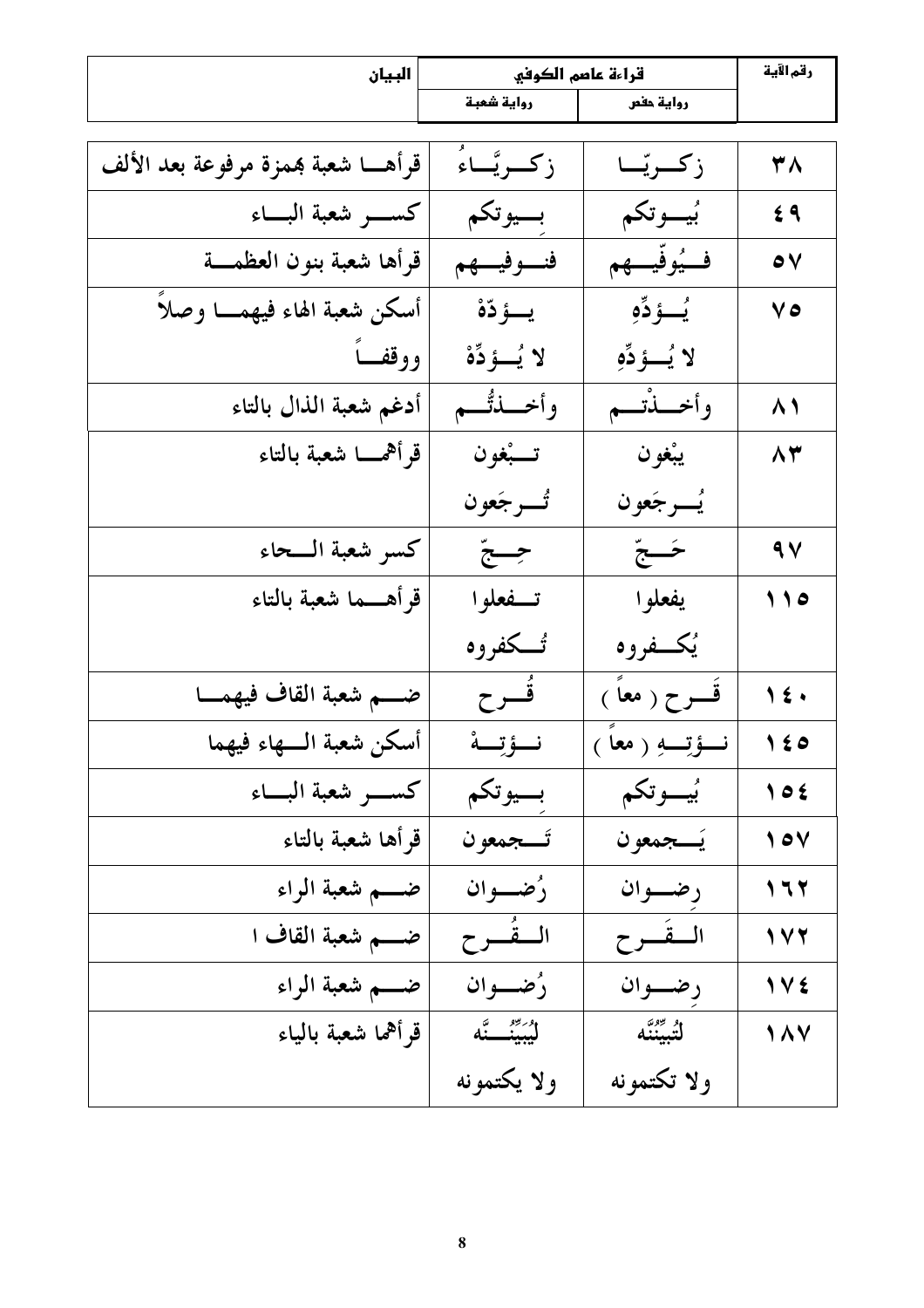| البيان                               | قراءة عاصم الكوفي   |                  | رقم الآية               |
|--------------------------------------|---------------------|------------------|-------------------------|
|                                      | رواية شعبة          | رواية حفص        |                         |
|                                      |                     |                  |                         |
| قرأهــــا شعبة همزة مرفوعة بعد الألف | زكريَّــاءُ         | زكريّـا          | ۳۸                      |
|                                      | بسيوتكم             | بُيسوتكم         | 69                      |
| قرأها شعبة بنون العظمـــة            | فنسوفيهم            | ف يُوفّي هِم     | $\bullet$               |
| أسكن شعبة الهاء فيهمـــا وصلأً       | يسؤدّة              | يُــؤدِّهِ       | 70                      |
| ووقفساً                              | لا يُسؤدِّهْ        | لا يُسؤدِّهِ     |                         |
| أدغم شعبة الذال بالتاء               | وأخـــذتُـــم       | وأخـــذْتـــم    | $\wedge$                |
| قرأهمسا شعبة بالتاء                  | تـــبْغون           | يبْغون           | 83                      |
|                                      | تُـــــــــر جَعو ن | يُسرجَعون        |                         |
| كسر شعبة الــحاء                     | جِبحٌ               | ځےجّ             | $\sim$                  |
| قرأهـــما شعبة بالتاء                | تسفعلوا             | يفعلوا           | 110                     |
|                                      | تُـــكفروه          | يُكفروه          |                         |
| ضـــم شعبة القاف فيهمــا             | فُسوح               | قَـــرح ( معاً ) | $\sqrt{\epsilon}$       |
| أسكن شعبة السهاء فيهما               | نــؤتِــة           | نسؤتِيهِ ( معاً  | $\sqrt{2}$              |
|                                      | بسيوتكم             | بُيُّــوتكم      | $\big\vee$ 0 $\big\vee$ |
| قرأها شعبة بالتاء                    | تسجمعون             | يُسجمعون         | $\sqrt{2}$              |
| ضـــم شعبة الراء                     | رُضـــوان           | رضوان            | 177                     |
| ضـــم شعبة القاف ا                   | المفُسوح            | المقسوح          | 111                     |
| ضــــم شعبة الراء                    | دُضعوان             | رضوان            | 1 V 2                   |
| قرأهما شعبة بالياء                   | ل <i>یبین</i> ے تًه | لتُبيّننَّه      | 187                     |
|                                      | ولا يكتمونه         | ولا تكتمونه      |                         |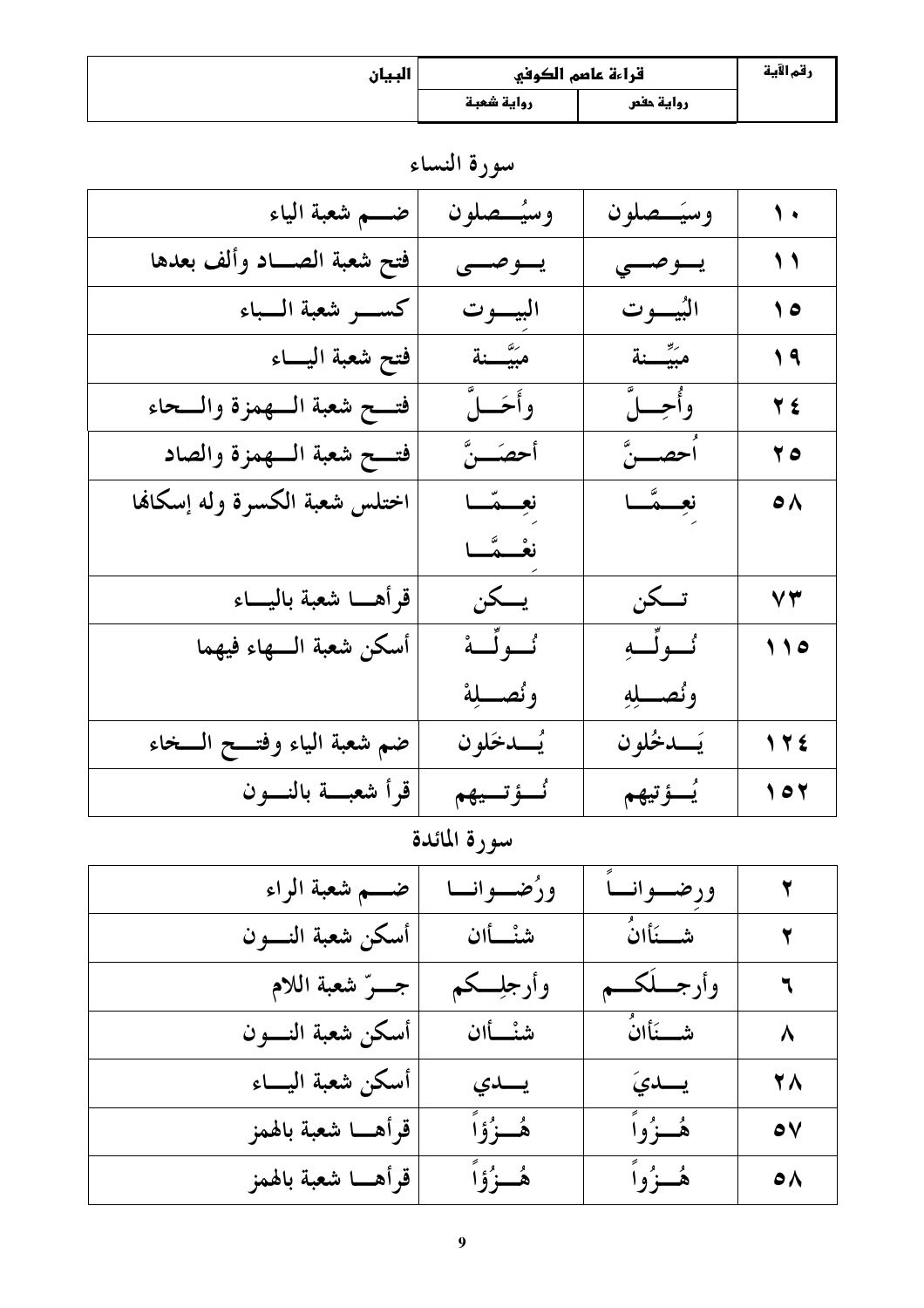| البيان | قراءة عاصم الكوفي |           | رقم الآية |
|--------|-------------------|-----------|-----------|
|        | رواية شعبة        | رواية حفص |           |

سورة النساء

| ضــــم شعبة الياء              | وسيُسصلون    | وسيَسصلون   | $\sqrt{ }$             |
|--------------------------------|--------------|-------------|------------------------|
| فتح شعبة الصــاد وألف بعدها    | يسوصسي       | يسوصسي      | $\sqrt{2}$             |
|                                | البيسوت      | البُيبوت    | $\bullet$              |
| فتح شعبة اليساء                | مبَيَّــــنة | مبَيِّـــنة | $\sqrt{9}$             |
| فتسح شعبة السهمزة والسحاء      | وأحَـــلٌ    | وأجسلّ      | <b>TE</b>              |
| فتسح شعبة السهمزة والصاد       | أحصّـــنَّ   | ٱحصــــنَّ  | 70                     |
| اختلس شعبة الكسرة وله إسكانها  | نعِسمَسا     | نعِــمَّــا | $\bullet \land$        |
|                                | نغُسمَّـا    |             |                        |
| قرأهــا شعبة باليـــاء         | يسكن         | تسكن        | $\mathsf{Y}\mathsf{Y}$ |
| أسكن شعبة السهاء فيهما         | ئولًە        | ئسولِّب     | 110                    |
|                                | ونُصطلِهْ    | ونصله       |                        |
| ضم شعبة الياء وفتـــح الـــخاء | يُـــدخَلو ن | يَــدخُلون  | 172                    |
| قرأ شعبسة بالنسون              | ئَــؤتــيهم  | يُسؤتيهم    | $\sqrt{2}$             |

سورة المائدة

| ضـــم شعبة الراء      | ورُضــوانــا | ورضوانساً  |                      |
|-----------------------|--------------|------------|----------------------|
| أسكن شعبة النسون      | شنْسأان      | شـــنَأانُ | $\blacktriangledown$ |
| جهرٌ شعبة اللام       | وأرجلِــكم   | وأرجسككم   | $\mathbf{r}$         |
| أسكن شعبة النسون      | شنْسأان      | شـــنَأانُ | $\lambda$            |
| أسكن شعبة اليساء      | يسدي         | يسديَ      | <b>YA</b>            |
| قرأهـــا شعبة بالهمز  | هُــزُوۡاً   | هُــزُواً  | $\bullet$            |
| قرأهــــا شعبة بالهمز | ۿؙڂۯؙۅۧٱ     | هُــزُواً  | $\bullet\land$       |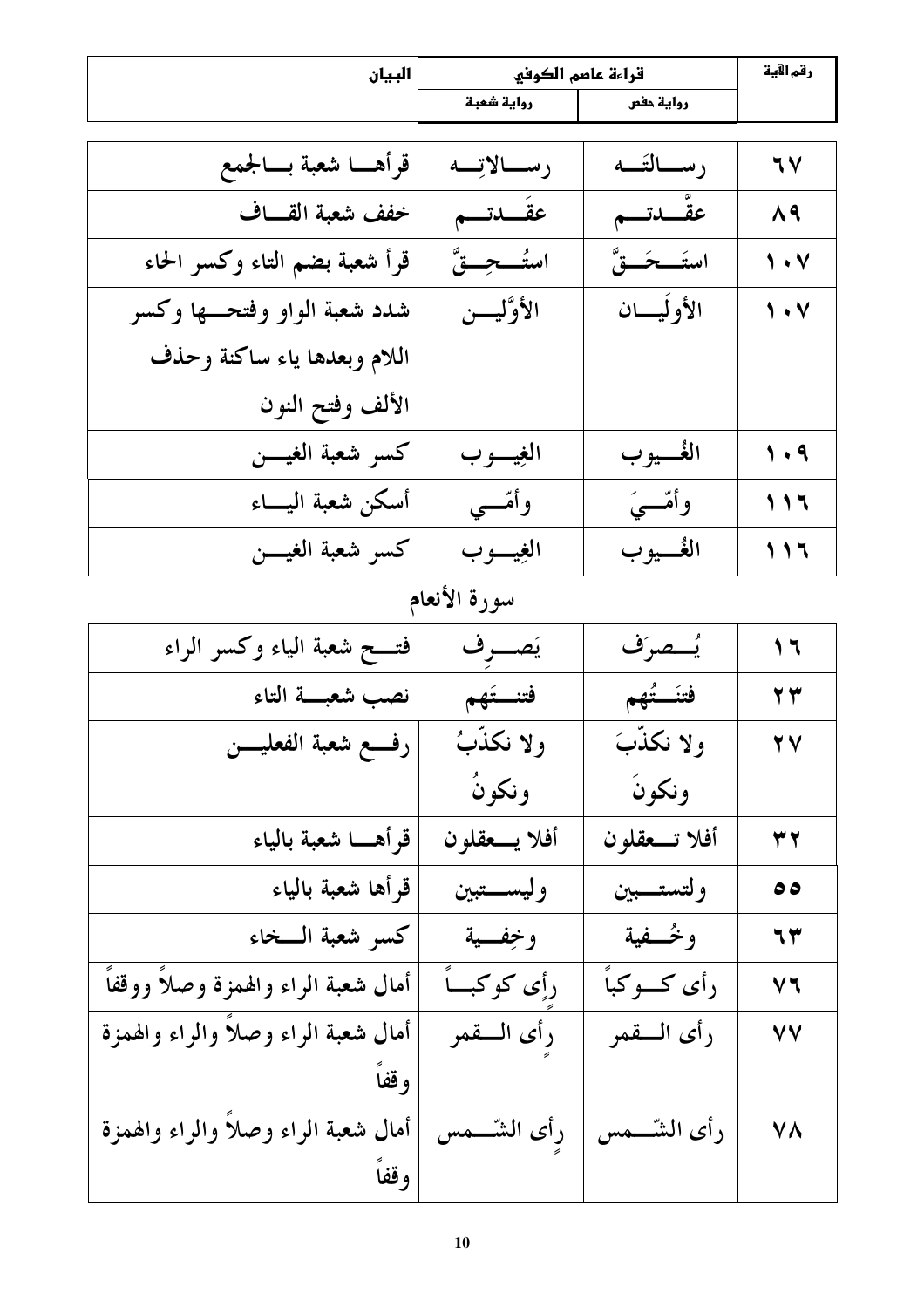| البيان                              | قراءة عاصم الكوفي |                 | رقم الآية                                                                |
|-------------------------------------|-------------------|-----------------|--------------------------------------------------------------------------|
|                                     | رواية شعبة        | رواية حفص       |                                                                          |
| قرأهـــا شعبة بـــالجمع             | رسالاتِه          | رســالتَــه     | 77                                                                       |
| خفف شعبة القساف                     | عقَـــدتـــم      | عقّــدتـــم     | $\Lambda$ ٩                                                              |
| قرأ شعبة بضم التاء وكسر الحاء       | استُـــحِـــقَّ   | استَـــحَـــقَّ | $\sqrt{2}$                                                               |
| شدد شعبة الواو وفتحـــها وكسر       | الأوَّليسن        | الأوليسان       | $\sqrt{4}$                                                               |
| اللام وبعدها ياء ساكنة وحذف         |                   |                 |                                                                          |
| الألف وفتح النون                    |                   |                 |                                                                          |
| كسر شعبة الغيسن                     | الغيسوب           | الغُـــيو ب     | $\sqrt{4}$                                                               |
| أسكن شعبة اليساء                    | وأمّـــي          | وأمّـــيَ       | $\begin{array}{c} \n \searrow \\ \n \searrow \n \searrow \n \end{array}$ |
| كسر شعبة الغيسن                     | الغيسوب           | الغَـــيو ب     |                                                                          |
|                                     | سورة الأنعام      |                 |                                                                          |
| فتـــح شعبة الياء وكسر الراء        | يَصـــرف          | يُستصرَف        | $\sqrt{7}$                                                               |
| نصب شعبسة التاء                     | فتنستكهم          | فتتَستُهم       | 77                                                                       |
| رفـــع شعبة الفعليــــن             | ولا نكذّبُ        | ولا نكذَّبَ     | YV                                                                       |
|                                     | ونكونُ            | ونكونَ          |                                                                          |
| قرأهـــا شعبة بالياء                | أفلا يـــعقلون    | أفلا تـــعقلون  | 37                                                                       |
| قرأها شعبة بالياء                   | وليستبين          | ولتستسبين       | ه ه                                                                      |
| كسر شعبة السخاء                     | وخِفسية           | وخُــفية        | ٦٣                                                                       |
| أمال شعبة الراء والهمزة وصلأ ووقفاً | رأِي كوكباً       | رأى كسوكباً     | ٧٦                                                                       |
| أمال شعبة الراء وصلأ والراء والهمزة | رأى السقمر        | رأى السقمر      | ٧V                                                                       |
| وقفاً                               |                   |                 |                                                                          |
| أمال شعبة الراء وصلا والراء والهمزة | رأى الشّــــمس    | رأى الشّـــمس   | ۷٨                                                                       |
| وقفاً                               |                   |                 |                                                                          |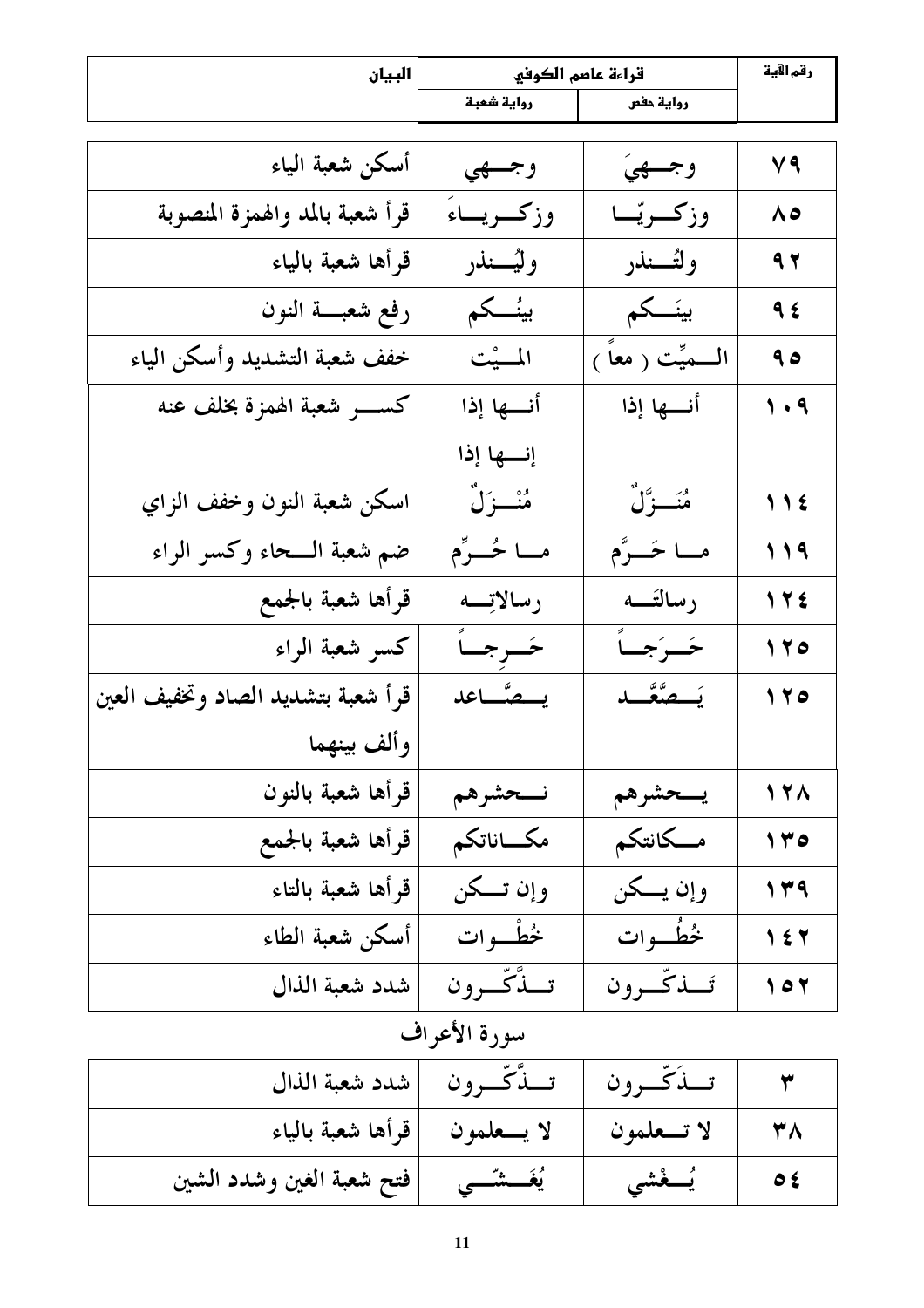| البيان                             | قراءة عاصم الكوفي |                      | رقم الآية       |
|------------------------------------|-------------------|----------------------|-----------------|
|                                    | رواية شعبة        | رواية حفص            |                 |
| أسكن شعبة الياء                    | وجسهي             | وجسهيَ               | V9              |
| قرأ شعبة بالمد والهمزة المنصوبة    | وزكسريساء         | وزكريّـا             | ۸٥              |
| قرأها شعبة بالياء                  | وليُــــنذر       | ولتُـــنذر           | 97              |
| رفع شعبة النون                     | بينُـــكم         | بينَـــكم            | 95              |
| خفف شعبة التشديد وأسكن الياء       | المسيْت           | الــــمیِّت ( معاً ) | 90              |
| كســــــــــر شعبة الهمزة بخلف عنه | أنسها إذا         | أنسها إذا            | $\eta$ . $q$    |
|                                    | إنسها إذا         |                      |                 |
| اسكن شعبة النون وخفف الزاي         | مُنْـــزَلَّ      | مُنَـــزَّلٌ         | $\bigcup$       |
| ضم شعبة الــحاء وكسر الراء         | مــا خُــرِّم     | مــا حَــرَّم        | 119             |
| قرأها شعبة بالجمع                  | رسالاتِم          | رسالتَــه            | 172             |
| كسر شعبة الراء                     | خَـرجــأ          | خَرَجْنَ             | 170             |
| قرأ شعبة بتشديد الصاد وتخفيف العين | يستصاعد           | يَـــصَّعَّـــد      | $\sqrt{7}$      |
| وألف بينهما                        |                   |                      |                 |
| قرأها شعبة بالنون                  | نسحشرهم           | يسحشرهم              | 17 <sub>A</sub> |
| قرأها شعبة بالجمع                  | مكساناتكم         | مسكانتكم             | 140             |
| قرأها شعبة بالتاء                  | وإن تــكن         | وإن يــكن            | 149             |
| أسكن شعبة الطاء                    | خُطْبُوات         | خُطُّبوات            | 157             |
| شدد شعبة الذال                     | تسڌّكّسرون        | تسذكّرون             | $\sqrt{2}$      |

# سورة الأعراف

|                                     | تسنَّكَّسرون  شدد شعبة الذال | تسذكيرون     |  |
|-------------------------------------|------------------------------|--------------|--|
| لا يـــعلمون      قرأها شعبة بالياء |                              | لا تـــعلمون |  |
| فتح شعبة الغين وشدد الشين           | يُغَـــشَــى                 | يُـــغْشَى   |  |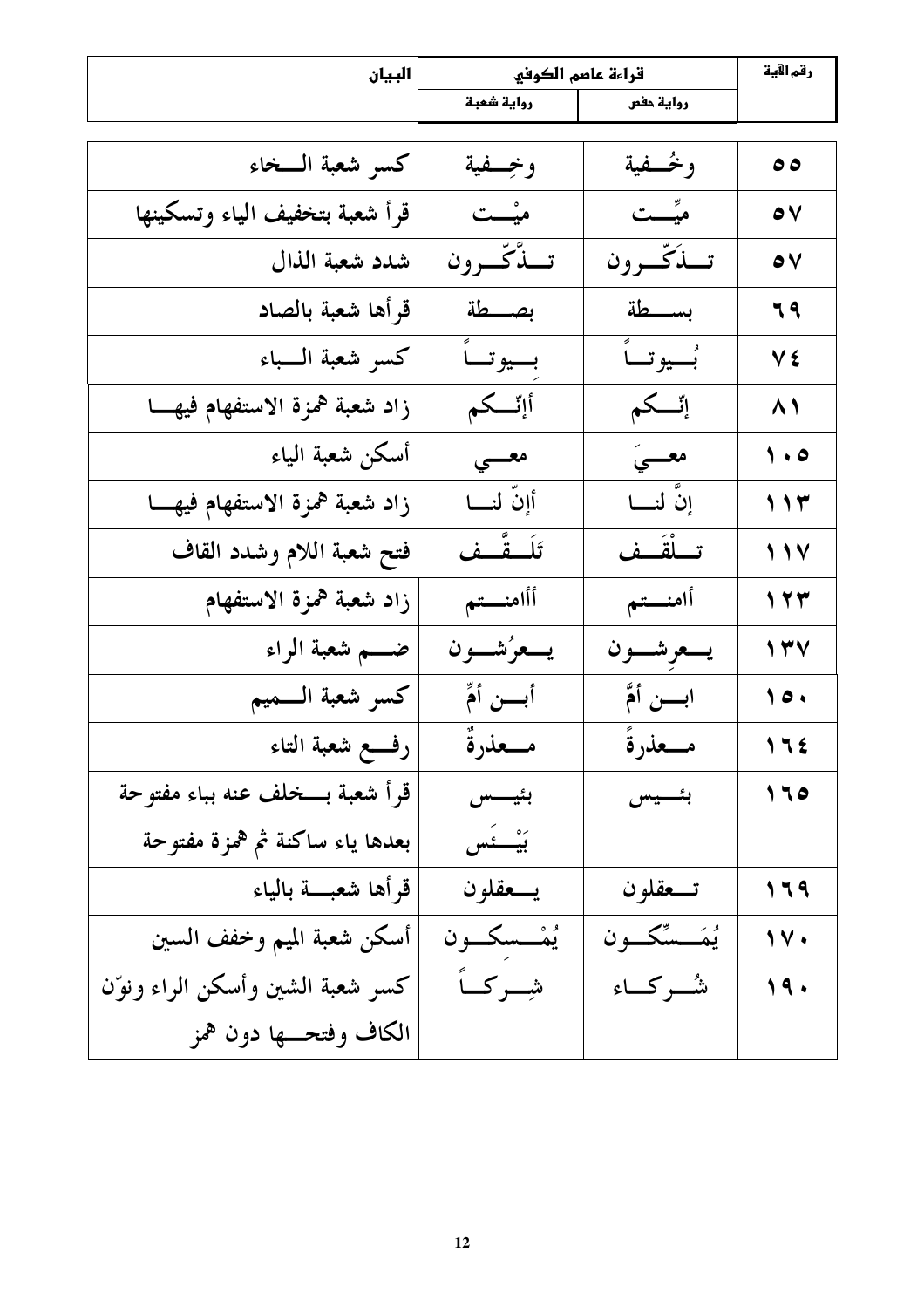| البيان                           | قراءة عاصم الكوفي |                  | رقم الآية         |
|----------------------------------|-------------------|------------------|-------------------|
|                                  | رواية شعبة        | رواية حفص        |                   |
|                                  |                   |                  |                   |
| كسر شعبة السخاء                  | وخسفية            | وخُـفية          | $\bullet \bullet$ |
| قرأ شعبة بتخفيف الياء وتسكينها   | میْــت            | میٌّــت          | $\bullet$         |
| شدد شعبة الذال                   | تبدَّكَّبرون      | تبذكّرون         | $\bullet$         |
| قرأها شعبة بالصاد                | بصطة              | بسطة             | 79                |
| كسو شعبة السباء                  | بسيوتساً          | بُصيو تساً       | Vź                |
| زاد شعبة همزة الاستفهام فيهــا   | أإتسكم            | إِنَّــكم        | $\lambda$         |
| أسكن شعبة الياء                  | معسى              | معسىَ            | $\sqrt{2}$        |
| زاد شعبة همزة الاستفهام فيهسا    | أإنّ لنـــا       | إِنَّ لنـــا     | 117               |
| فتح شعبة اللام وشدد القاف        | تَلَــقَّــف      | تـــلْقَــف      | $\sqrt{11}$       |
| زاد شعبة همزة الاستفهام          | أأامنستم          | أامنستم          | 177               |
| ضــــم شعبة الراء                | يسعرُشسون         | يسعوشسون         | $\sqrt{7}$        |
| كسر شعبة السميم                  | أبسن أمٍّ         | ابسن أمَّ        | $\sqrt{2}$        |
| رفع شعبة التاء                   | مـــعذرةٌ         | مـــعذرةً        | 175               |
| قرأ شعبة بــخلف عنه بباء مفتوحة  | بئيسس             | بئــــيس         | 170               |
| بعدها ياء ساكنة ثم همزة مفتوحة   | بَيْـــئَس        |                  |                   |
| قرأها شعبسة بالياء               | يسعقلون           | تسعقلون          | 179               |
| أسكن شعبة الميم وخفف السين       | يُمْـــسكــــون   | يُمَـــسِّكـــون | 1V.               |
| كسر شعبة الشين وأسكن الراء ونوّن | شوكاً             | شُّــر كــاء     | 19.               |
| الكاف وفتحـــها دون همز          |                   |                  |                   |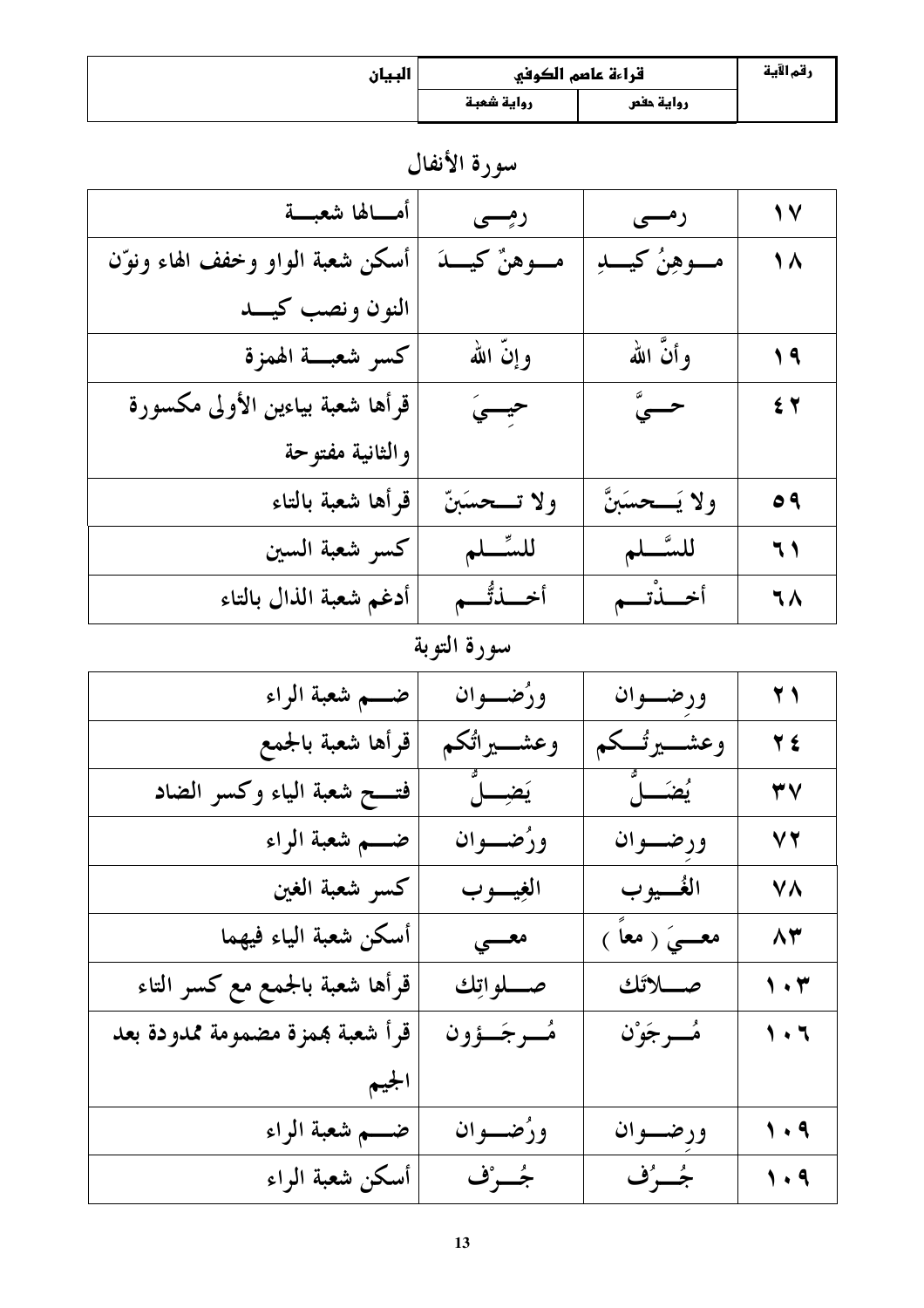| البيان | قراءة عاصم الكوفي |           | رقم الآية |
|--------|-------------------|-----------|-----------|
|        | رواية شعبة        | رواية حفص |           |

سورة الأنفال

| أمــالها شعبـــة                 | رمسی             | رمسی              | 17            |
|----------------------------------|------------------|-------------------|---------------|
| أسكن شعبة الواو وخفف الهاء ونوّن | مـــوهنٌ كيـــدَ | مـــوهِنُ کيـــدِ | 1 \           |
| النون ونصب كيسد                  |                  |                   |               |
| كسر شعبسة الهمزة                 | وإنَّ الله       | وأنَّ الله        | $\sqrt{9}$    |
| قرأها شعبة بياءين الأولى مكسورة  | حيسيَ            | حـــہٌ            | 54            |
| والثانية مفتوحة                  |                  |                   |               |
| قرأها شعبة بالتاء                | ولا تـــحسَبنّ   | ولا يَـــحسَبنَّ  | $\circ$ 9     |
| كسر شعبة السين                   | للسِّسلم         | للسَّــلم         | $\mathcal{L}$ |
| أدغم شعبة الذال بالتاء           | أخــــذتُــــم   | أخسذتهم           | ٦٨            |

# سورة التوبة

| ضــــم شعبة الراء                | ورُضــوان     | ورضسوان             | $\bf{Y}$                      |
|----------------------------------|---------------|---------------------|-------------------------------|
| قرأها شعبة بالجمع                | وعشــــيراثكم | وعشـــــيرتــــكم   | 7 2                           |
| فتسح شعبة الياء وكسر الضاد       | يَضِـــــلَّ  | <b>يُضـَــــلُّ</b> | ٣V                            |
| ضــــم شعبة الراء                | ورُضـــوان    | ورضسوان             | $\vee$ $\vee$                 |
| كسر شعبة الغين                   | الغيسوب       | الغُسيوب            | <b>VA</b>                     |
| أسكن شعبة الياء فيهما            | معسى          | معـــــیَ ( معاً )  | $\wedge \forall$              |
| قرأها شعبة بالجمع مع كسر التاء   | صــــلواتِك   |                     | $\mathbf{y} \cdot \mathbf{r}$ |
| قرأ شعبة بممزة مضمومة ممدودة بعد | مُسرجَسؤون    | مُسرِجَوْن          | $\sqrt{1}$                    |
| الجيم                            |               |                     |                               |
| ضــــم شعبة الراء                | ورُضــوان     | ورضسوان             | $\sqrt{4}$                    |
| أسكن شعبة الراء                  | جُــرْف       | جُـــرُّف           | $\sqrt{4}$                    |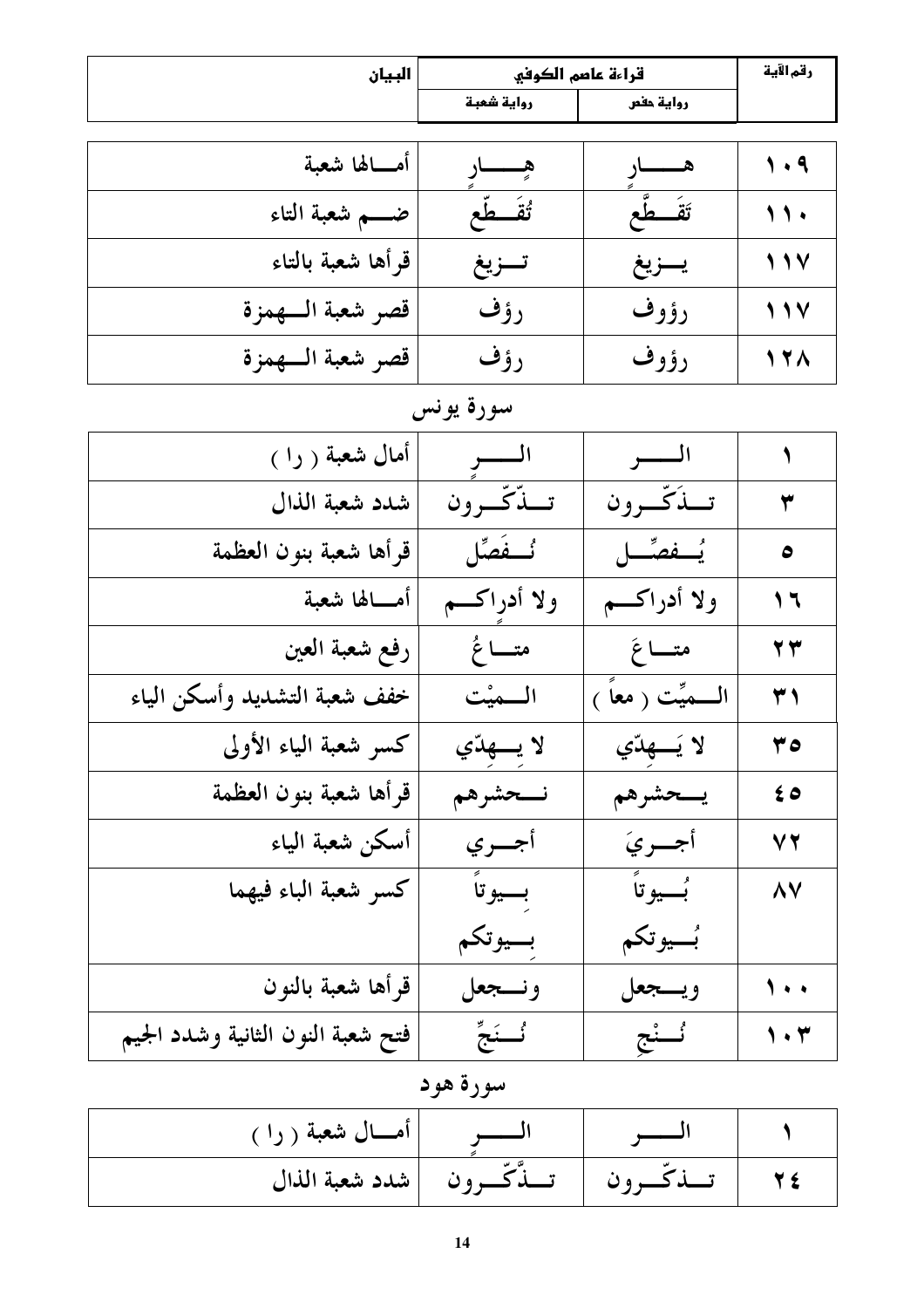| البيان                            | قراءة عاصم الكوفي    |                   | رقم الآية       |
|-----------------------------------|----------------------|-------------------|-----------------|
|                                   | رواية شعبة           | رواية حفص         |                 |
|                                   |                      |                   |                 |
| أمـــالها شعبة                    | هــــــــار          | هــــــــار       | 1.9             |
| ضــــم شعبة التاء                 | تُقَطَّع             | تقَصطُّع          | $\mathbf{11}$   |
| قرأها شعبة بالتاء                 | تسزيغ                | يسزيغ             | 117             |
| قصر شعبة السهمزة                  | رؤف                  | رؤوف              | 117             |
| قصر شعبة السهمزة                  | رؤف                  | رؤوف              | 17 <sub>A</sub> |
|                                   | سورة يونس            |                   |                 |
| أمال شعبة ( را )                  | الـــــــو           | السسو             |                 |
| شدد شعبة الذال                    | تبدّتّب ون           | تبذُكّ ون         | ٣               |
| قرأها شعبة بنون العظمة            | نُّـــفَصِّل         | يُسفصِّــل        | ٥               |
| أمـــالها شعبة                    | ولا أدراكسم          | ولا أدراكسم       | ۲ ۱             |
| رفع شعبة العين                    | متــــاغُ            | متساغَ            | 77              |
| خفف شعبة التشديد وأسكن الياء      | المصيْت              | السميِّت ( معاً ) | $\overline{r}$  |
| كسر شعبة الياء الأولى             | لا يـــهڌي           | لا يَـــهدّي      | 0 ۲             |
| قرأها شعبة بنون العظمة            | نسحشرهم              | يسحشرهم           | $\epsilon$ 0    |
| أسكن شعبة الياء                   | أجري                 | أجريَ             | V T             |
| كسر شعبة الباء فيهما              | بسيوتأ               | بُـــيوتاً        | ۸V              |
|                                   | بسيوتكم              | بُسيوتكم          |                 |
| قرأها شعبة بالنون                 | ونسجعل               | ويسجعل            | ۰۰ (            |
| فتح شعبة النون الثانية وشدد الجيم | ۇ <sub>سىنى</sub> تخ | ئَــنْج           | $\eta$ .        |

سورة هود

| أمسال شعبة ( را ) |                           |  |
|-------------------|---------------------------|--|
|                   | ــــــــــدکــــــــرون ا |  |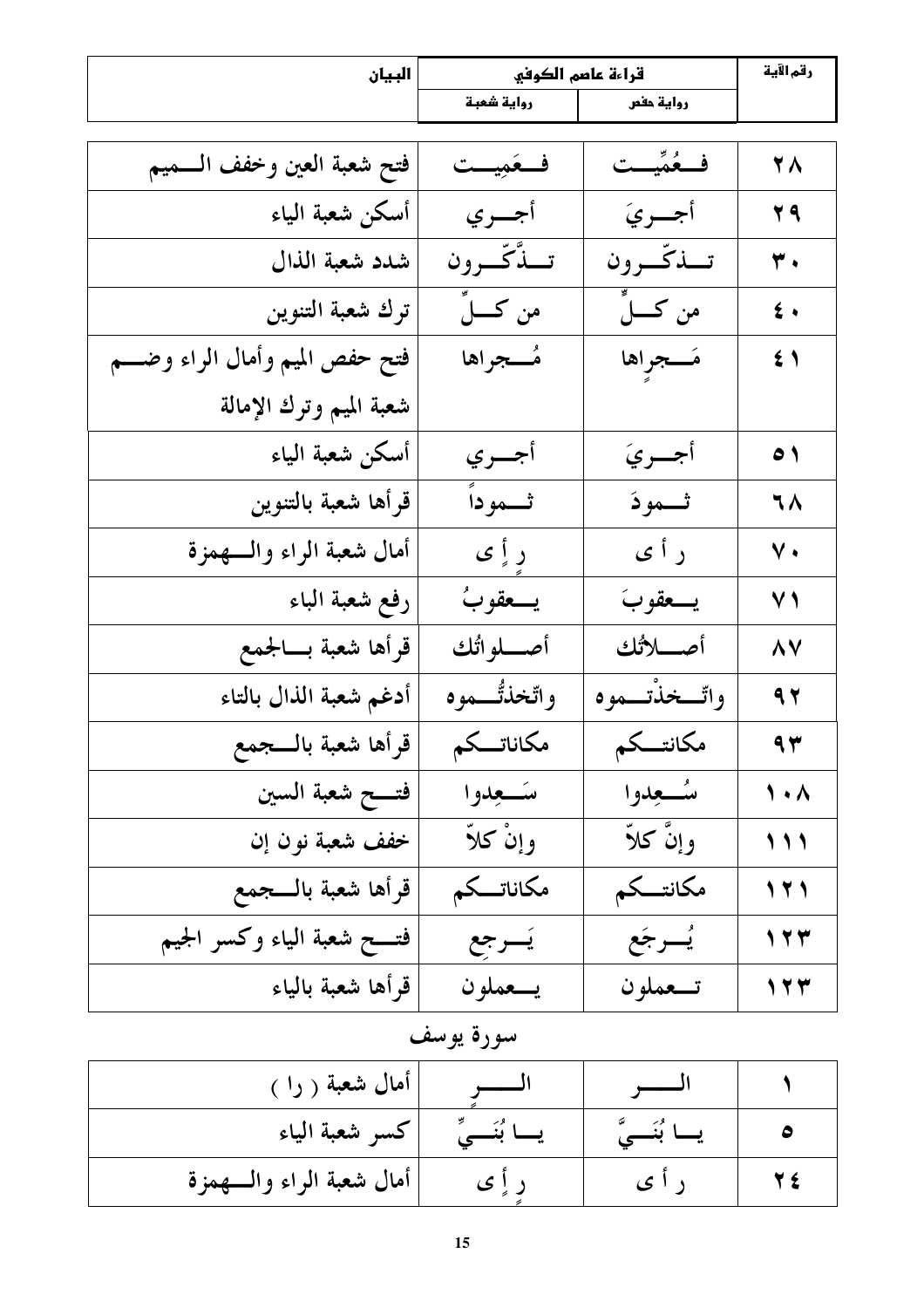| البيان                           | قراءة عاصم الكوفي |                 | رقم الآية    |
|----------------------------------|-------------------|-----------------|--------------|
|                                  | رواية شعبة        | رواية حفص       |              |
| فتح شعبة العين وخفف السميم       | فعَمِيحت          | فَـعُمِّيــت    | <b>YA</b>    |
| أسكن شعبة الياء                  | أجسري             | أجسريَ          | <b>T9</b>    |
| شدد شعبة الذال                   | تسدَّكَّــرون     | تسذكّرون        | ۳.           |
| ترك شعبة التنوين                 | من كـــــــلِّ    | من كــــــــلِّ | $\epsilon$ . |
| فتح حفص الميم وأمال الراء وضـــم | مُــجراها         | مَــجراها       | $\leq$ 1     |
| شعبة الميم وترك الإمالة          |                   |                 |              |
| أسكن شعبة الياء                  | أجسري             | أجسريَ          | $\bullet$    |
| قرأها شعبة بالتنوين              | ثهوداً            | ثموذ            | ٦٨           |
| أمال شعبة الراء والسهمزة         | ر أٍ ي            | ر أ ي           | $\vee$ .     |
| رفع شعبة الباء                   | يسعقوبُ           | يسعقوبَ         | $\vee$ )     |
| قرأها شعبة بسالجمع               | أصــــلوائك       | أصللأتك         | <b>AV</b>    |
| أدغم شعبة الذال بالتاء           | واتخذتُـــموه     | واٿسخذُتسموه    | $\sim$       |
| قرأها شعبة بالسجمع               | مكاناتـــك        | مكانتسكم        | $\Uparrow$   |
| فتسح شعبة السين                  | سكعدوا            | بئسعدوا         | $\lambda$    |
| خفف شعبة نون إن                  | وإنْ كلاَّ        | وإنَّ كلاًّ     | 111          |
| قرأها شعبة بالسجمع               | مكاناتــكم        | مكانتسكم        | 121          |
| فتــــح شعبة الياء وكسر الجيم    | يَسرجع            | يُسرجَع         | 177          |
| قرأها شعبة بالياء                | يـــعملون         | تــعملون        | 177          |

| <sub>ا</sub> أمال شعبة ( را <sub>)</sub> |  |  |
|------------------------------------------|--|--|
| كسر شعبة الياء                           |  |  |
| أمال شعبة الراء والسهمزة                 |  |  |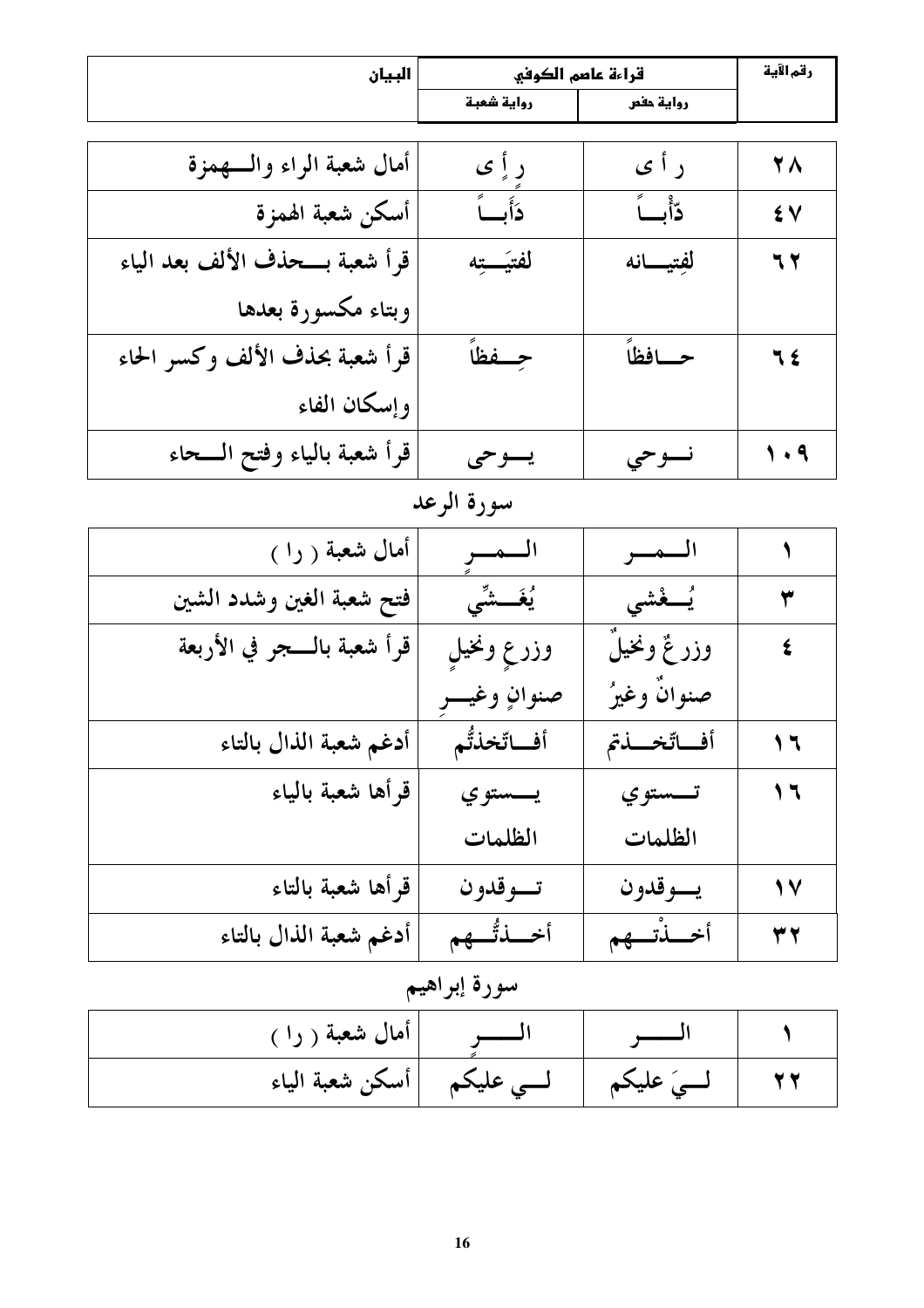| البيان                           |                | قراءة عاصم الكوفي |                      |
|----------------------------------|----------------|-------------------|----------------------|
|                                  | رواية شعبة     | رواية حفص         |                      |
|                                  |                |                   |                      |
| أمال شعبة الراء والسهمزة         | ر أٍ ي         | ر أ ي             | <b>YA</b>            |
| أسكن شعبة الهمزة                 | دَأَبِّ        | دّأبّ             | ٤V                   |
| قرأ شعبة بـــحذف الألف بعد الياء | لفتيَـــتِه    | لفِتيسانه         | 77                   |
| وبتاء مكسورة بعدها               |                |                   |                      |
| قرأ شعبة بحذف الألف وكسر الحاء   | حسفظاً         | حسافظاً           | 7£                   |
| وإسكان الفاء                     |                |                   |                      |
| قرأ شعبة بالياء وفتح الـــحاء    | يسوحى          | نسوحي             | $\sqrt{3}$           |
|                                  | سورة الرعد     |                   |                      |
| أمال شعبة ( را )                 | السمسر         | السمسر            |                      |
| فتح شعبة الغين وشدد الشين        | يُغَـــشِّي    | يُسفُشى           | $\blacktriangledown$ |
| قرأ شعبة بالــــجر في الأربعة    | وزرع ونخيل     | وزر ئحٌ ونخيلَ    | ٤                    |
|                                  | صنوانٍ وغيـــر | صنوانٌ وغيرُ      |                      |
| أدغم شعبة الذال بالتاء           | أفاتخذتُم      | أفاتخلنتم         | ۲ ۱                  |
| قرأها شعبة بالياء                | يــــستوي      | تــــستوي         | ۲ (                  |
|                                  | الظلمات        | الظلمات           |                      |
| قرأها شعبة بالتاء                | تسوقدون        | يسوقدون           | 1 Y                  |
| أدغم شعبة الذال بالتاء           | أخسذتُّكم      | أخسذتهم           | 37                   |
|                                  |                |                   |                      |

#### سوره إبراهيم

| أمال شعبة ( را ) |                              |           |  |
|------------------|------------------------------|-----------|--|
|                  | لـــى عليكم  أسكن شعبة الياء | ے علیکم ا |  |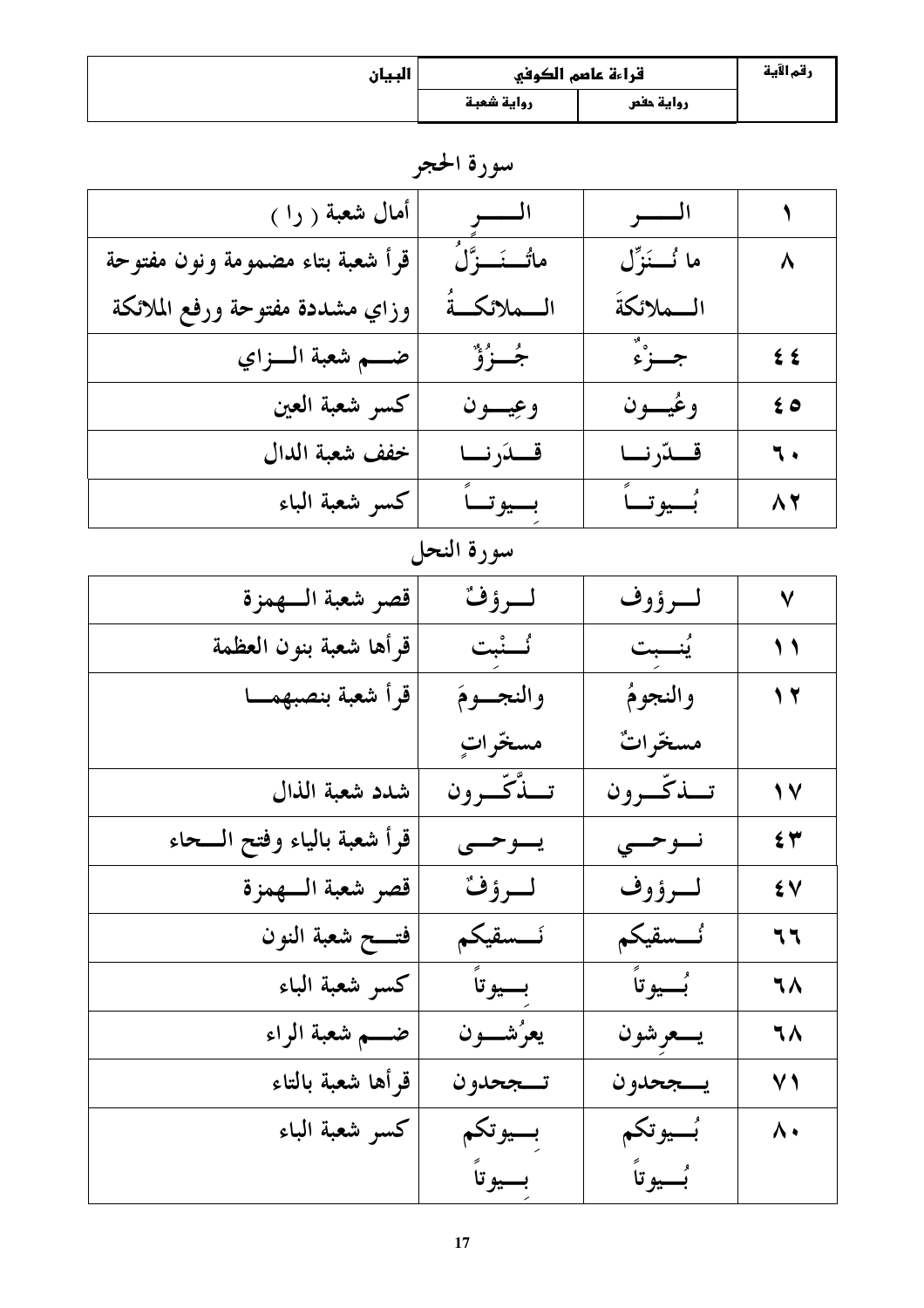| البيان | قراءة عاصم الكوفي |           | رقم الآية |
|--------|-------------------|-----------|-----------|
|        | رواية شعبة        | رواية حفص |           |

| أمال شعبة ( را )                 | السسو            | السسو          | ١            |
|----------------------------------|------------------|----------------|--------------|
| قرأ شعبة بتاء مضمومة ونون مفتوحة | ماتُــنَـــزَّلُ | ما نُـــنَزِّل | ٨            |
| وزاي مشددة مفتوحة ورفع الملائكة  | المسلائكةُ       | السملائكة      |              |
| ضه شعبة السزاي                   | جُــزُوٌّ        | جـزءٌ          | $\epsilon$   |
| كسر شعبة العين                   | وعيسون           | وعُيــــون     | $\epsilon$ o |
| خفف شعبة الدال                   | قسدَرنسا         | قـــدّرنـــا   | ٦.           |
| كسر شعبة الباء                   | بسيوتساً         | بُسِيوتِ       | $\Lambda$    |
|                                  | سورة النحل       |                |              |
| قصر شعبة السهمزة                 | لسرؤف            | لسرؤوف         | $\checkmark$ |
| قرأها شعبة بنون العظمة           | ئسنبت            | يُنصبت         | $\bigwedge$  |
| قرأ شعبة بنصبهمسا                | والنجسوم         | والنجومُ       | 17           |
|                                  | مسخرات           | مسخّراتٌ       |              |
| شدد شعبة الذال                   | تسدِّكّ ون       | تسذكّرون       | $\sqrt{}$    |
| قرأ شعبة بالياء وفتح الـــحاء    | يسوحسى           | نسوحسى         | $\epsilon$ ۳ |
| قصر شعبة السهمزة                 | لـرؤف            | لـرؤوف         | ٤V           |
| فتسمح شعبة النون                 | نسسقيكم          | نُـــسقيكم     | ٦٦           |
| كسر شعبة الباء                   | بسيوتاً          | بُسيوتاً       | ٦٨           |
| ضــــم شعبة الراء                | يعرُشــــون      | يسعرشون        | ٦٨           |
| قرأها شعبة بالتاء                | تـــجحدو ن       | يسجحدون        | $\vee$ )     |
| كسر شعبة الباء                   | بسيوتكم          | بُسيوتكم       | ۸۰           |
|                                  | بسيوتاً          | بُسِيوتاً      |              |

سورة الحجر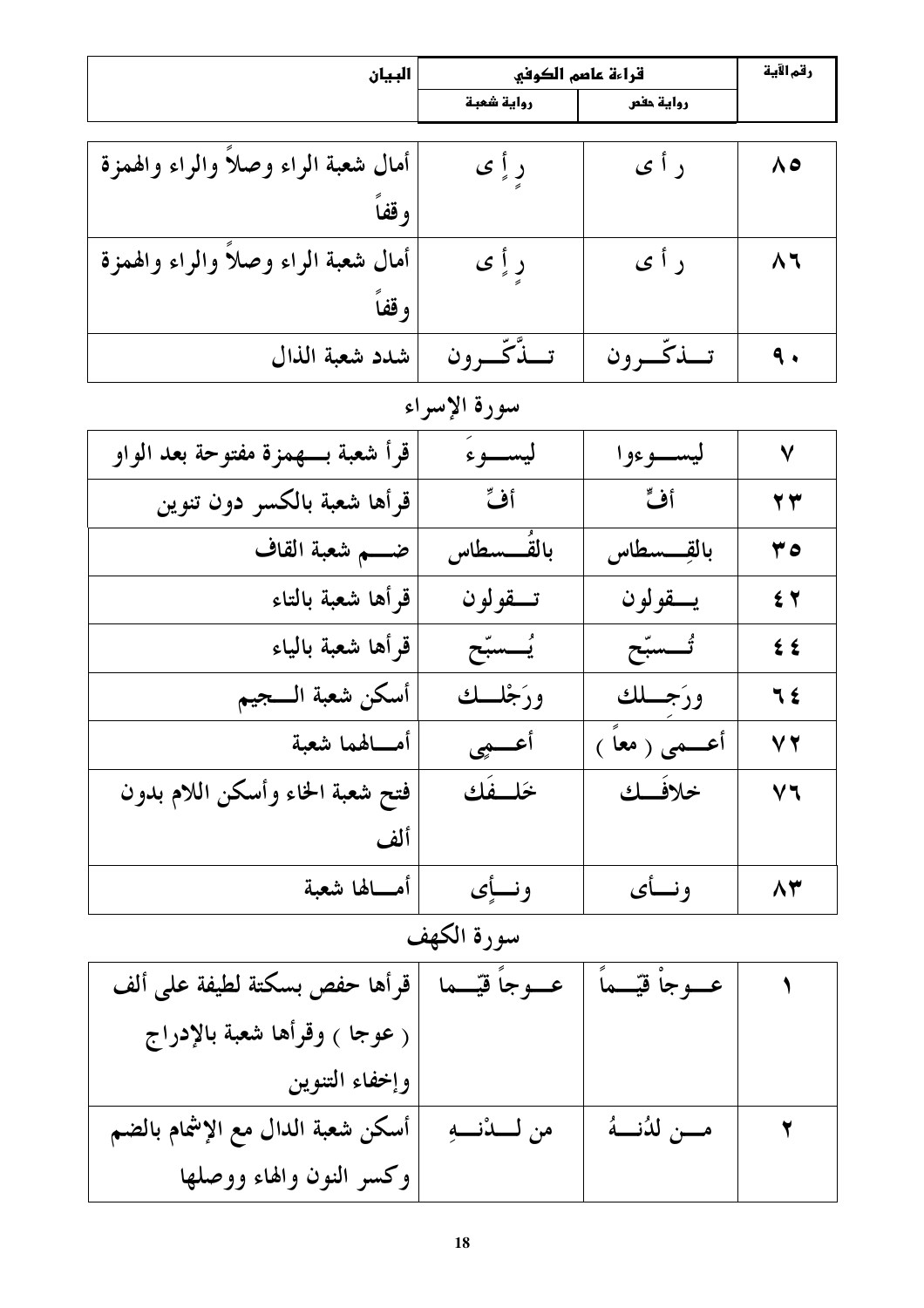| البيان                              | قراءة عاصم الكوفي |                    | رقم الآية             |
|-------------------------------------|-------------------|--------------------|-----------------------|
|                                     | رواية شعبة        | رواية حفص          |                       |
|                                     |                   |                    |                       |
| أمال شعبة الراء وصلأ والراء والهمزة | ر أ ي             | ر أ ي              | $\Lambda$             |
| وقفاً                               |                   |                    |                       |
| أمال شعبة الراء وصلأ والراء والهمزة |                   | ر أ ي              | $\Lambda$             |
|                                     | ر أِ ي            |                    |                       |
| وقفأ                                |                   |                    |                       |
| شدد شعبة الذال                      | تسذّكّسرون        | تسذكّىرون          | $\ddot{\mathbf{q}}$ . |
|                                     | سورة الإسراء      |                    |                       |
| قرأ شعبة بـــهمزة مفتوحة بعد الواو  | ليســـوءَ         | ليســـوءوا         | $\checkmark$          |
| قرأها شعبة بالكسر دون تنوين         | أفٌ               | أفٍّ               | $\mathbf{y}$          |
| ضـــم شعبة القاف                    | بالقَـــسطاس      | بالقسسطاس          | ه ۳                   |
| قرأها شعبة بالتاء                   | تسقولون           | يسقولون            | $\epsilon$ $\tau$     |
| قرأها شعبة بالياء                   | يُــسبّح          | تُسسبّح            | $\leq$                |
| أسكن شعبة السجيم                    | ورَجْلَــك        | ورَجِّــلك         | 7 2                   |
| أمـــالهما شعبة                     | أعسمي             | أعــــمى ( معاً )  | V T                   |
| فتح شعبة الخاء وأسكن اللام بدون     | خلسفك             | حلافلك             | ソへ                    |
| ألف                                 |                   |                    |                       |
| أمــــالها شعبة                     | ونسأى             | ونسأى              | 83                    |
| سورة الكهف                          |                   |                    |                       |
| قرأها حفص بسكتة لطيفة على ألف       | عسوجاً فيّسما     | عـــوجاْ قيّـــماً |                       |
| ( عوجا ) وقرأها شعبة بالإدراج       |                   |                    |                       |
| وإخفاء التنوين                      |                   |                    |                       |
| أسكن شعبة الدال مع الإشمام بالضم    | من لـــدْنـــهِ   | مـــن لدُنـــهُ    |                       |
| وكسر النون والهاء ووصلها            |                   |                    |                       |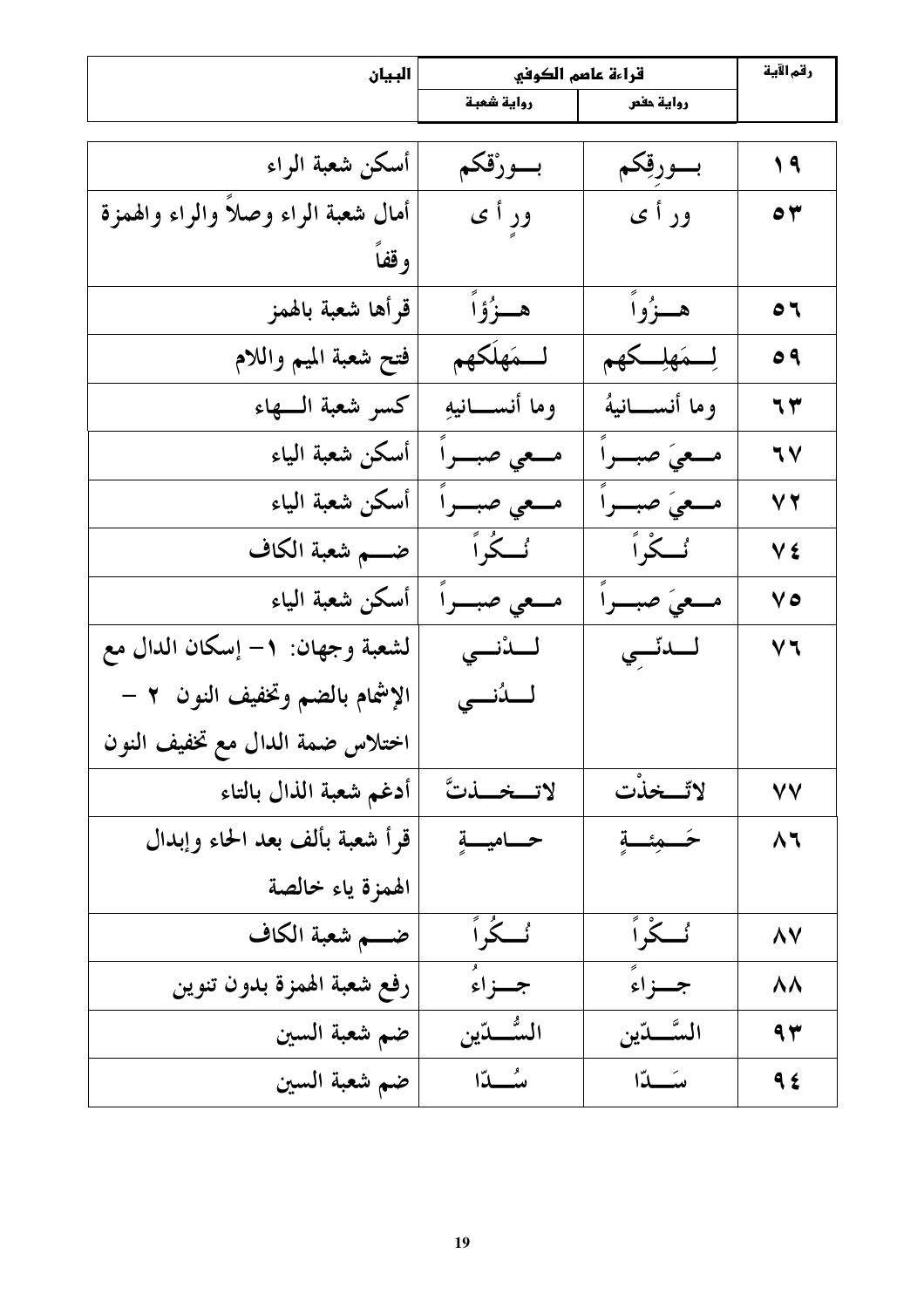| البيان                              | قراءة عاصم الكوفي |                   | رقم الآية      |
|-------------------------------------|-------------------|-------------------|----------------|
|                                     | رواية شعبة        | رواية حفص         |                |
|                                     |                   |                   |                |
| أسكن شعبة الراء                     | بسورْقكم          | بسورقِكم          | $\sqrt{9}$     |
| أمال شعبة الراء وصلأ والراء والهمزة | ور أ ي            | ور أ ي            | $\bullet$ ۳    |
| وقفاً                               |                   |                   |                |
| قرأها شعبة بالهمز                   | هـــزُوۡاُ        | هــزُواً          | $\bullet$      |
| فتح شعبة الميم واللام               | لسمَهلَكهم        | لِمَهلِكَهِم      | 09             |
| كسر شعبة السهاء                     | وما أنســانيهِ    | وما أنســانيهُ    | ٦٣             |
| أسكن شعبة الياء                     | مــعي صبـــراً    | مــعيَ صبـــراً   | 7 <sub>V</sub> |
| أسكن شعبة الياء                     | مـــعى صبـــراً   | مــعىَ صبـــراً   | V T            |
| ضــــم شعبة الكاف                   | گ گُراً           | <b>ئے گر</b> اً   | Vź             |
| أسكن شعبة الياء                     | مــعي صبـــراً    | مــعىَ صبـــراً   | 70             |
| لشعبة وجهان: ١– إسكان الدال مع      | لىدْنى            | لىدتى             | V٦             |
| الإشمام بالضم وتخفيف النون ٢ –      | لــدُنـــى        |                   |                |
| اختلاس ضمة الدال مع تخفيف النون     |                   |                   |                |
| أدغم شعبة الذال بالتاء              | لاتخلتَّ          | لاتّحذت           | ٧V             |
| قرأ شعبة بألف بعد الحاء وإبدال      | حساميسة           | خصمئصة            | $\Lambda$      |
| الهمزة ياء خالصة                    |                   |                   |                |
| ضــــم شعبة الكاف                   | ئےدًٰراً          | <sup>ئ</sup> ےراً | <b>AV</b>      |
| رفع شعبة الهمزة بدون تنوين          | جسزاءُ            | جــزاءً           | <b>ΛΛ</b>      |
| ضم شعبة السين                       | السُّـــدّين      | السَّـــدّين      | 94             |
| ضم شعبة السين                       | سُسْلاًا          | سَـــدّا          | 9 £            |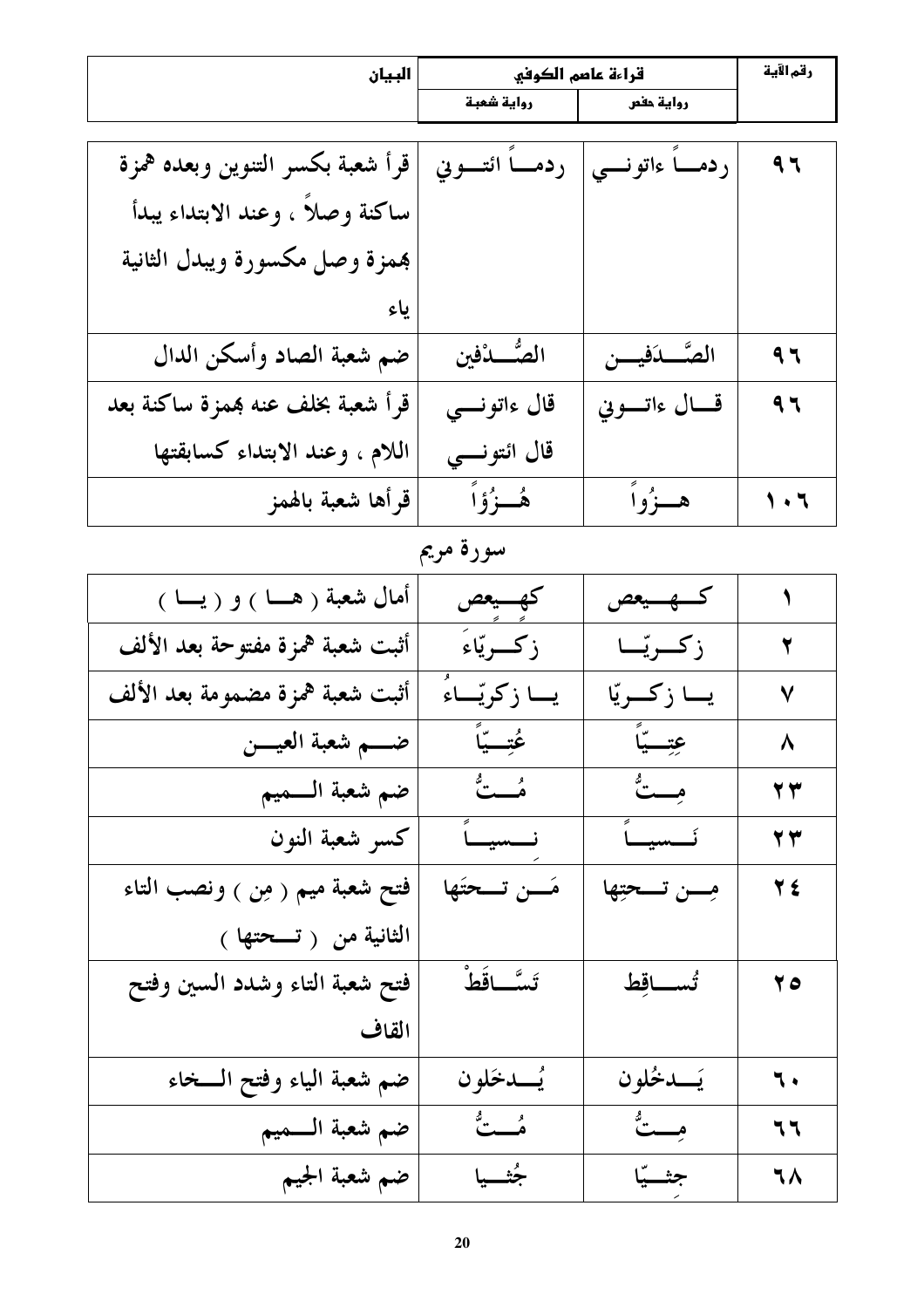| البيان                           | قراءة عاصم الكوفي  |                     | رقم الآية                |
|----------------------------------|--------------------|---------------------|--------------------------|
|                                  | رواية شعبة         | رواية حفص           |                          |
|                                  |                    |                     |                          |
| قرأ شعبة بكسر التنوين وبعده همزة | ردمـــا ائتــــوني | ردمــــا ءاتونــــي | 97                       |
| ساكنة وصلاً ، وعند الابتداء يبدأ |                    |                     |                          |
| بهمزة وصل مكسورة ويبدل الثانية   |                    |                     |                          |
| ىاء                              |                    |                     |                          |
| ضم شعبة الصاد وأسكن الدال        | الصُّــدْفين       | الصَّـــدَفيــــن   | 97                       |
| قرأ شعبة بخلف عنه همزة ساكنة بعد | قال ءاتونسي        | قسال ءاتسوني        | 97                       |
| اللام ، وعند الابتداء كسابقتها   | قال ائتونسي        |                     |                          |
| قرأها شعبة بالهمز                | ۿؙڂۯؙۄۧٲ           | هــزُواً            | $\overline{\phantom{a}}$ |

سورة مريم

| أمال شعبة ( هـــا ) و ( يـــا ) | كهسيعص            | كسهسيعص         | ١                       |
|---------------------------------|-------------------|-----------------|-------------------------|
| أثبت شعبة همزة مفتوحة بعد الألف | زكسرتياءَ         | زكريّا          | $\overline{\mathbf{y}}$ |
| أثبت شعبة همزة مضمومة بعد الألف | يـــا زكريّـــاءُ | يا زكريّا       | $\checkmark$            |
| ضــــم شعبة العيــــن           | عُتِّبِيَّا       | عتِبةً          | $\lambda$               |
| ضم شعبة السميم                  | ه په په           | مِــتٌ          | 23                      |
| كسر شعبة النون                  | نسسيساً           | نَــــسيـــــاً | 27                      |
| فتح شعبة ميم ( مِن ) ونصب التاء | مَـــن تـــحتَها  | مِسن تسحيِّها   | $\forall$ ź             |
| الثانية من (تسحتها)             |                   |                 |                         |
| فتح شعبة التاء وشدد السين وفتح  | تَسَّــاقَطْ      | تُســاقِط       | $\mathbf{y}$            |
| القاف                           |                   |                 |                         |
| ضم شعبة الياء وفتح الــخاء      | يُـــدخَلون       | يَــدخُلون      | $\mathbf{L}$            |
| ضم شعبة السميم                  | هُــَـتٌ          | مِــتٌ          | 77                      |
| ضم شعبة الجيم                   | جُثسيا            | جثسيّا          | ٦٨                      |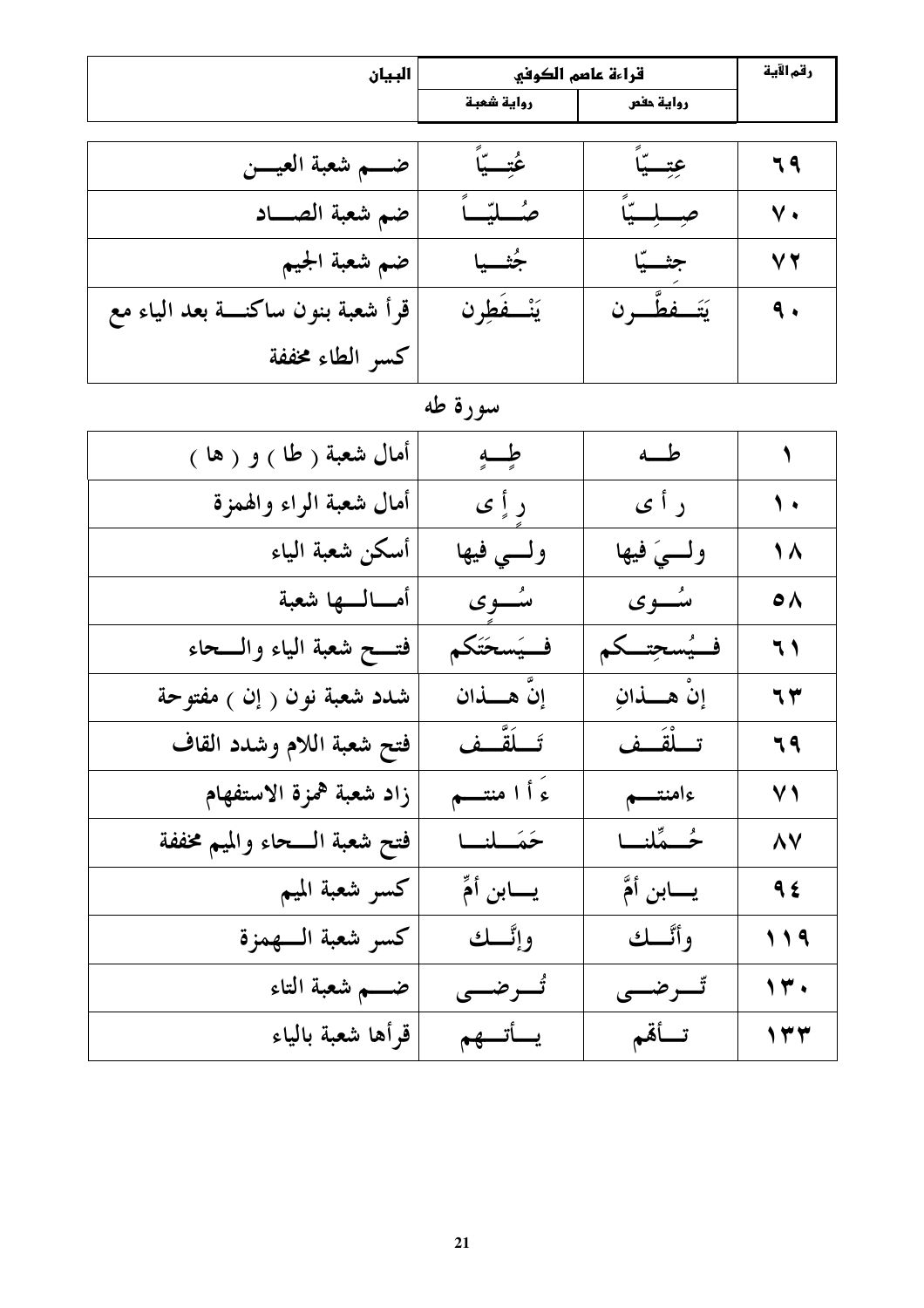| البيان                              | قراءة عاصم الكوفي |                | رقم الآية        |
|-------------------------------------|-------------------|----------------|------------------|
|                                     | رواية شعبة        | رواية حفص      |                  |
|                                     |                   |                |                  |
| ضــــم شعبة العيــــن               | عُتِّــيَّا       | عِتِـــيّاً    | 79               |
| ضم شعبة الصــاد                     | صُطيّب            | صبيبة          | $\mathsf{v}$ .   |
| ضم شعبة الجيم                       | جُثـــــبا        | جثسيّا         | V T              |
| قرأ شعبة بنون ساكنـــة بعد الياء مع | يَنْفَطِرن        | يَتَــفطَّــرن | $\ddot{\bullet}$ |
| كسر الطاء مخففة                     |                   |                |                  |

# سورة طه

| أمال شعبة <sub>(</sub> طا <sub>)</sub> و ( ها <sub>)</sub> | طبه             | طم              | $\blacklozenge$ |
|------------------------------------------------------------|-----------------|-----------------|-----------------|
| أمال شعبة الراء والهمزة                                    | ر أٍ ي          | ر أ ي           | $\sqrt{ }$      |
| أسكن شعبة الياء                                            | ولسي فيها       | ولسيَ فيها      | $\sqrt{2}$      |
| أمسالسها شعبة                                              | ىئىسوي          | ىئەوي           | $\circ \wedge$  |
| فتـــح شعبة الياء والـــحاء                                | فسيَسحَتَكم     | فسيُسحِتكم      | 71              |
| شدد شعبة نون ( إن ) مفتوحة                                 | إِنَّ هـــــذان | إِنْ هِــــذانِ | ٦٣              |
| فتح شعبة اللام وشدد القاف                                  | تَــلَقَّــف    | تسلْقَسف        | 79              |
| زاد شعبة همزة الاستفهام                                    | ءَ أ ا منتهم    | ءامنتسم         | $\vee$ )        |
| فتح شعبة السحاء والميم مخففة                               | حَمَــلنــا     | ځــمًلنــا      | <b>AV</b>       |
| كسر شعبة الميم                                             | يـــــابن أمٍّ  | يـــــابن أمَّ  | 95              |
| كسر شعبة السهمزة                                           | وإنَّــك        | وأنَّــك        | 119             |
| ضــــم شعبة التاء                                          | تُسرضي          | ٿسرضسي          | 14.             |
| قرأها شعبة بالياء                                          | يسأتسهم         | تسأقم           | $\gamma \tau$   |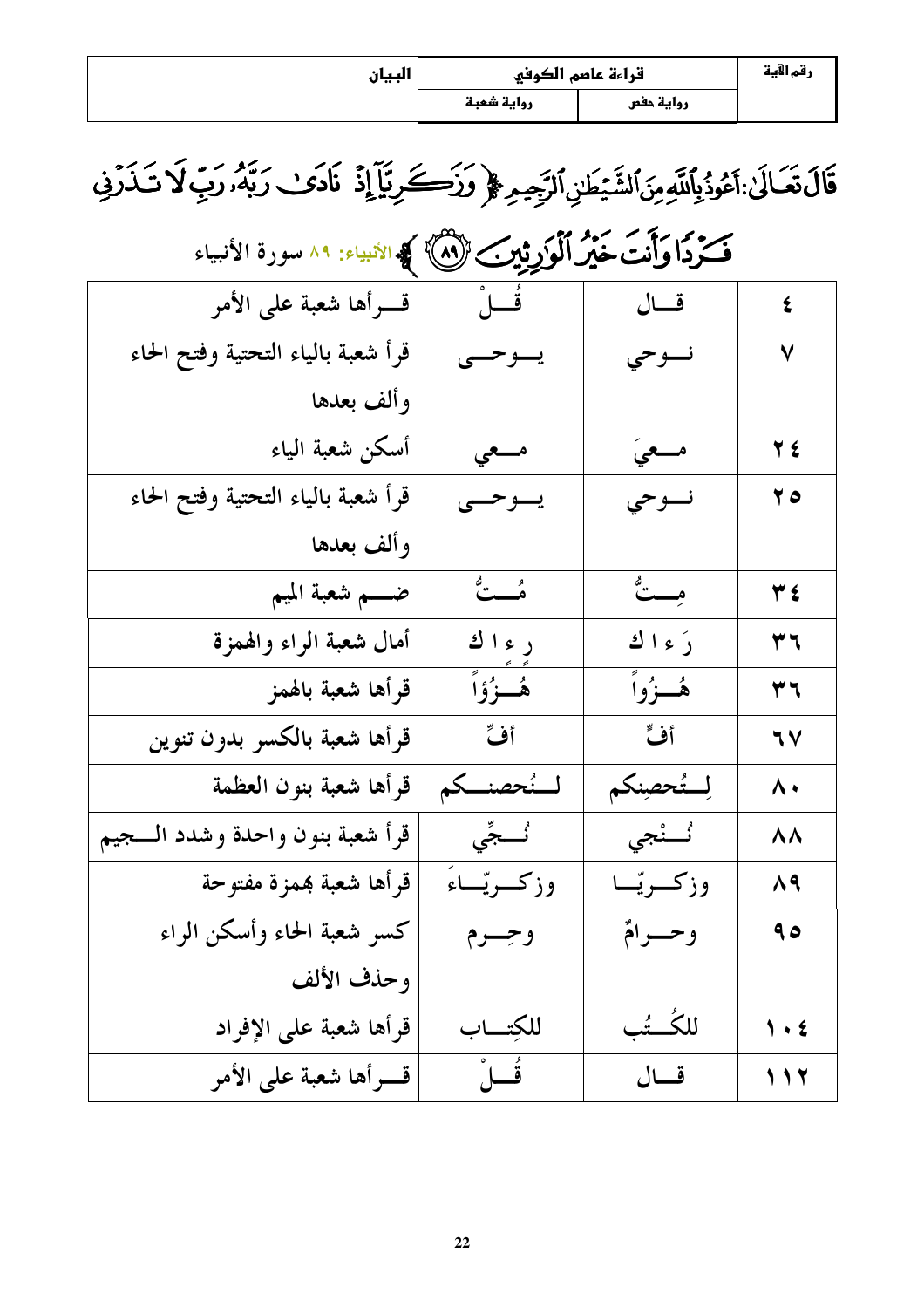| البيان | قراءة عاصم الكوفي |           | رقم الآية |
|--------|-------------------|-----------|-----------|
|        | رواية شعبة        | رواية حفص |           |

# قَالَ تَعَالَىٰ:أَعُوذُبِٱللَّهِ مِنَ ٱلشَّيْطَيْ ٱلرَّجِيمِ ۞ وَزَكَےرِيَّآ إِذْ نَادَىٰ رَبَّهُ، رَبِّ لَا تَذَرْفِي

| فَكَرْدًا وَأَنْتَ خَيْرُ ٱلْمَوْرِثِينِ ۖ لَاللَّهُمْ ﴾ الأنبياء: ٨٩ سورة الأنبياء |                  |             |                               |
|-------------------------------------------------------------------------------------|------------------|-------------|-------------------------------|
| قسرأها شعبة على الأمر                                                               | فُـــلْ          | قال         | $\boldsymbol{\xi}$            |
| قرأ شعبة بالياء التحتية وفتح الحاء                                                  | يسوحسي           | نسوحي       | ٧                             |
| وألف بعدها                                                                          |                  |             |                               |
| أسكن شعبة الياء                                                                     | مسعي             | مسعيَ       | <b>TE</b>                     |
| قرأ شعبة بالياء التحتية وفتح الحاء                                                  | يسوحسي           | نسوحي       | $\mathbf{y}$                  |
| وألف بعدها                                                                          |                  |             |                               |
| ضــــم شعبة الميم                                                                   | ه شت             | مِـــتٌ     | $\forall$ ź                   |
| أمال شعبة الراء والهمزة                                                             | ر ء ا ك          | رَءاك       | ۳٦                            |
| قرأها شعبة بالهمز                                                                   | هُــزُوۡاً       | ۿؙڂۯؙۅٱ     | ۳٦                            |
| قرأها شعبة بالكسر بدون تنوين                                                        | أف               | أف          | $\mathcal{N}$                 |
| قرأها شعبة بنون العظمة                                                              | لسنُحصنكم        | لِستُحصِنكم | $\lambda$                     |
| قرأ شعبة بنون واحدة وشدد السجيم                                                     | <b>ئُـــجِّي</b> | ئَــنْجى    | ۸۸                            |
| قرأها شعبة همزة مفتوحة                                                              | وزكريّـاءُ       | وزكريّـا    | $\Lambda$ ٩                   |
| كسر شعبة الحاء وأسكن الراء                                                          | وجسرم            | وحسرامٌ     | م ۹                           |
| وحذف الألف                                                                          |                  |             |                               |
| قرأها شعبة على الإفراد                                                              | للكتساب          | للكُــتُب   | $\mathbf{y} \cdot \mathbf{z}$ |
| قسرأها شعبة على الأمر                                                               | ڤُــلُ           | قال         | 117                           |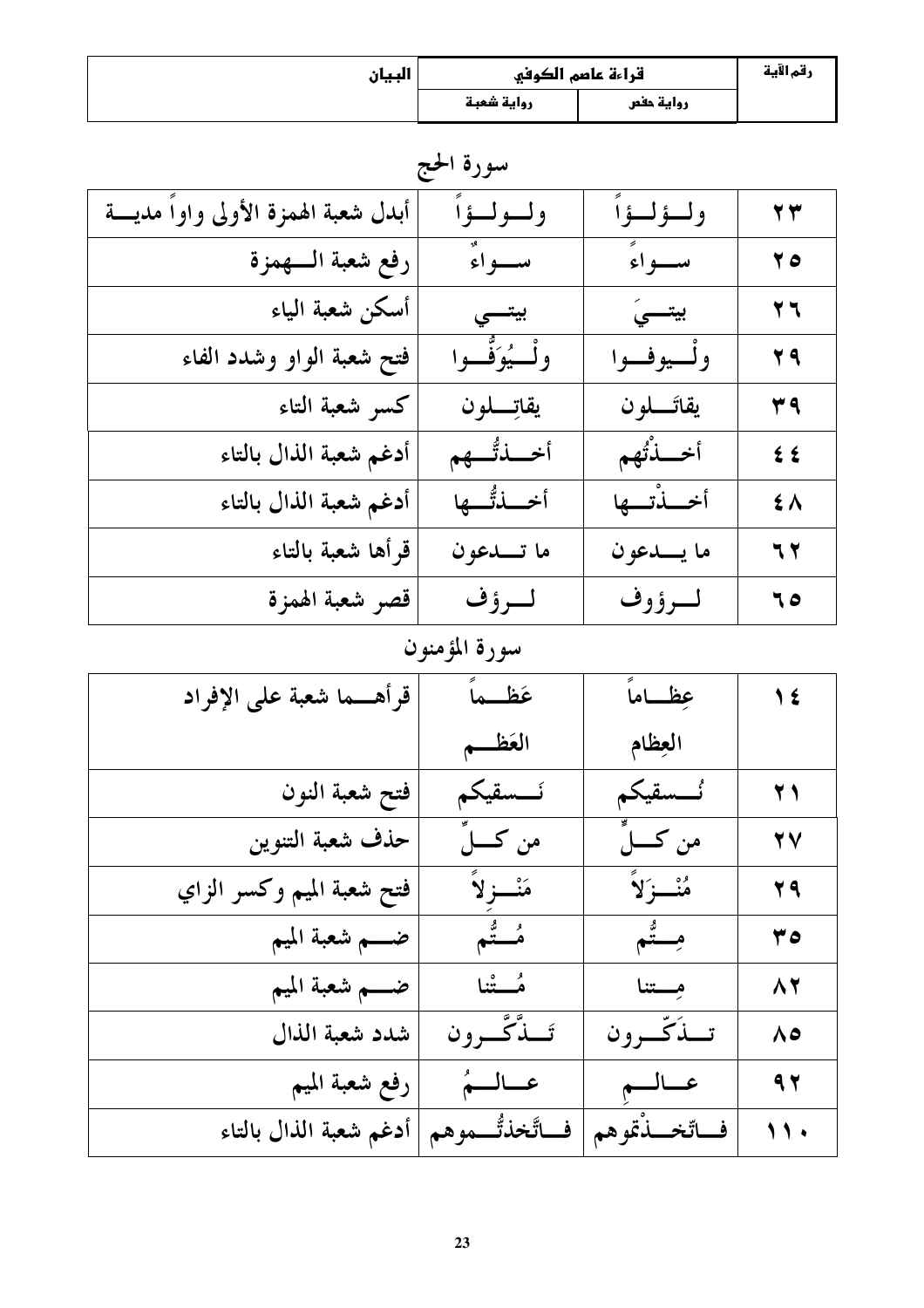| السان<br>v <del></del> | قراءة عاصم الكوفي |           | رقم الآية |
|------------------------|-------------------|-----------|-----------|
|                        | رواية شعبة        | رواية حفص |           |

سورة الحج

| أبدل شعبة الهمزة الأولى واواً مديسة | ولولواً           | ولوللواً     | $\mathbf{y}$      |
|-------------------------------------|-------------------|--------------|-------------------|
| رفع شعبة السهمزة                    | سواءٌ             | سواءً        | 70                |
| أسكن شعبة الياء                     | بيتسى             | بيتسىَ       | $\overline{r}$    |
| فتح شعبة الواو وشدد الفاء           | ولْـــيُوَفَّــوا | ولسيوفسوا    | <b>Y9</b>         |
| كسو شعبة التاء                      | يقاتِسلون         | يقاتَــــلون | ۳٩                |
| أدغم شعبة الذال بالتاء              | أخسذتُّكم         | أحسنتهم      | $\epsilon$        |
| أدغم شعبة الذال بالتاء              | أخلذتم            | أخبلنتها     | $\epsilon \wedge$ |
| قرأها شعبة بالتاء                   | ما تـــدعون       | ما يـــدعون  | 77                |
| قصر شعبة الهمزة                     | لرؤف              | لسرؤوف       | ٦0                |

# سورة المؤمنون

| قرأهـــما شعبة على الإفراد | عَظــماً                     | عِظاماً         | $\sqrt{\epsilon}$ |
|----------------------------|------------------------------|-----------------|-------------------|
|                            | العَظم                       | العطام          |                   |
| فتح شعبة النون             | ئـــسقيكم                    | ئـــسقيكم       | $\bf Y$           |
| حذف شعبة التنوين           | من كـــــــلِّ               | من كــــــلٍّ   | YV                |
| فتح شعبة الميم وكسر الزاي  | مَنْسزلاً                    | مُنْسَزَلاً     | 29                |
| ضــــم شعبة الميم          | ء ہے<br>م <del>ُــــتم</del> | مِـــتُم        | ه ۳               |
| ضــــم شعبة الميم          | مُـــتْنا                    | مستنا           | $\wedge$          |
| شدد شعبة الذال             | تَــذَّكَّـــرون             | تبذكّرون        | $\Lambda$ ٥       |
| رفع شعبة الميم             | عالم                         | عالم            | 9,7               |
| أدغم شعبة الذال بالتاء     | فاتَّخذتُّــموهم             | فاتّخـــذْتموهم | $\lambda$ ,       |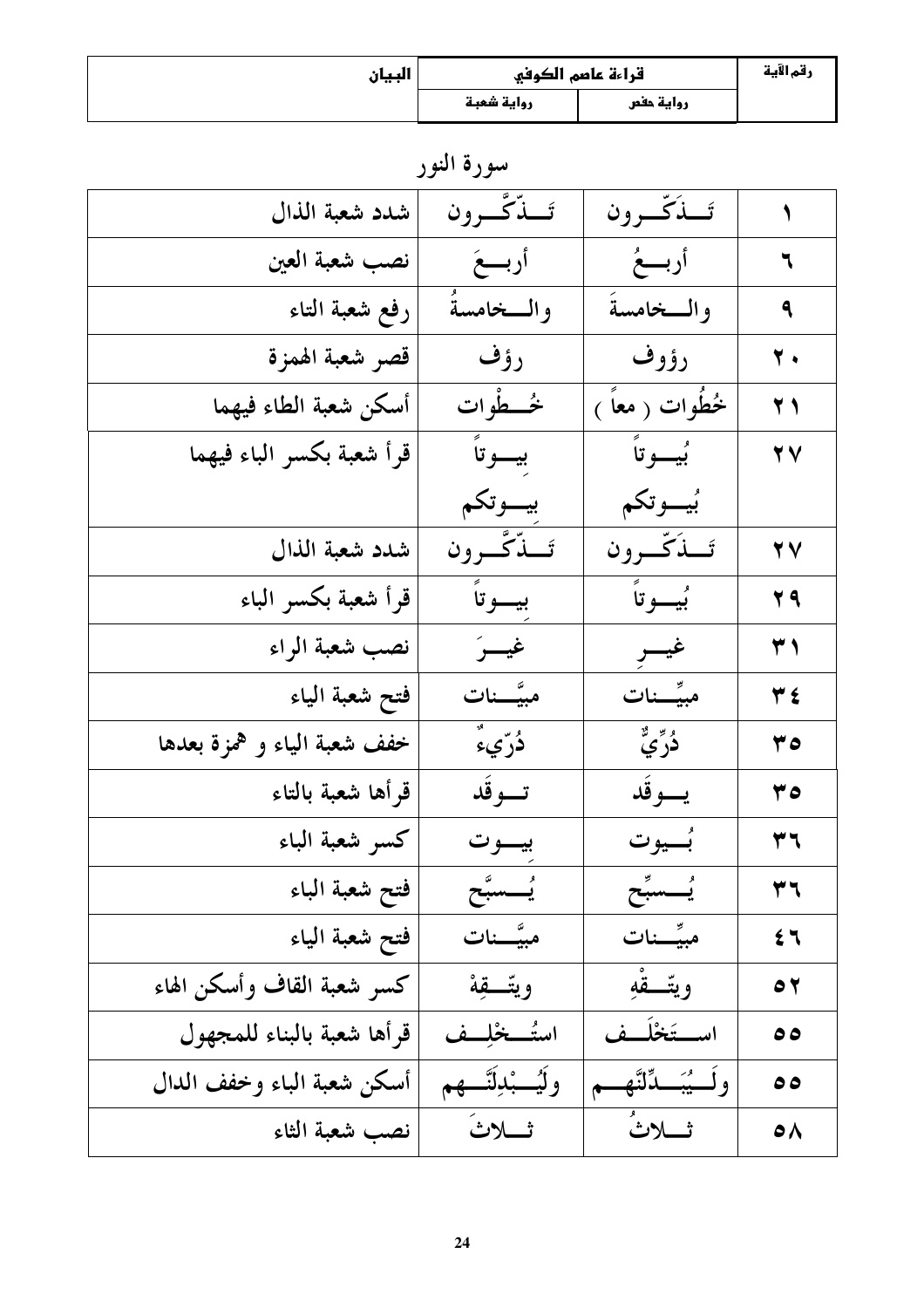| السان<br>v <del></del> | قراءة عاصم الكوفي |           | رقم الآية |
|------------------------|-------------------|-----------|-----------|
|                        | رواية شعبة        | رواية حفص |           |

سورة النور

|                           | تَسذَكَّسرون            | تَسذَّكَّسرون           | شدد شعبة الذال              |
|---------------------------|-------------------------|-------------------------|-----------------------------|
| ٦                         | أربسعُ                  | أربسعَ                  | نصب شعبة العين              |
| ٩                         | والمخامسة               | والمخامسة               | رفع شعبة التاء              |
| $\overline{\mathbf{y}}$ . | رؤوف                    | رؤف                     | قصر شعبة الهمزة             |
| $\bf Y$ )                 | خُطُوات ( مَعَاً )      | څـــطوات                | أسكن شعبة الطاء فيهما       |
| <b>YY</b>                 | بُيــــوتاً             | بيسوتاً                 | قرأ شعبة بكسر الباء فيهما   |
|                           | بُيـــوتكم              | بيسوتكم                 |                             |
| <b>YY</b>                 | تَسذَكَّسرون            | تَـــٰذَّكَـــوون       | شدد شعبة الذال              |
| 79                        | ب<br>بيسوتاً            | بيسوتاً                 | قرأ شعبة بكسر الباء         |
| ۳١                        | غيسر                    | غيسرَ                   | نصب شعبة الراء              |
| $Y\xi$                    | مبيِّسنات               | مبيَّـــنات             | فتح شعبة الياء              |
| 07                        | ۮؙڒؑۑٞ۠                 | <b>دُر</b> ّيءٌ         | خفف شعبة الياء و همزة بعدها |
| ه ۳                       | يسوقد                   | تسوقد                   | قرأها شعبة بالتاء           |
| ۳٦                        | بُسيوت                  | بيسوت                   | كسر شعبة الباء              |
| ۳٦                        | يَـَــسبَح              | <u>بُـ</u> ـسبَّح       | فتح شعبة الباء              |
| $5 -$                     | مبيِّـــنات             | مبيَّــنات              | فتح شعبة الياء              |
| $\bullet$                 | ويتَّقْهِ               | ويتَّقَّة               | كسر شعبة القاف وأسكن الهاء  |
| ه ه                       | استخلَف                 | استُـــخْلِــف          | قرأها شعبة بالبناء للمجهول  |
| ه ه                       | ولَسِيُبَسِدِّلنَّهِ مِ | ولَيُـــْبْدِلَنَّـــهم | أسكن شعبة الباء وخفف الدال  |
| $\bullet \land$           | ثسلاث                   | ثللاثَ                  | نصب شعبة الثاء              |
|                           |                         |                         |                             |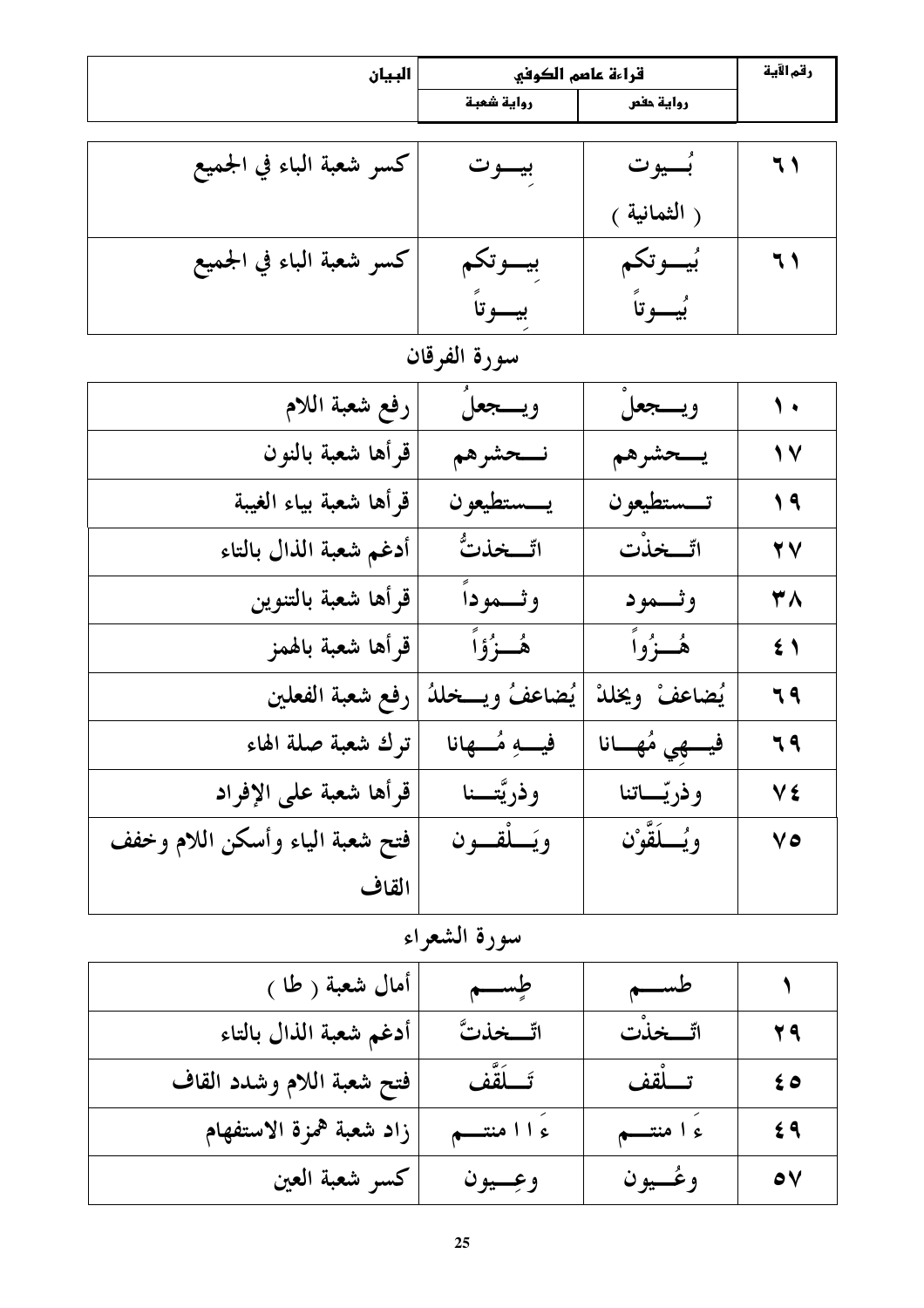| البيان                   |            | قراءة عاصم الكوفي |    |
|--------------------------|------------|-------------------|----|
|                          | رواية شعبة | رواية حفص         |    |
|                          |            |                   |    |
| كسر شعبة الباء في الجميع | بيسوت      | بُسيوت            | ٦١ |
|                          |            | ( الثمانية )      |    |
| كسر شعبة الباء في الجميع | بيسوتكم    | بُيــــوتكم       | ٦١ |
|                          | بيسوتا     | بيسوتاً           |    |

سورة الفرقان

| رفع شعبة اللام                  | ويسجعلُ         | ويسجعلْ        | $\sqrt{ }$     |
|---------------------------------|-----------------|----------------|----------------|
| قرأها شعبة بالنون               | نسحشرهم         | يسحشرهم        | $\sqrt{}$      |
| قرأها شعبة بياء الغيبة          | يسستطيعون       | تسستطيعون      | $\sqrt{9}$     |
| أدغم شعبة الذال بالتاء          | اتّـــخذتُّ     | اتّــخذْت      | <b>YV</b>      |
| قرأها شعبة بالتنوين             | وثـــموداً      | وثمود          | ٣٨             |
| قرأها شعبة بالهمز               | هُــزُوۡاً      | هُــزُواً      | 5 <sup>1</sup> |
| رفع شعبة الفعلين                | يُضاعفُ ويسخلدُ | يُضاعفْ ويخلدْ | 79             |
| ترك شعبة صلة الهاء              | فيب مُسهانا     | فيسهي مُهسانا  | ٦٩             |
| قرأها شعبة على الإفراد          | وذريَّتـــنا    | وذريّــــاتنا  | V٤             |
| فتح شعبة الياء وأسكن اللام وخفف | ويَسلْقسون      | ويُسلَقَّوْن   | ٧٥             |
| القاف                           |                 |                |                |

سورة الشعراء

| أمال شعبة ( طا )          | طسسم           | طسم        |                  |
|---------------------------|----------------|------------|------------------|
| أدغم شعبة الذال بالتاء    | اتّـــخذتَّ    | اتّــخذْت  | 44               |
| فتح شعبة اللام وشدد القاف | تَسلَقَّف      | تـــلْقف   | 69               |
| زاد شعبة همزة الاستفهام   | ءَ ا ا منتـــم | ءَ ا منتصم | 69               |
| كسر شعبة العين            | وعِسيون        | وعُــيون   | $\bullet$ $\vee$ |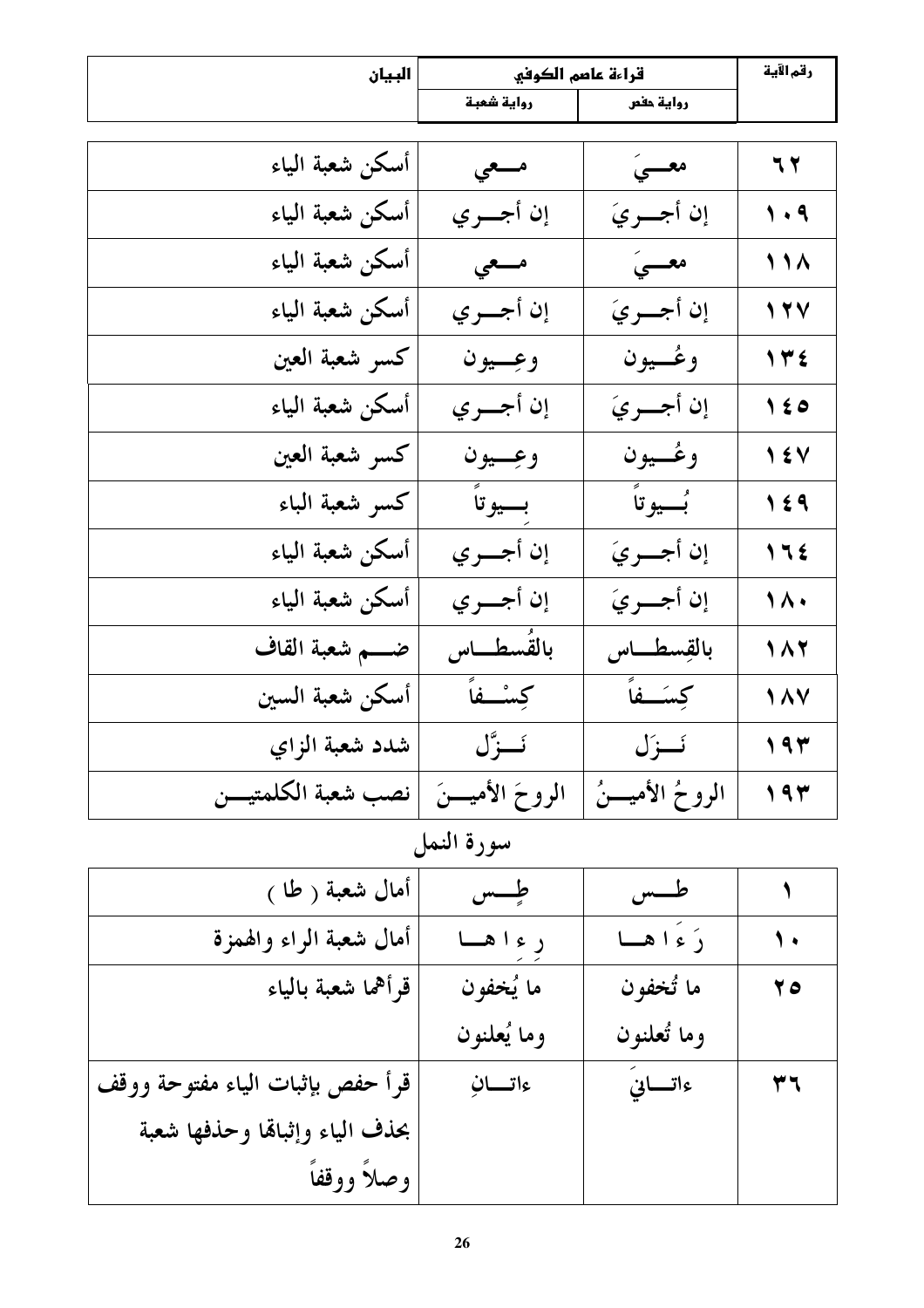| البيان               | قراءة عاصم الكوفي  |                    | رقم الآية            |
|----------------------|--------------------|--------------------|----------------------|
|                      | رواية شعبة         | رواية حفص          |                      |
|                      |                    |                    |                      |
| أسكن شعبة الياء      | مسعى               | معسىَ              | 77                   |
| أسكن شعبة الياء      | إن أجسري           | إن أجسريَ          | $\sqrt{4}$           |
| أسكن شعبة الياء      | مسعى               | معسىَ              | 111                  |
| أسكن شعبة الياء      | إن أجـــري         | إن أجسريَ          | 17V                  |
| كسر شعبة العين       | وعِــيون           | وعُــيون           | $\gamma \forall \xi$ |
| أسكن شعبة الياء      | إن أجـــري         | إن أجسريَ          | 150                  |
| كسر شعبة العين       | وعِيون             | وعُــيون           | $\sqrt{2}$           |
| كسر شعبة الباء       | بسيوتاً            | بُسيوتاً           | 159                  |
| أسكن شعبة الياء      | إن أجسري           | إن أجسريَ          | 115                  |
| أسكن شعبة الياء      | إن أجسري           | إن أجسريَ          | $\sqrt{\Lambda}$     |
| ضــــم شعبة القاف    | بالقُسطـــاس       | بالقِسطـــاس       | $\sqrt{11}$          |
| أسكن شعبة السين      | كِسْفاً            | كِسَـــفاً         | $\sqrt{\wedge \vee}$ |
| شدد شعبة الزاي       | ئــزَّل            | ئــزَل             | 194                  |
| نصب شعبة الكلمتيـــن | الروحَ الأميــــنَ | الروحُ الأميــــنُ | 197                  |

سورة النمل

| أمال شعبة ( طا )                 | طحس         | طــــس      |                   |
|----------------------------------|-------------|-------------|-------------------|
| أمال شعبة الراء والهمزة          | ر ء ا هسا   | رَ ءَ ا هسا | $\mathbf{\hat{}}$ |
| قرأهما شعبة بالياء               | ما يُخفون   | ما تُخفون   | 70                |
|                                  | وما يُعلنون | وما تُعلنون |                   |
| قرأ حفص بإثبات الياء مفتوحة ووقف | ءاتسانِ     | ءاتسانيَ    | ٣٦                |
| بحذف الياء وإثباقما وحذفها شعبة  |             |             |                   |
| وصلأ ووقفاً                      |             |             |                   |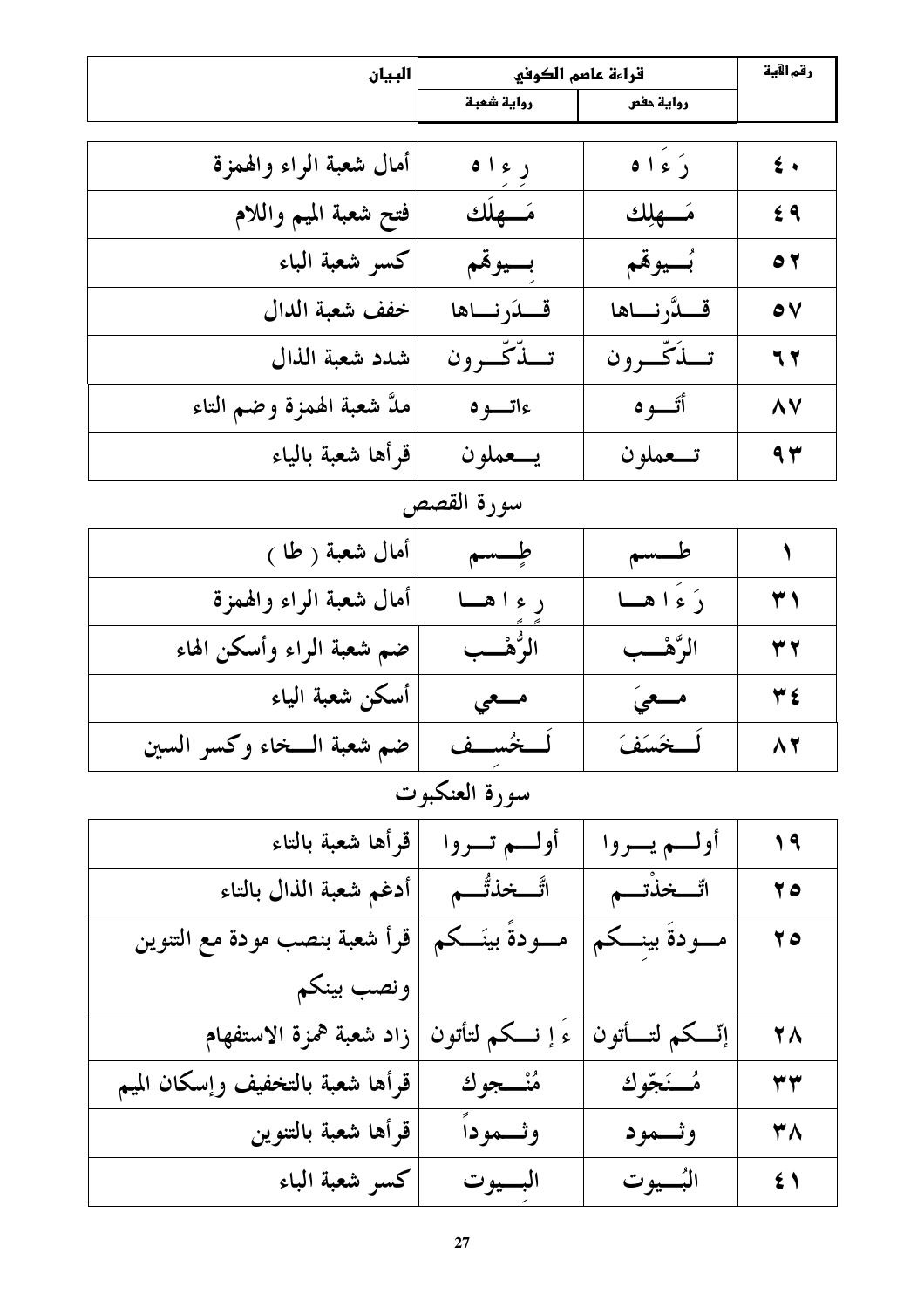| البيان                           | قراءة عاصم الكوفي   |                | رقم الآية                |
|----------------------------------|---------------------|----------------|--------------------------|
|                                  | رواية شعبة          | رواية حفص      |                          |
|                                  |                     |                |                          |
| أمال شعبة الراء والهمزة          | ر ء ۱ ه             | دَءَاه         | $\epsilon$ .             |
| فتح شعبة الميم واللام            | مَسْهِلُك           | مَسْهِلِك      | 69                       |
| كسر شعبة الباء                   | بسيوقم              | بُسيوقَم       | $\bullet$                |
| خفف شعبة الدال                   | قلدرناها            | قلدَّرناها     | $\bullet$                |
| شدد شعبة الذال                   | تسدّثّے ون          | تبذكّرون       | 77                       |
| ملَّ شعبة الهمزة وضم التاء       | ءاتسوه              | أتسوه          | $\wedge$                 |
| قرأها شعبة بالياء                | يسعملون             | تـــعملون      | 9y                       |
|                                  | سورة القصص          |                |                          |
| أمال شعبة ( طا )                 | طسسم                | طسسم           | $\overline{\mathcal{L}}$ |
| أمال شعبة الراء والهمزة          | ر ءا هسا            | دَ ءَ ا هسا    | $\mathbf{r}$             |
| ضم شعبة الراء وأسكن الهاء        | الرُّهْــب          | الرَّهْــب     | 37                       |
| أسكن شعبة الياء                  | مسعى                | مسعىَ          | ۳٤                       |
| ضم شعبة السخاء وكسر السين        | لَــخُســف          | لمخسَفَ        | $\Lambda$                |
|                                  | سورة العنكبوت       |                |                          |
| قرأها شعبة بالتاء                | أولسم تسروا         | أولسم يسروا    | 19                       |
| أدغم شعبة الذال بالتاء           | اتَّـــخذتُّـــم    | اتّـــخذْتـــم | 70                       |
| قرأ شعبة بنصب مودة مع التنوين    | مــــودةً بينَـــكم | مسودة بينسكم   | 70                       |
| ونصب بينكم                       |                     |                |                          |
| زاد شعبة همزة الاستفهام          | ءَ إ نـــكم لتأتون  | إتسكم لتسأتون  | <b>28</b>                |
| قرأها شعبة بالتخفيف وإسكان الميم | مُنْــــجوك         | مُــنَجّوك     | ۳۳                       |
| قرأها شعبة بالتنوين              | وثسمودأ             | وثسمود         | 38                       |
| كسر شعبة الباء                   | البسيوت             | البُــــيوت    | $\leq \sqrt$             |
|                                  |                     |                |                          |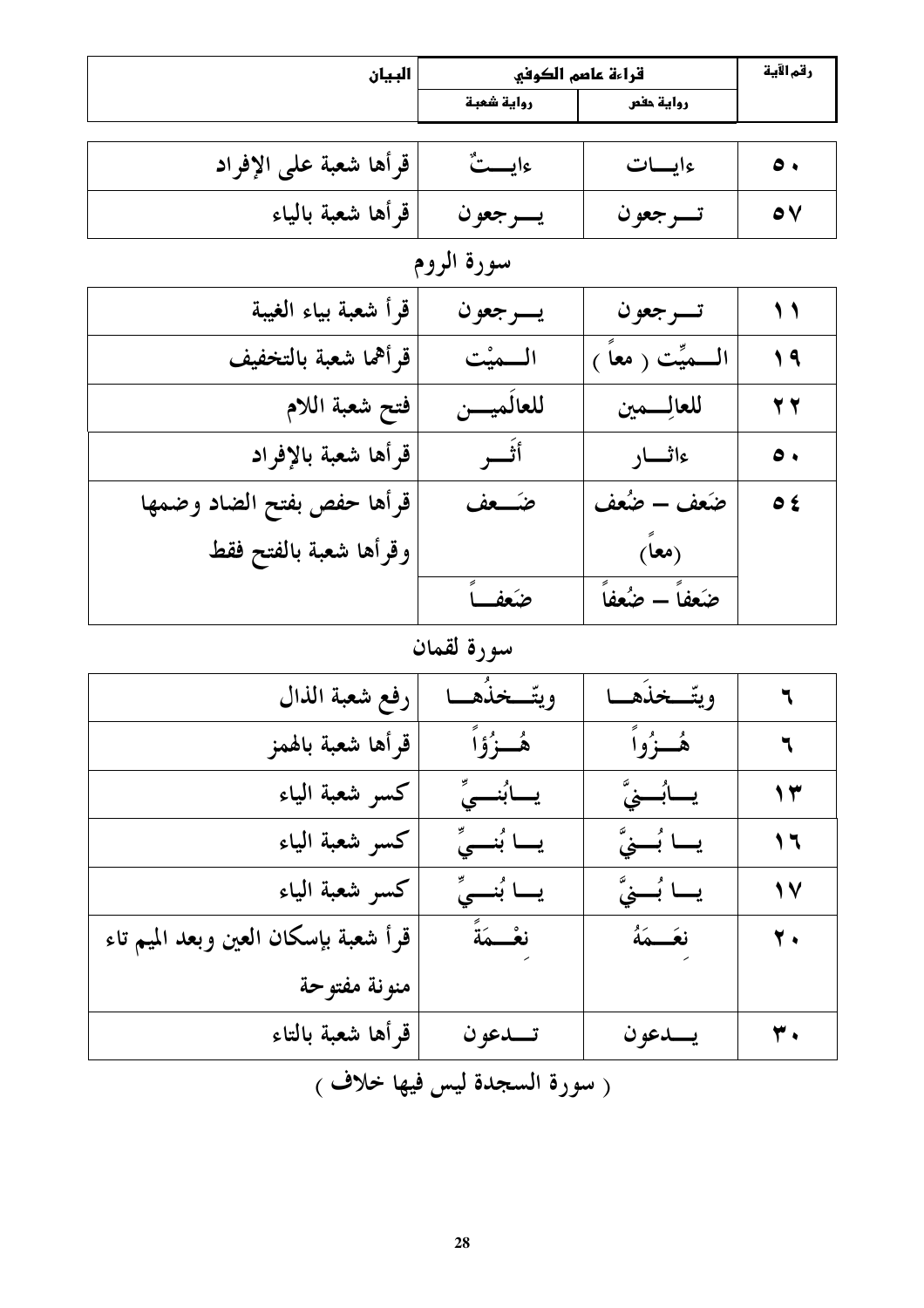| البيان                               | قراءة عاصم الكوفي       |                      | رقم الآية         |
|--------------------------------------|-------------------------|----------------------|-------------------|
|                                      | رواية شعبة              | رواية حفص            |                   |
|                                      |                         |                      |                   |
| قرأها شعبة على الإفراد               | ءايـــتٌ                | ءايسات               | $\bullet \bullet$ |
| قرأها شعبة بالياء                    | يسرجعون                 | تسرجعون              | $\bullet$         |
|                                      | سورة الروم              |                      |                   |
| قرأ شعبة بياء الغيبة                 | يسرجعون                 | تسرجعون              | $\bigwedge$       |
| قرأهما شعبة بالتخفيف                 | المميْت                 | الــــميِّت ( معاً ) | $\sqrt{9}$        |
| فتح شعبة اللام                       | للعالميسن               | للعالسمين            | 27                |
| قرأها شعبة بالإفراد                  | أثسر                    | ءاثسار               | $\bullet \bullet$ |
| قرأها حفص بفتح الضاد وضمها           | ضـَــعف                 | ضَعف – ضُعف          | $\bullet$ ź       |
| وقرأها شعبة بالفتح فقط               |                         | (معاً)               |                   |
|                                      | ضَعف ً                  | ضَعفاً — ضُعفاً      |                   |
|                                      | سورة لقمان              |                      |                   |
| رفع شعبة الذال                       | ويتّــخذَهــا           | ويتّــخذَهــا        | ٦                 |
| قرأها شعبة بالهمز                    | ۿؙڂۯؙۉٙٱ                | هُــزُواً            | ٦                 |
| كسر شعبة الياء                       | يسابُنسيِّ              | يــــابُـــــــيٌّ   | ۱۳                |
| كسر شعبة الياء                       | يـــا بُنـــيٍّ         | يــا بُـــِيَّ       | ۲ ۱               |
| كسر شعبة الياء                       | يـــا بُنـــىِّ         | يـــا بُـــــِّيَّ   | 17                |
| قرأ شعبة بإسكان العين وبعد الميم تاء | نعْـــمَةً              | نعَــــهَهُ          | ۲.                |
| منونة مفتوحة                         |                         |                      |                   |
| قرأها شعبة بالتاء                    | تــدعو ن                | يـــدعو ن            | ۳.                |
| فملخلاف                              | $\lambda = \frac{1}{2}$ |                      |                   |

( سورہ السجدہ لیس فیہا خلاف )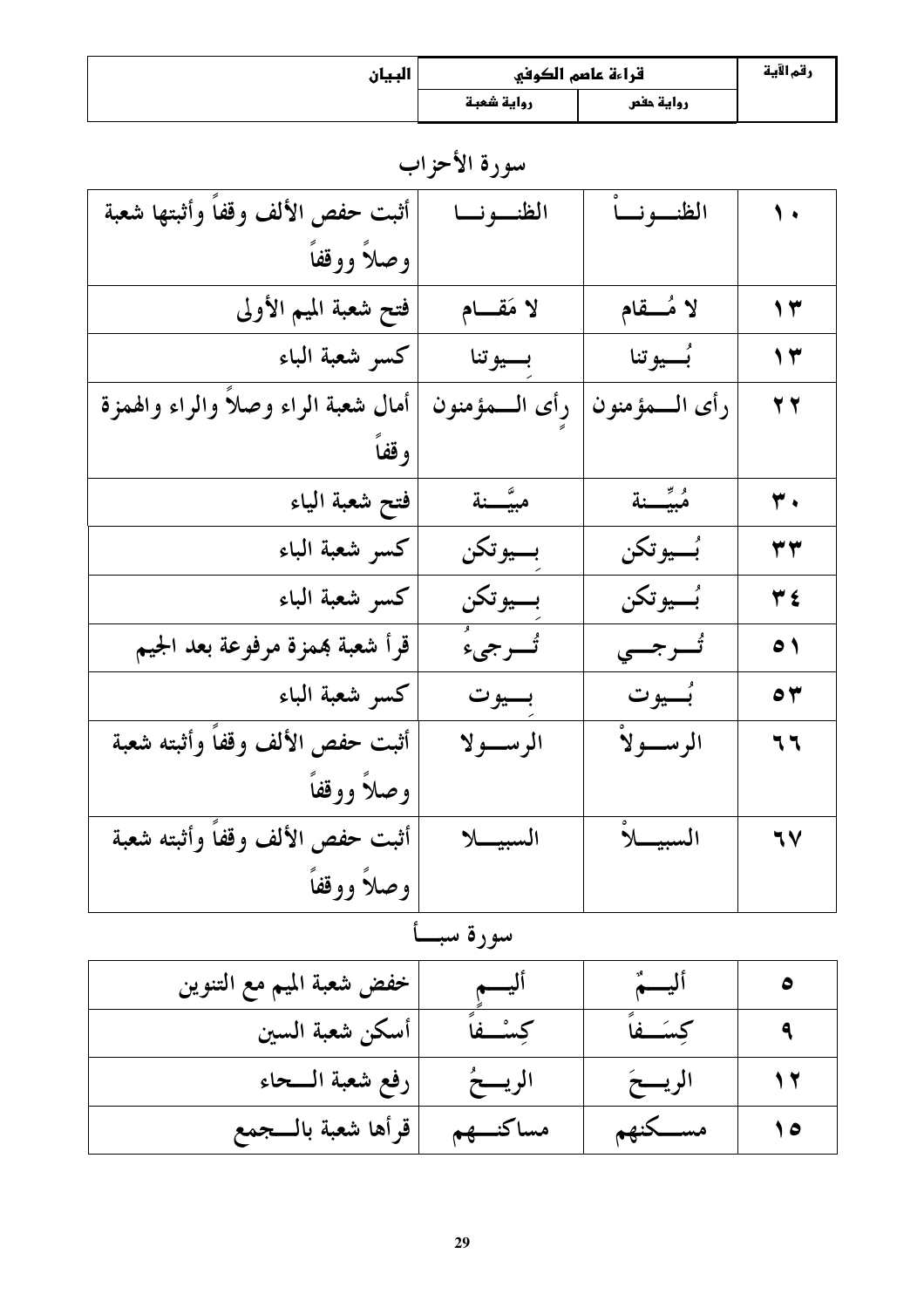| السان<br>$\mathsf{v}$ $\mathsf{v}$ $\mathsf{v}$ | قراءة عاصم الكوفي |           | رقم الآية |
|-------------------------------------------------|-------------------|-----------|-----------|
|                                                 | رواية شعبة        | رواية حفص |           |

سورة الأحزاب

| أثبت حفص الألف وقفاً وأثبتها شعبة   | الظنسو نسا    | الظنسونسأ              | $\sqrt{ }$                |
|-------------------------------------|---------------|------------------------|---------------------------|
| وصلأ ووقفأ                          |               |                        |                           |
| فتح شعبة الميم الأولى               | لا مَقام      | لا مُسقام              | $\gamma$                  |
| كسر شعبة الباء                      | بسيوتنا       | بُ <sub>سـيو</sub> تنا | $\gamma$                  |
| أمال شعبة الراء وصلأ والراء والهمزة | رأى السمؤمنون | رأى السمؤمنون          | 27                        |
| وقفاً                               |               |                        |                           |
| فتح شعبة الياء                      | مبيَّـــنة    | مبيّنة                 | $\overline{\mathbf{r}}$ . |
| كسر شعبة الباء                      | بسيوتكن       | بُـــيو تكن            | ۳۳                        |
| كسر شعبة الباء                      | بسيوتكن       | بُسيوتكن               | ۳٤                        |
| قرأ شعبة بممزة مرفوعة بعد الجيم     | تُسرجىءُ      | تُسرجىي                | $\bullet$                 |
| كسو شعبة الباء                      | بسيوت         | بُسيوت                 | $\bullet$                 |
| أثبت حفص الألف وقفأ وأثبته شعبة     | الرســولا     | الرســــولاً           | 77                        |
| وصلأ ووقفاً                         |               |                        |                           |
| أثبت حفص الألف وقفاً وأثبته شعبة    | السبيـــــلا  | السبيك                 | 77                        |
| وصلأ ووقفأ                          |               |                        |                           |

سورة سبأ

| خفض شعبة الميم مع التنوين | اليسم       | أليسمٌ   |     |
|---------------------------|-------------|----------|-----|
| أسكن شعبة السين           | كسئسفه      | كسكسفا   |     |
| رفع شعبة الــحاء          | الريسخُ     | الريسخ   |     |
| قرأها شعبة بالسجمع        | مساكنــــهم | مســكنهم | ه ۱ |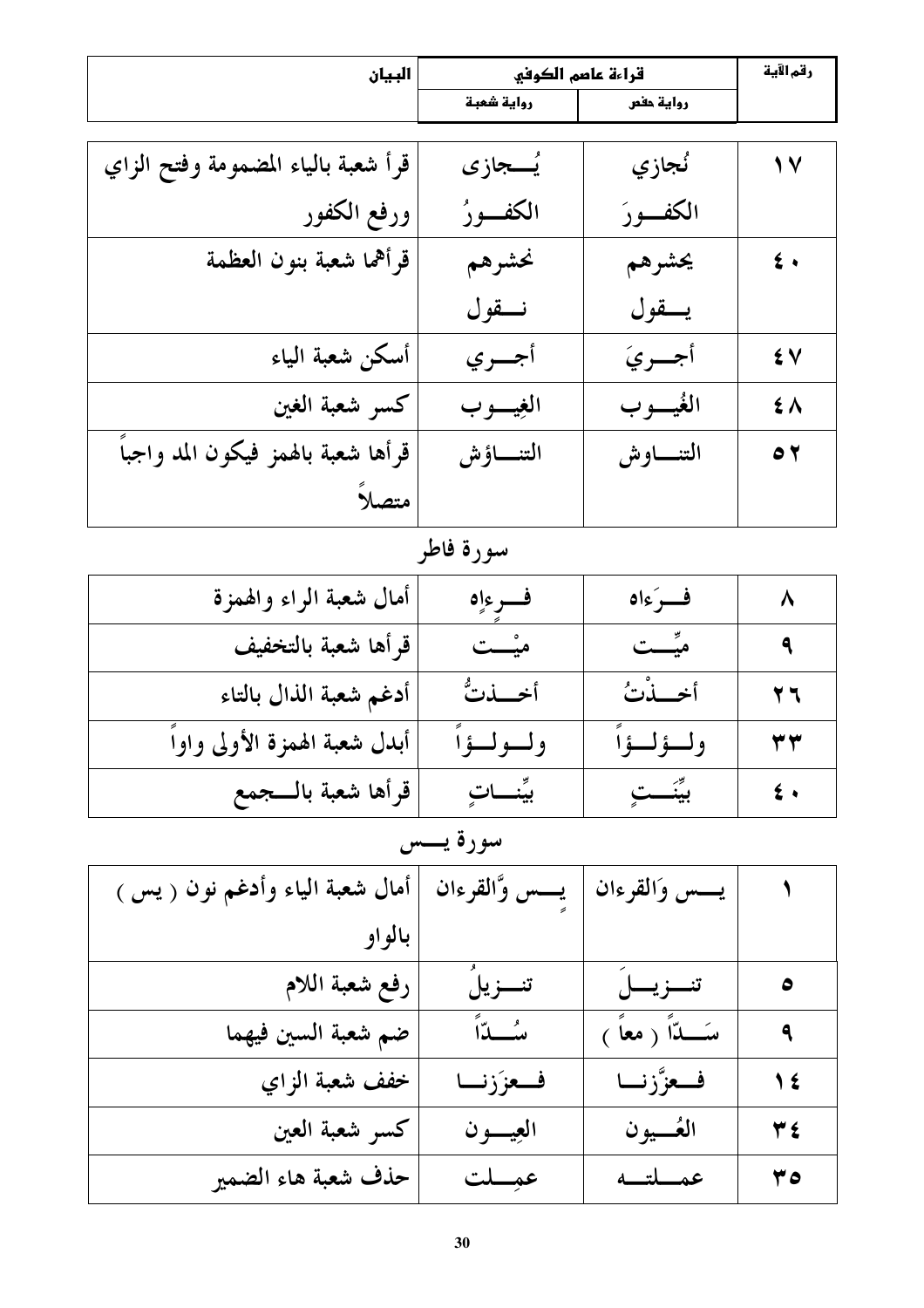| البيان                              | قراءة عاصم الكوفي |              | رقم الآية       |
|-------------------------------------|-------------------|--------------|-----------------|
|                                     | رواية شعبة        | رواية حفص    |                 |
|                                     |                   |              |                 |
| قرأ شعبة بالياء المضمومة وفتح الزاي | يُـــجازى         | نُجازي       | $\sqrt{2}$      |
| ورفع الكفور                         | الكفسورُ          | الكفسورَ     |                 |
| قرأهما شعبة بنون العظمة             | نحشرهم            | يحشرهم       | $\epsilon$ .    |
|                                     | نقول              | يسقول        |                 |
| أسكن شعبة الياء                     | أجسري             | أجسريَ       | ٤V              |
| كسر شعبة الغين                      | الغيسوب           | الغُيــــو ب | $\sharp \wedge$ |
| قرأها شعبة بالهمز فيكون المد واجبأ  | التنساؤش          | التنساوش     | $\bullet$       |
| متصلاً                              |                   |              |                 |
|                                     | سورة فاطر         |              |                 |
| أمال شعبة الراء والهمزة             | فسرءاه            | فسرءاه       | $\lambda$       |
| قرأها شعبة بالتخفيف                 | میْـــت           | میِّـــت     | ٩               |
| أدغم شعبة الذال بالتاء              | أخسذتُ            | أخهلن        | 77              |
| أبدل شعبة الهمزة الأولى واوأ        | ولسولسؤآ          | ولسؤلسؤا     | ۳۳              |
| قرأها شعبة بالسجمع                  | بيِّنـــاتٍ       | بيِّنَـــتِ  | $\epsilon$ .    |

# سورة يـــس

| أمال شعبة الياء وأدغم نون ( يس ) | يسس وَّالقرءان | يسس والقرءان        |                     |
|----------------------------------|----------------|---------------------|---------------------|
| بالو او                          |                |                     |                     |
| رفع شعبة اللام                   | تنسزيلَ        | تنزينل              | $\bullet$           |
| ضم شعبة السين فيهما              | سے آ           | سَــــدّاً ( معاً ) | $\ddot{\mathbf{a}}$ |
| خفف شعبة الزاي                   | فعززنا         | فعزَّزنا            | 1 €                 |
| كسر شعبة العين                   | العيسون        | العُـــيون          | $Y \xi$             |
| حذف شعبة هاء الضمير              | عمِسلت         | عمسلتسه             | 40                  |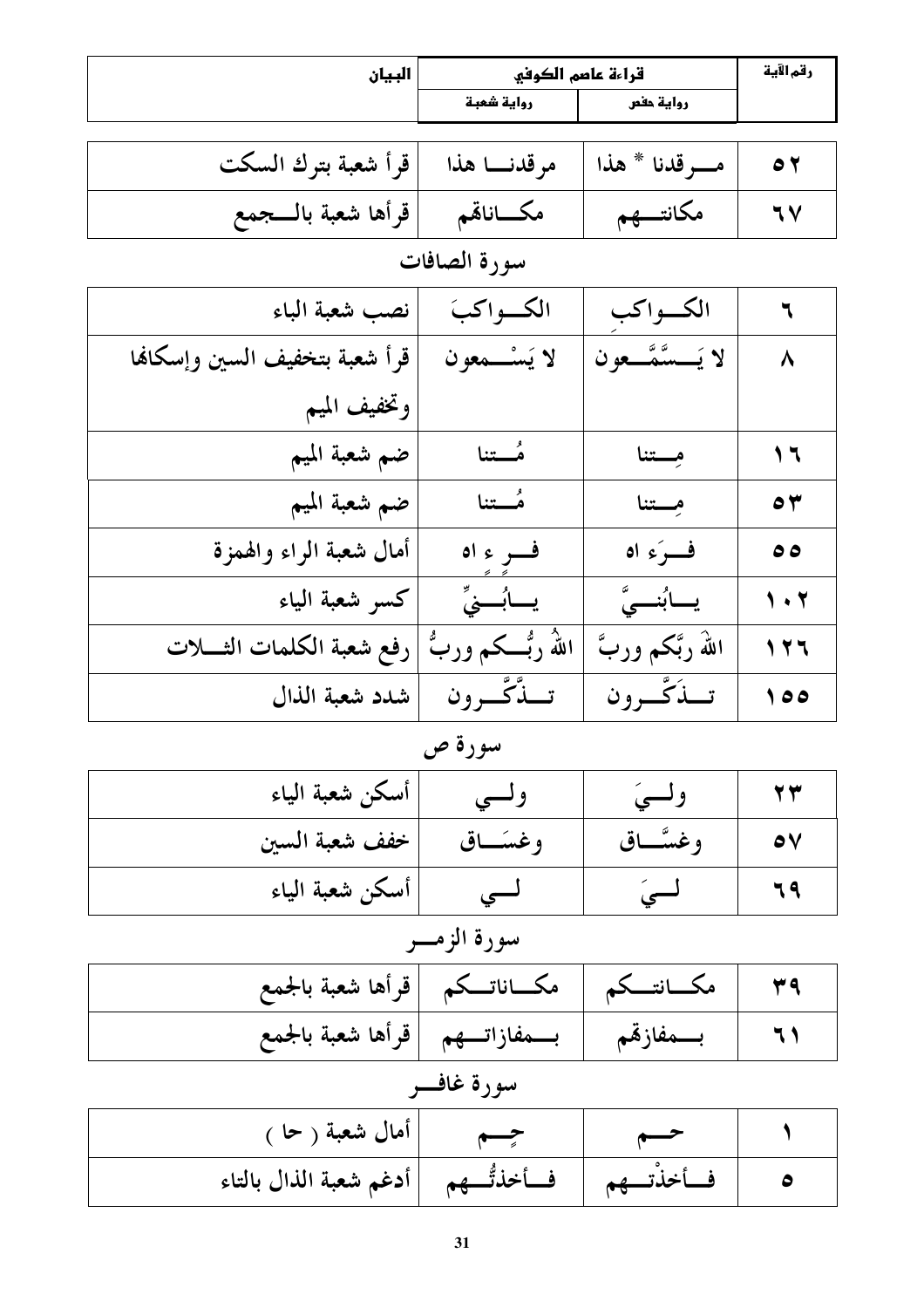| البيان                         | قراءة عاصم الكوفي     |                      | رقم الآية                |
|--------------------------------|-----------------------|----------------------|--------------------------|
|                                | رواية شعبة            | رواية حفص            |                          |
|                                |                       |                      |                          |
| قرأ شعبة بترك السكت            | مرقدنا هذا            | مسرقدنا * هذا        | $\bullet$                |
| قرأها شعبة بالسجمع             | مكساناقم              | مكانتسهم             | $\mathcal{N}$            |
|                                | سورة الصافات          |                      |                          |
| نصب شعبة الباء                 | الكواكبَ              | الكواكب              | ٦                        |
| قرأ شعبة بتخفيف السين وإسكانها | لا يَسْـــمعون        | لا يَـــسَّمَّـــعون | $\lambda$                |
| وتخفيف الميم                   |                       |                      |                          |
| ضم شعبة الميم                  | مُـــتنا              | مستنا                | $\overline{\phantom{a}}$ |
| ضم شعبة الميم                  | مُستنا                | مِسْتَنَا            | $\bullet$                |
| أمال شعبة الراء والهمزة        | فسر ء اه              | فرَءِ اه             | ه ه                      |
| كسر شعبة الياء                 | يسأبُسنيٍّ            | يابُنسىَّ            | $\sqrt{1 + 1}$           |
| رفع شعبة الكلمات الثــــلات    | اللهُ رُبُـــکم وربُّ | اللهُ ربَّكم وربَّ   | 111                      |
| شدد شعبة الذال                 | تبدَّكَّب ون          | تبذَكَّ ون           | $\lozenge$               |

سورة ص

| أسكن شعبة الياء |          |          |  |
|-----------------|----------|----------|--|
| خفف شعبة السين  | وغسَــاق | وغسَّـاق |  |
| أسكن شعبة الياء |          |          |  |

سورة الزمـــر

| ٣٩   مكــــانتـــكم   مكــــاناتـــكم  قرأها شعبة بالجمع  |  |  |
|-----------------------------------------------------------|--|--|
| ٦١   بـــــمفازقم   بـــــمفازاتــــهم  قرأها شعبة بالجمع |  |  |

$$
\over \frac{1}{\sqrt{2\pi}}\frac{1}{\sqrt{2\pi}}\frac{1}{\sqrt{2\pi}}\left(\frac{1}{2}\frac{1}{\sqrt{2\pi}}\right)
$$

| أمال شعبة ( حا )                          |          |  |
|-------------------------------------------|----------|--|
| فأخذتُّـــهم       أدغم شعبة الذال بالتاء | فسأخذتهم |  |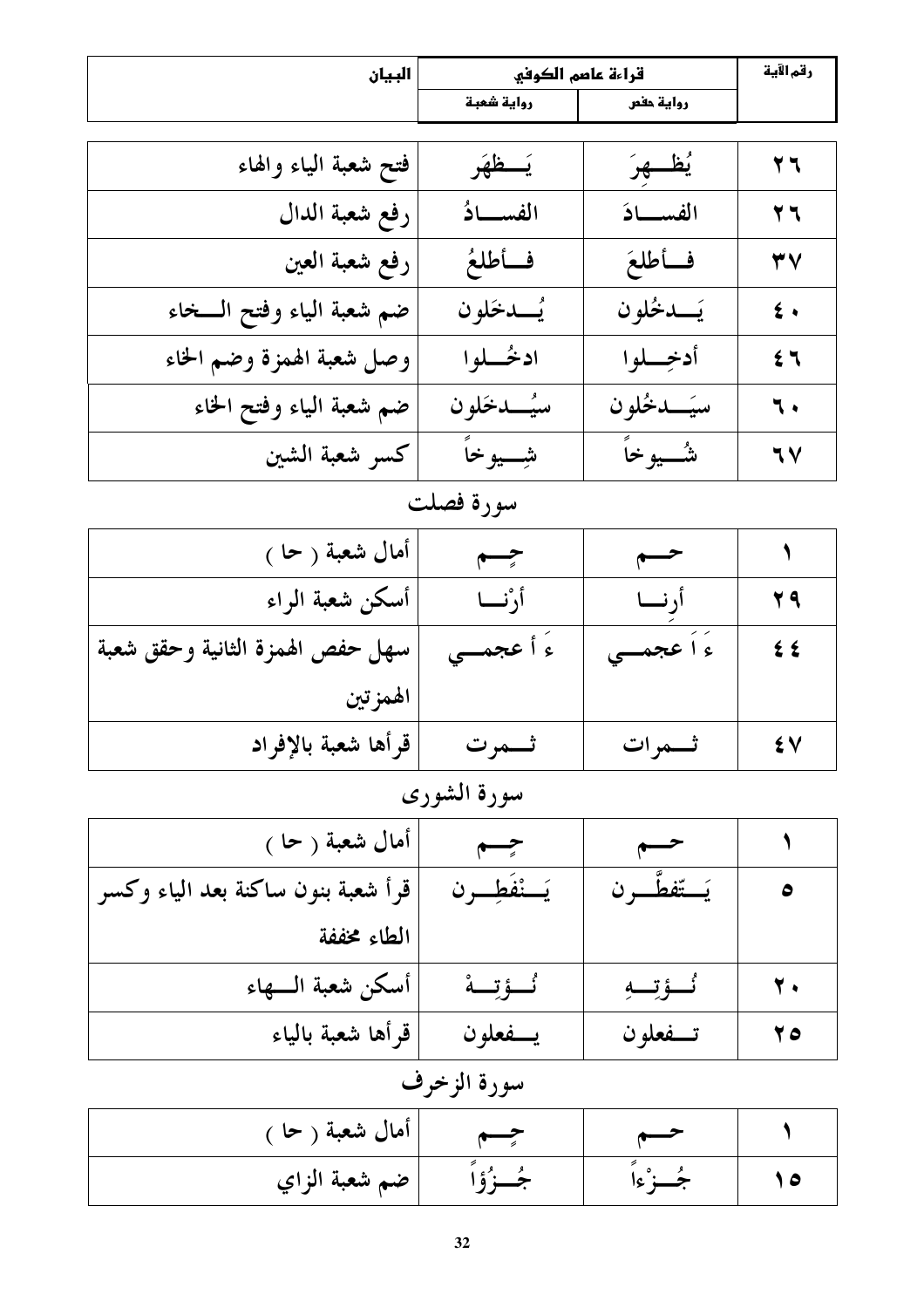|                                                                                                                                                                                                                                | البيان | قراءة عاصم الكوفي |           | رقم الآية |
|--------------------------------------------------------------------------------------------------------------------------------------------------------------------------------------------------------------------------------|--------|-------------------|-----------|-----------|
|                                                                                                                                                                                                                                |        | رواية شعبة        | رواية حفص |           |
|                                                                                                                                                                                                                                |        |                   |           |           |
| and an an and a state of the state of the state of the state of the state of the state of the state of the state of the state of the state of the state of the state of the state of the state of the state of the state of th |        |                   | . .       | --        |

| فتح شعبة الياء والهاء     | يَستظهَر    | <u>يُظـــهِرَ</u> | 27            |
|---------------------------|-------------|-------------------|---------------|
| رفع شعبة الدال            | الفسسادُ    | الفسسادَ          | 27            |
| رفع شعبة العين            | فأطلعُ      | فأطلعَ            | ٣V            |
| ضم شعبة الياء وفتح السخاء | يُسدخَلون   | يَــدخُلون        | $\epsilon$ .  |
| وصل شعبة الهمزة وضم الخاء | ادخُـــلوا  | أدخِسلوا          | $5 -$         |
| ضم شعبة الياء وفتح الخاء  | سيُسدخلون   | سيَــدخُلون       | ٦.            |
| كسر شعبة الشين            | شِــــيوخاً | شـــــــــــوخاً  | $\mathcal{N}$ |

# سورة فصلت

| أمال شعبة ( حا )                 | جسم        | $\overline{\phantom{a}}$ |     |
|----------------------------------|------------|--------------------------|-----|
| أسكن شعبة الراء                  | أرْنسا     | اً, نسا                  | 29  |
| سهل حفص الهمزة الثانية وحقق شعبة | ء أ عجمــي | ءَ اُ عجمــي             | ≵ ≴ |
| الهمز تين                        |            |                          |     |
| قرأها شعبة بالإفراد              | ثـــمرت    | ثـــمرات                 | ٤V  |

# سورة الشورى

| أمال شعبة ( حا )                   | جسم            |             |              |
|------------------------------------|----------------|-------------|--------------|
| قرأ شعبة بنون ساكنة بعد الياء وكسر | يَسْنْفَطِسُون | يَستّفطَ ون |              |
| الطاء مخففة                        |                |             |              |
| أسكن شعبة السهاء                   | ئُــؤتِــة     | ئَــؤتِــةِ | $\mathbf{Y}$ |
| قرأها شعبة بالياء                  | يـــفعلون      | تسفعلون     | 70           |

# سورة الزخرف

| أمال شعبة ( حا ً ٍ |          |  |
|--------------------|----------|--|
| ضم شعبة الزاي      | $\Delta$ |  |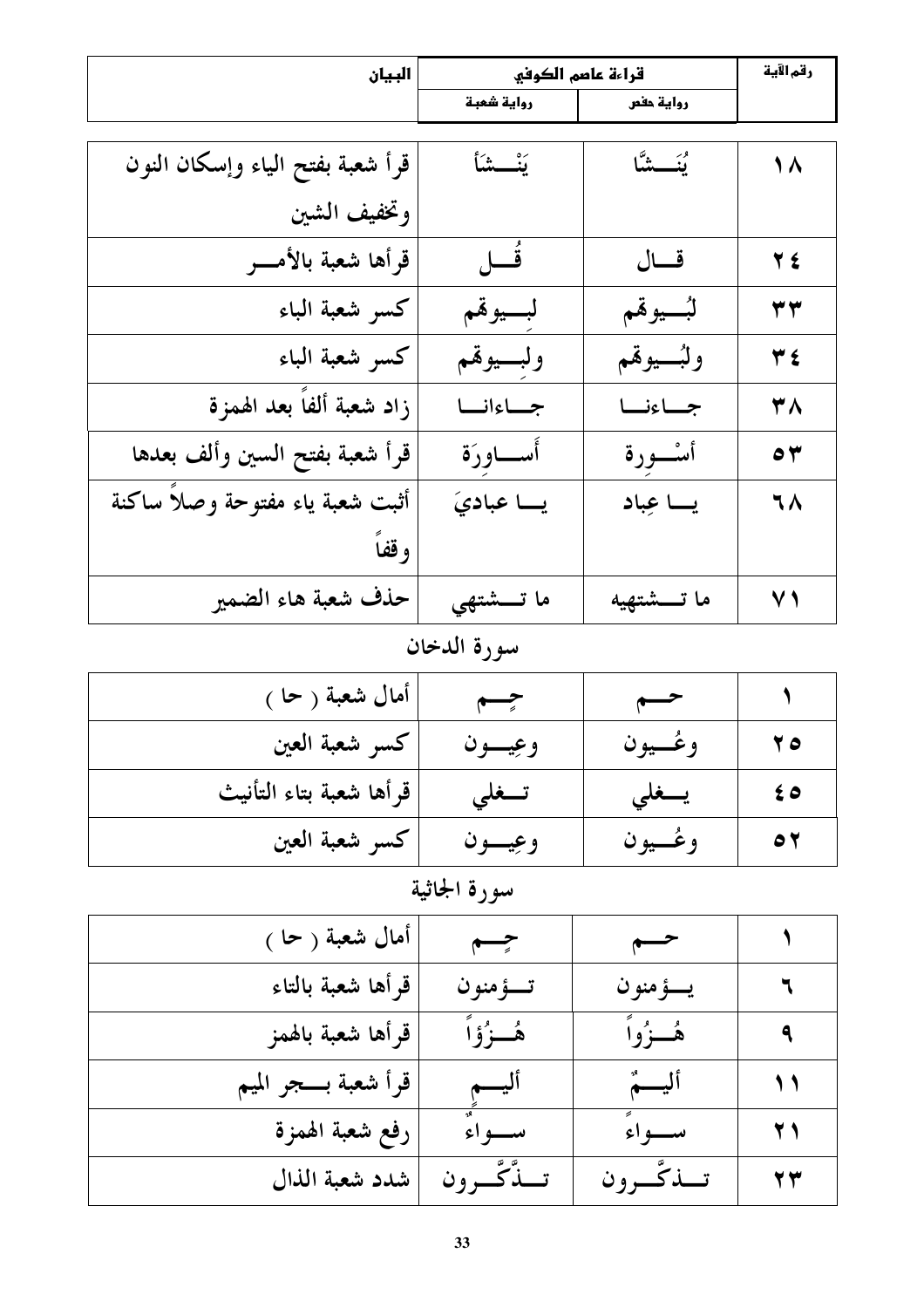| البيان                           | قراءة عاصم الكوفي |              | رقم الآية  |
|----------------------------------|-------------------|--------------|------------|
|                                  | رواية شعبة        | رواية حفص    |            |
|                                  |                   |              |            |
| قرأ شعبة بفتح الياء وإسكان النون | يَنْــــشَأ       | يُنَـــشَّا  | 1 ^        |
| وتخفيف الشين                     |                   |              |            |
| قرأها شعبة بالأمسر               | قَـــل            | قسال         | $Y \n\leq$ |
| كسر شعبة الباء                   | لبسيوقمم          | لبُسيوقهم    | ۳۳         |
| كسر شعبة الباء                   | ولبسيوقمم         | ولبُسيوقم    | ٣٤         |
| زاد شعبة ألفاً بعد الهمزة        | جساءانسا          | جساءنا       | ۳۸         |
| قرأ شعبة بفتح السين وألف بعدها   | أســاورَة         | أســــورة    | $\circ$    |
| أثبت شعبة ياء مفتوحة وصلأ ساكنة  | يسا عباديَ        | یسا عِباد    | ٦٨         |
| وقفاً                            |                   |              |            |
| حذف شعبة هاء الضمير              | ما تـــشتهي       | ما تـــشتهيه | $\vee$ )   |
|                                  |                   |              |            |

#### سورة الدخان

| أمال شعبة ( حا )        | حسم     | $\rightarrow$ |                  |
|-------------------------|---------|---------------|------------------|
| كسر شعبة العين          | وعيسون  | وغــيون       | 70               |
| قرأها شعبة بتاء التأنيث | تـــغلى | يسغلى         | $\epsilon \circ$ |
| كسر شعبة العين          | وعيسون  | وغسيون        | $\bullet$        |

| أمال شعبة ( حا )    | حسم         | $\overline{\phantom{a}}$ |    |
|---------------------|-------------|--------------------------|----|
| قرأها شعبة بالتاء   | تـــؤ منو ن | يسؤمنون                  | ٦  |
| قرأها شعبة بالهمز   | ۿؙڂۯؙۄٞٲۘ   | هُــزُواً                | ٩  |
| قرأ شعبة بسجر الميم | أليسم       | أليم                     | 11 |
| رفع شعبة الهمزة     | سواءٌ       | سواءً                    | 21 |
| شدد شعبة الذال      | تسذكرون     | تسذكّرون                 | 27 |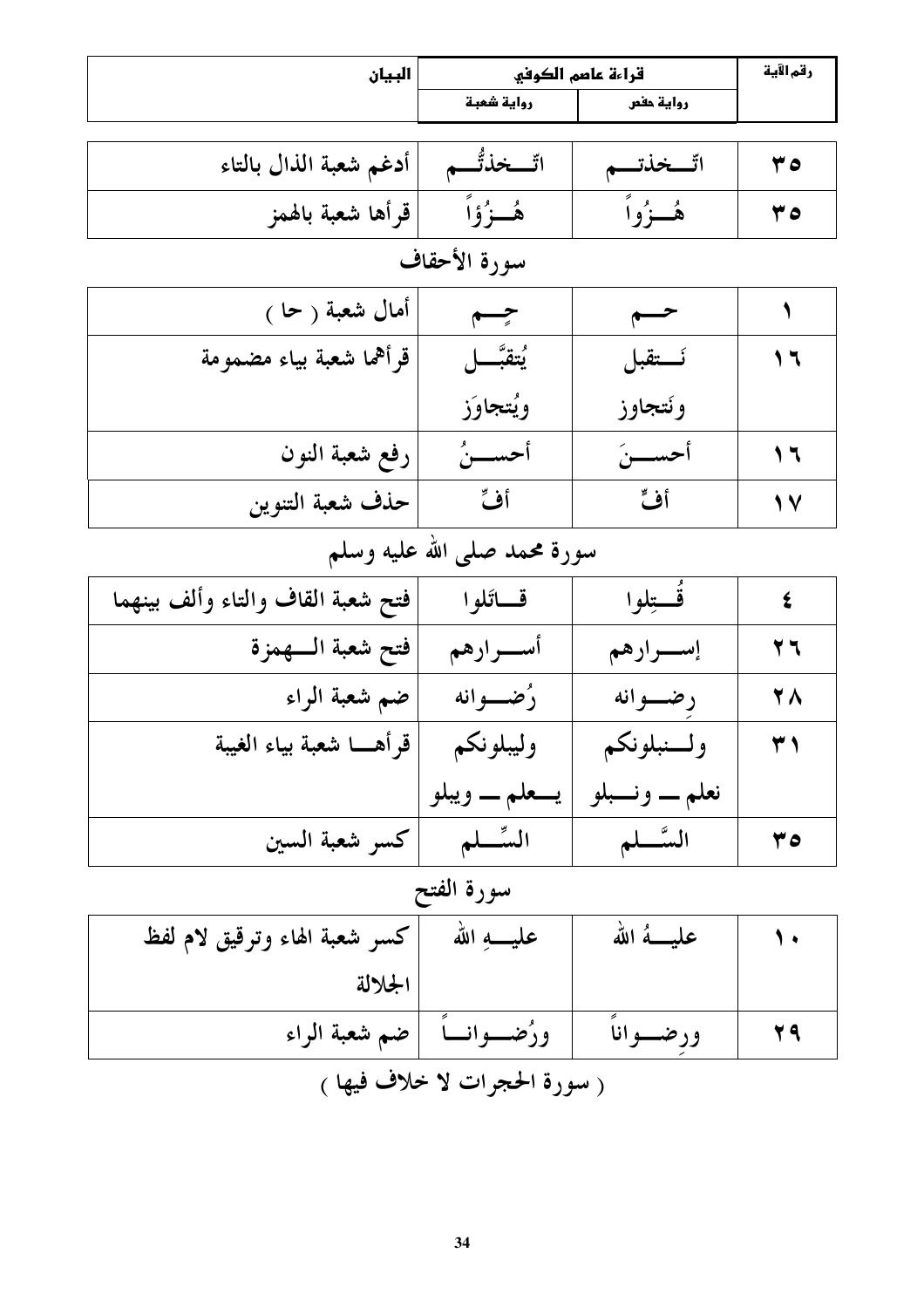| البيان                            |                               | قراءة عاصم الكوفي        | رقم الآية                |
|-----------------------------------|-------------------------------|--------------------------|--------------------------|
|                                   | رواية شعبة                    | رواية حفص                |                          |
| أدغم شعبة الذال بالتاء            | اتّـــخذتَّـــم               | اتّــخذتــم              | ه ۳                      |
| قرأها شعبة بالهمز                 | ۿؙڂۯؙۉٙٳٞ                     | هُــزُواً                | ه ۳                      |
|                                   | سورة الأحقاف                  |                          |                          |
| أمال شعبة ( حا )                  | جسم                           | $\overline{\phantom{a}}$ | ١                        |
| قرأهما شعبة بياء مضمومة           | ؽؾڦ <u>ڹَّ</u> ـــل           | نستقبل                   | $\mathcal{L}$            |
|                                   | ويُتجاوَز                     | ونتجاوز                  |                          |
| رفع شعبة النون                    | أحســــنُ                     | أحســـنَ                 | $\overline{\phantom{a}}$ |
| حذف شعبة التنوين                  | أف                            | أف                       | 1 V                      |
|                                   | سورة محمد صلى الله عليه وسلم  |                          |                          |
| فتح شعبة القاف والتاء وألف بينهما | قساتلوا                       | قُستِلوا                 | $\boldsymbol{\xi}$       |
| فتح شعبة السهمزة                  | أســـرارهم                    | إســـرارهم               | 77                       |
| ضم شعبة الراء                     | رُضــــوانه                   | رضوانه                   | <b>YA</b>                |
| قرأهـــا شعبة بياء الغيبة         | وليبلونكم                     | ولسنبلونكم               | ۳۱                       |
|                                   | يـــعلم ــــ ويبلو            | نعلم ــــ ونــــبلو      |                          |
| كسر شعبة السين                    | السِّسْلم                     | السَّــلم                | 0 ۲                      |
|                                   | سورة الفتح                    |                          |                          |
| كسر شعبة الهاء وترقيق لام لفظ     | عليــــهِ الله                | عليـــهُ الله            |                          |
| الجلالة                           |                               |                          |                          |
| ضم شعبة الراء                     | ورَضــوانــا                  | ورضسوانا                 | 29                       |
|                                   | ( سورة الحجرات لا خلاف فيها ) |                          |                          |
|                                   |                               |                          |                          |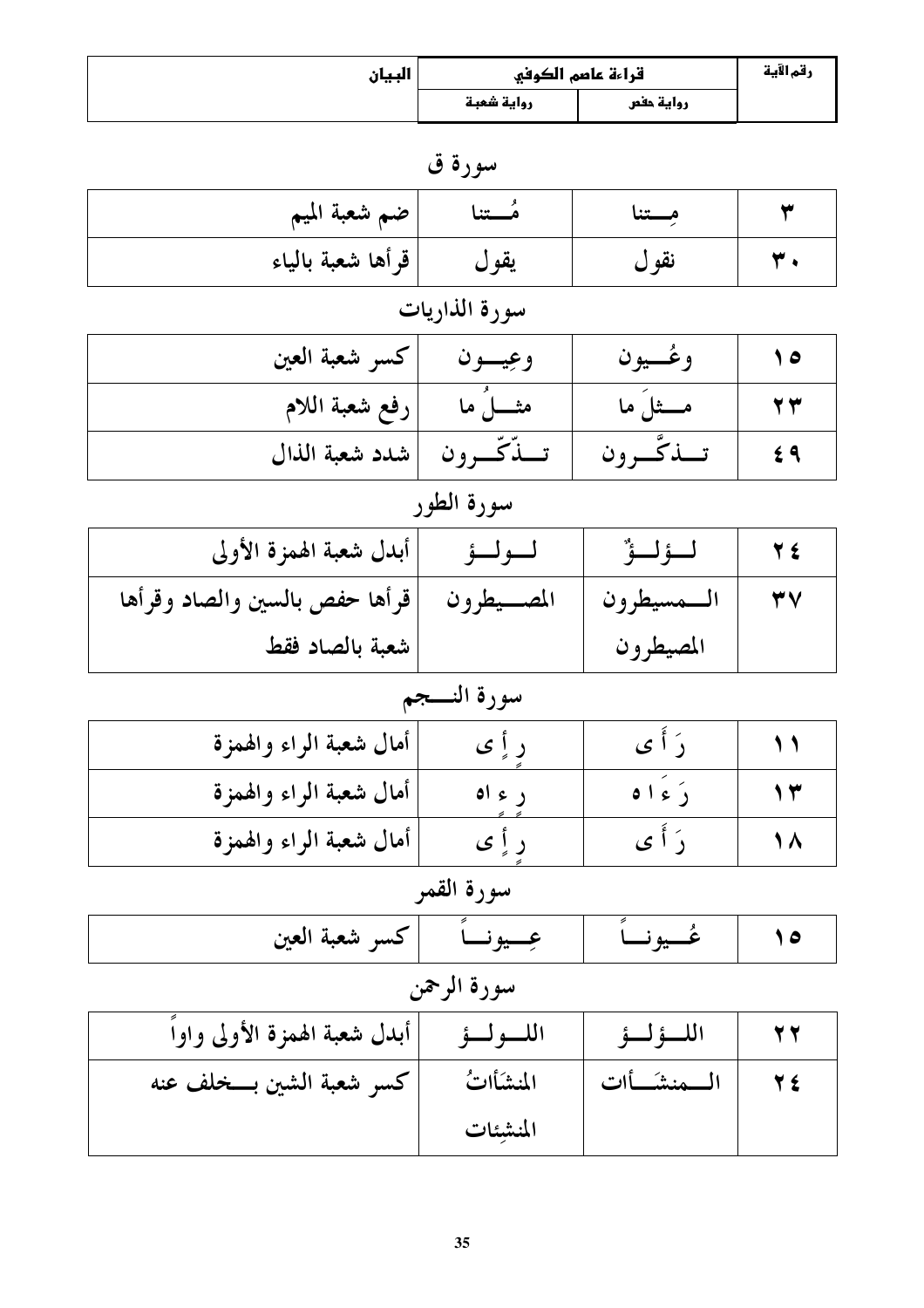| البيان |            | قراءة عاصم الكوفي | رقم الآية |
|--------|------------|-------------------|-----------|
|        | رواية شعبة | رواية حفص         |           |

سورة ق

| ضم شعبة الميم     | مـــتنا | مــــتنا |  |
|-------------------|---------|----------|--|
| قرأها شعبة بالياء | يقول    | نقول     |  |

#### سورة الذاريات

| كسر شعبة العين           | وعِيـــون    | وغسيون     |  |
|--------------------------|--------------|------------|--|
| رفع شعبة اللام           | مثــــــل ما | مــــثل ما |  |
| تسذكسرون  شدد شعبة الذال |              | تسذكسرون   |  |

# سورة الطور

| أبدل شعبة الهمزة الأولى                      | ــولــۂ |              |  |
|----------------------------------------------|---------|--------------|--|
| المصـــيطرون  قرأها حفص بالسين والصاد وقرأها |         | السمسيطرون ا |  |
| شعبة بالصاد فقط                              |         | المصيطرون    |  |

# سورة النسجم

| أمال شعبة الراء والهمزة |        |        |  |
|-------------------------|--------|--------|--|
| أمال شعبة الراء والهمزة | د ع اه | دَ ءاه |  |
| أمال شعبة الراء والهمزة | ر پا ی |        |  |

# سورة القمر

| دسر شعبه العين<br>$\rightarrow$ $\rightarrow$ |
|-----------------------------------------------|
|-----------------------------------------------|

# سورة الرحمن

| أبدل شعبة الهمزة الأولى واواً | اللسولسؤ  | اللؤلؤ        |  |
|-------------------------------|-----------|---------------|--|
| كسر شعبة الشين بسخلف عنه      | المنشأاتُ | ــــمنشـــأات |  |
|                               | المنشئات  |               |  |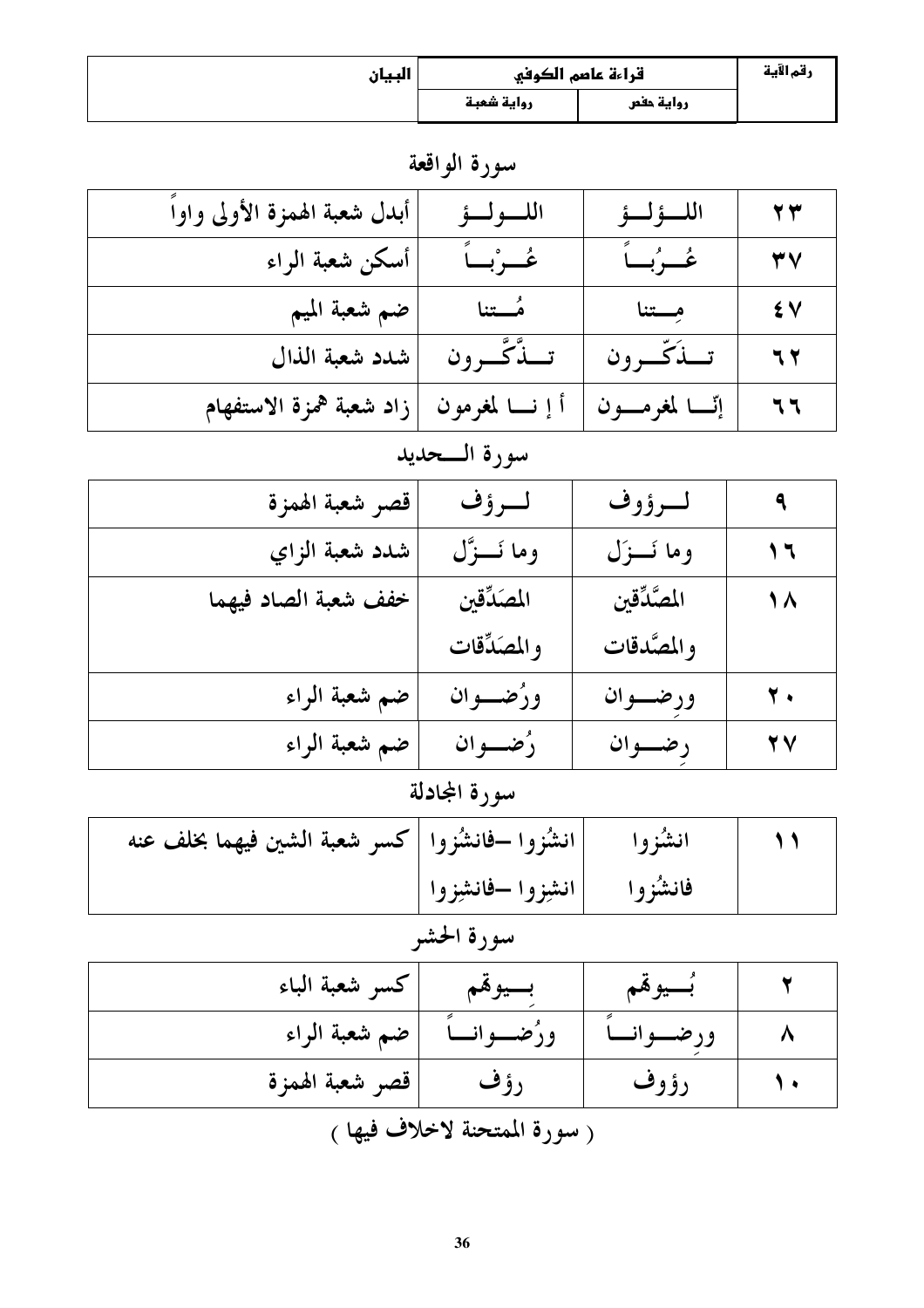| البيان |            | قراءة عاصم الكوفي | رقم الآية |
|--------|------------|-------------------|-----------|
|        | رواية شعبة | رواية حفص         |           |

سورة الواقعة

| أبدل شعبة الهمزة الأولى واوأ | اللسولسؤ          | اللسؤلسؤ        | $\mathbf{y}$ |
|------------------------------|-------------------|-----------------|--------------|
| أسكن شعبة الراء              | عُسرْبِياً        | عُسِرُبِ)ً      | ٣V           |
| ضم شعبة الميم                | مُـــتنا          | مستنا           | ٤V           |
| شدد شعبة الذال               | تسذَّكَّسرون      | تسذكّسرون       | 77           |
| زاد شعبة همزة الاستفهام      | أ إ نـــا لمغرمون | إٽا لمغرمــــون | 77           |

#### سورة المحديد

| قصر شعبة الهمزة      | لرؤف          | لسرؤوف       | ٩                       |
|----------------------|---------------|--------------|-------------------------|
| شدد شعبة الزاي       | وما نَـــزَّل | وما نَسزَل   | ۲ ا                     |
| خفف شعبة الصاد فيهما | المصَدِّقين   | المصَّدِّقين | $\Lambda$               |
|                      | والمصَدِّقات  | والمصَّدقات  |                         |
| ضم شعبة الراء        | ورُضــوان     | ورضسوان      | $\mathbf{y}$ .          |
| ضم شعبة الراء        | رُضــوان      | رضوان        | $\mathbf{Y} \mathbf{V}$ |

# سورة المجادلة

| انشُزوا –فانشُزوا  كسر شعبة الشين فيهما بخلف عنه |                                          | انشزوا |  |
|--------------------------------------------------|------------------------------------------|--------|--|
|                                                  | فانشُزوا  انشِزوا ـفانشِزوا <sub> </sub> |        |  |

# سورة الحشر

| كسر شعبة الباء                                                                      | بسيوهم        | بسيوقم      |  |  |
|-------------------------------------------------------------------------------------|---------------|-------------|--|--|
| ضم شعبة الراء                                                                       | ورُضــــوانــ |             |  |  |
| قصر شعبة الهمزة                                                                     | ر ؤ ف         | <b>رؤوف</b> |  |  |
| $\lambda$ l $\lambda$ $\lambda$ and $\lambda$ l $\lambda$ is $\lambda$ is $\lambda$ |               |             |  |  |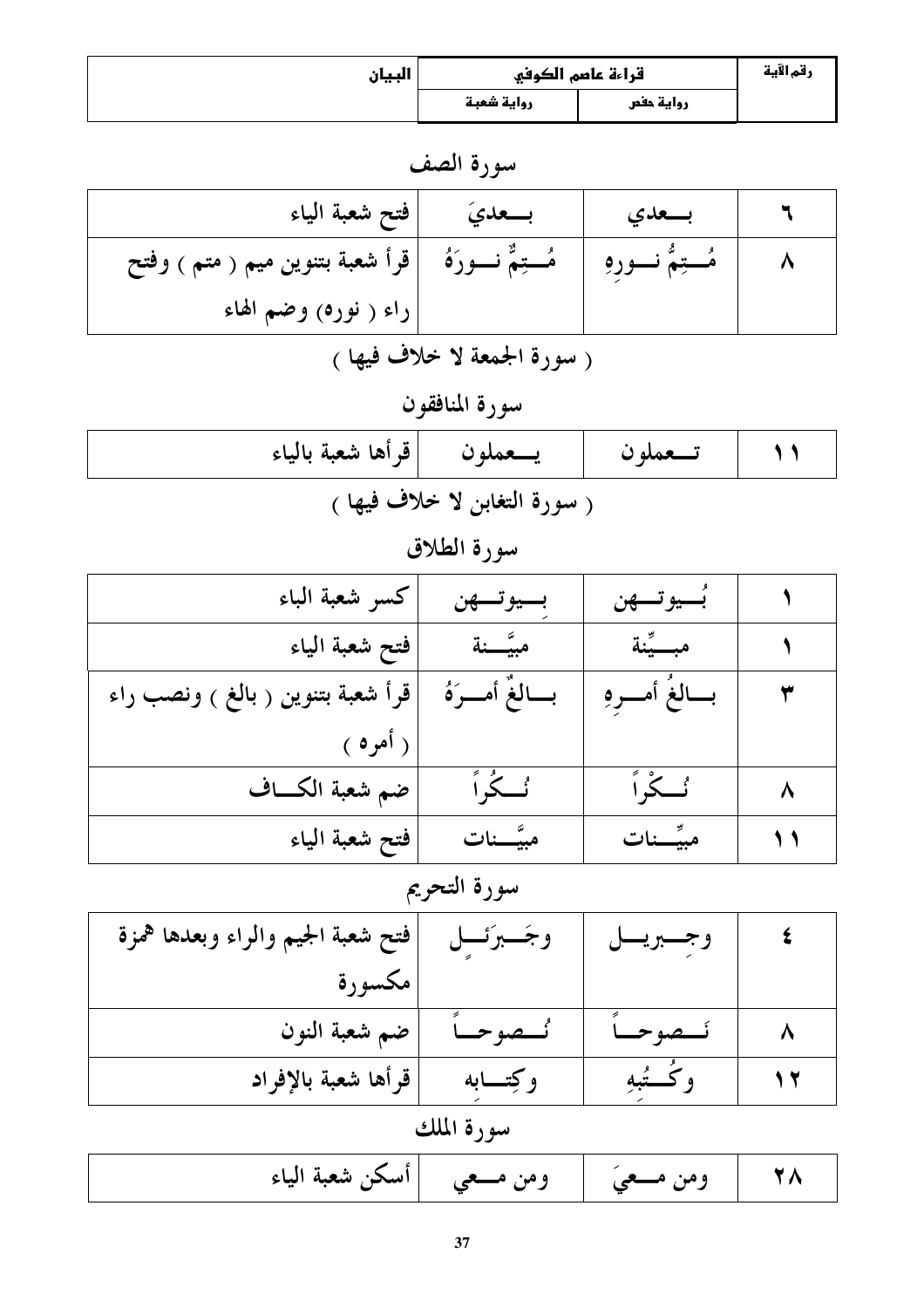| البيان |            | قراءة عاصم الكوفي | رقم الآية |
|--------|------------|-------------------|-----------|
|        | رواية شعبة | رواية حفص         |           |

سورة الصف

| فتح شعبة الياء                                           | بسعديَ | بسعدي               |  |
|----------------------------------------------------------|--------|---------------------|--|
| هُـــتِمٌّ نـــورَهُ ﴾ [قرأ شعبة بتنوين ميم ( متم ) وفتح |        | مُـــتِمٌّ نـــورهِ |  |
| راء ( نوره) وضم الهاء                                    |        |                     |  |

( سورة الجمعة لا خلاف فيها )

سورة المنافقون

| تــــعملون   يــــعملون  قرأها شعبة بالياء |  |
|--------------------------------------------|--|
| ( سورة التغابن لا خلاف فيها )              |  |

سورة الطلاق

| كسو شعبة الباء                    | بسيوتسهن       | بَسيوتسهن   |  |
|-----------------------------------|----------------|-------------|--|
| فتح شعبة الياء                    | مبيَّـــنة     | مبسيَّنة    |  |
| قرأ شعبة بتنوين ( بالغ ) ونصب راء | بسالغَ أمسرَهُ | بسالغ أمسرو |  |
| ( أمره /                          |                |             |  |
| ضم شعبة الكساف                    | ٸ <b>ػ</b> ڔٲ  | ئے ً،       |  |
| فتح شعبة الياء                    | مبيَّـــنات    | مبيِّــنات  |  |

#### سورة التحريم

| فتح شعبة الجيم والراء وبعدها همزة | وجَــبرَئـــل | وجسبريسا   |  |
|-----------------------------------|---------------|------------|--|
| مكسورة                            |               |            |  |
| ضم شعبة النون                     | هوحياً        | حصوحياً    |  |
| قرأها شعبة بالإفراد               | وكتسابه       | وكُسُّبُهِ |  |

|  | ومن مـــعيَ      ومن مـــعى     أسكن شعبة الياء |  |  |  |
|--|-------------------------------------------------|--|--|--|
|--|-------------------------------------------------|--|--|--|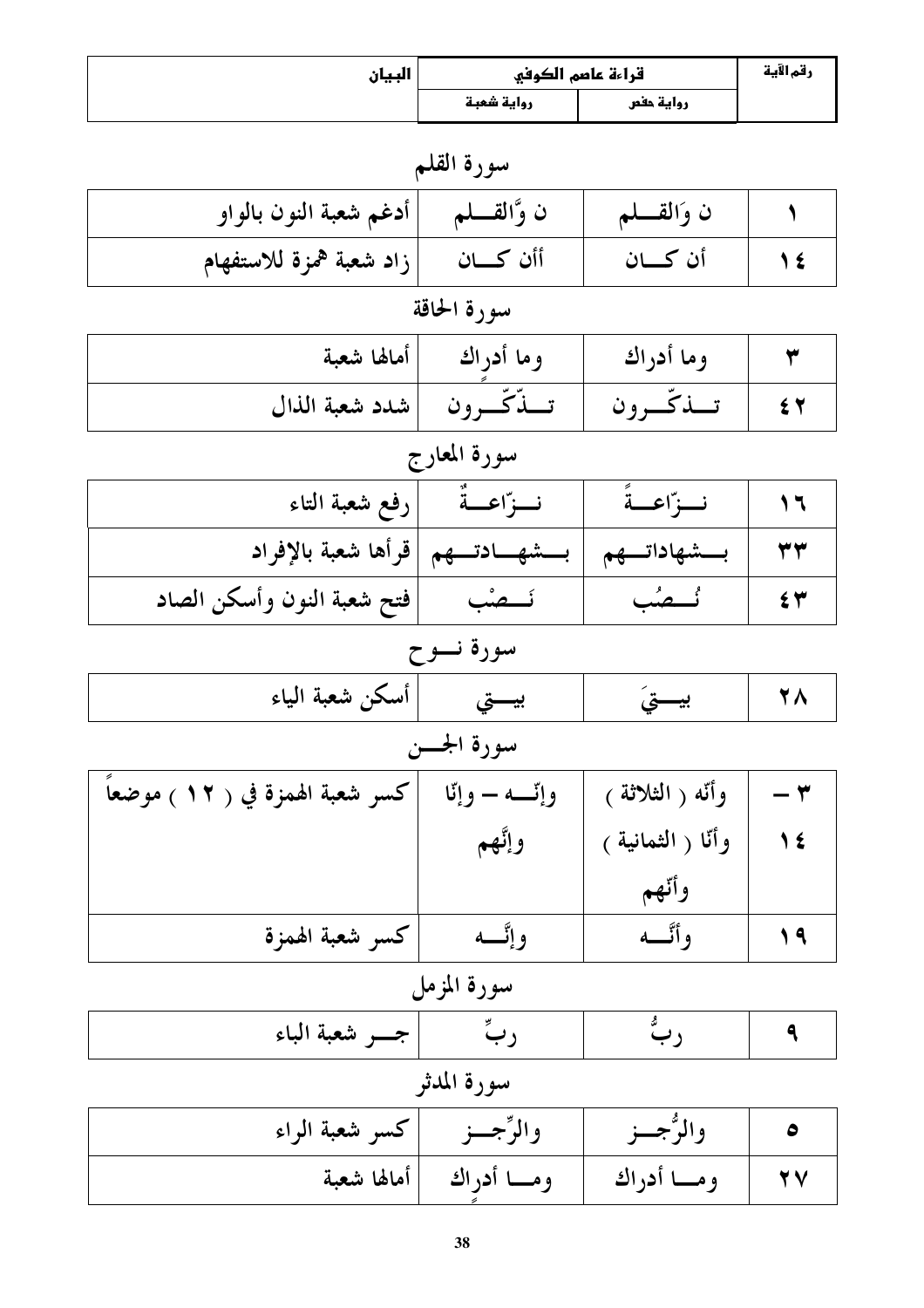| البيان                          | قراءة عاصم الكوفي |                    | رقم الآية                |  |  |
|---------------------------------|-------------------|--------------------|--------------------------|--|--|
|                                 | رواية شعبة        | رواية حفص          |                          |  |  |
|                                 | سورة القلم        |                    |                          |  |  |
| أدغم شعبة النون بالواو          | ن وَّالقــــلم    | ن وَالقسلم         |                          |  |  |
| زاد شعبة همزة للاستفهام         | أأن كسان          | أن كـــان          | 1 €                      |  |  |
|                                 | سورة الحاقة       |                    |                          |  |  |
| أمالها شعبة                     | وما أدراك         | وما أدراك          | ٣                        |  |  |
| شدد شعبة الذال                  | تنكّرون           | تبذكّرون           | 54                       |  |  |
|                                 | سورة المعارج      |                    |                          |  |  |
| رفع شعبة التاء                  | نسوّاعسةٌ         | نسرّاعسةً          | $\overline{\phantom{a}}$ |  |  |
| قرأها شعبة بالإفراد             | بــشهــادتــهم    | بـــشهاداتـــهم    | ۳۳                       |  |  |
| فتح شعبة النون وأسكن الصاد      | ئـــصْب           | ئسصُب              | $\epsilon$ ۳             |  |  |
| سورة نسوح                       |                   |                    |                          |  |  |
| أسكن شعبة الياء                 | بيستي             | بيستيَ             | 28                       |  |  |
|                                 | سورة الجـــن      |                    |                          |  |  |
| كسر شعبة الهمزة في ( ١٢ ) موضعا | وإٽسه — وإٽا      | وأنّه ( الثلاثة )  | - ۳                      |  |  |
|                                 | وإنَّهم           | وأنّا ( الثمانية ) | $\sqrt{\epsilon}$        |  |  |
|                                 |                   | وأتهم              |                          |  |  |
| كسر شعبة الهمزة                 | وإتسه             | وأتسه              | 19                       |  |  |
| سورة المزمل                     |                   |                    |                          |  |  |
| جسو شعبة الباء                  | ربٌ               | ربٌ                | ٩                        |  |  |
|                                 | سورة المدثر       |                    |                          |  |  |
| كسر شعبة الراء                  | والرِّجِـــزِ     | والرُّجِـــز       | $\bullet$                |  |  |
| أمالها شعبة                     | ومـــا أدراك      | ومسا أدراك         | 2 Y                      |  |  |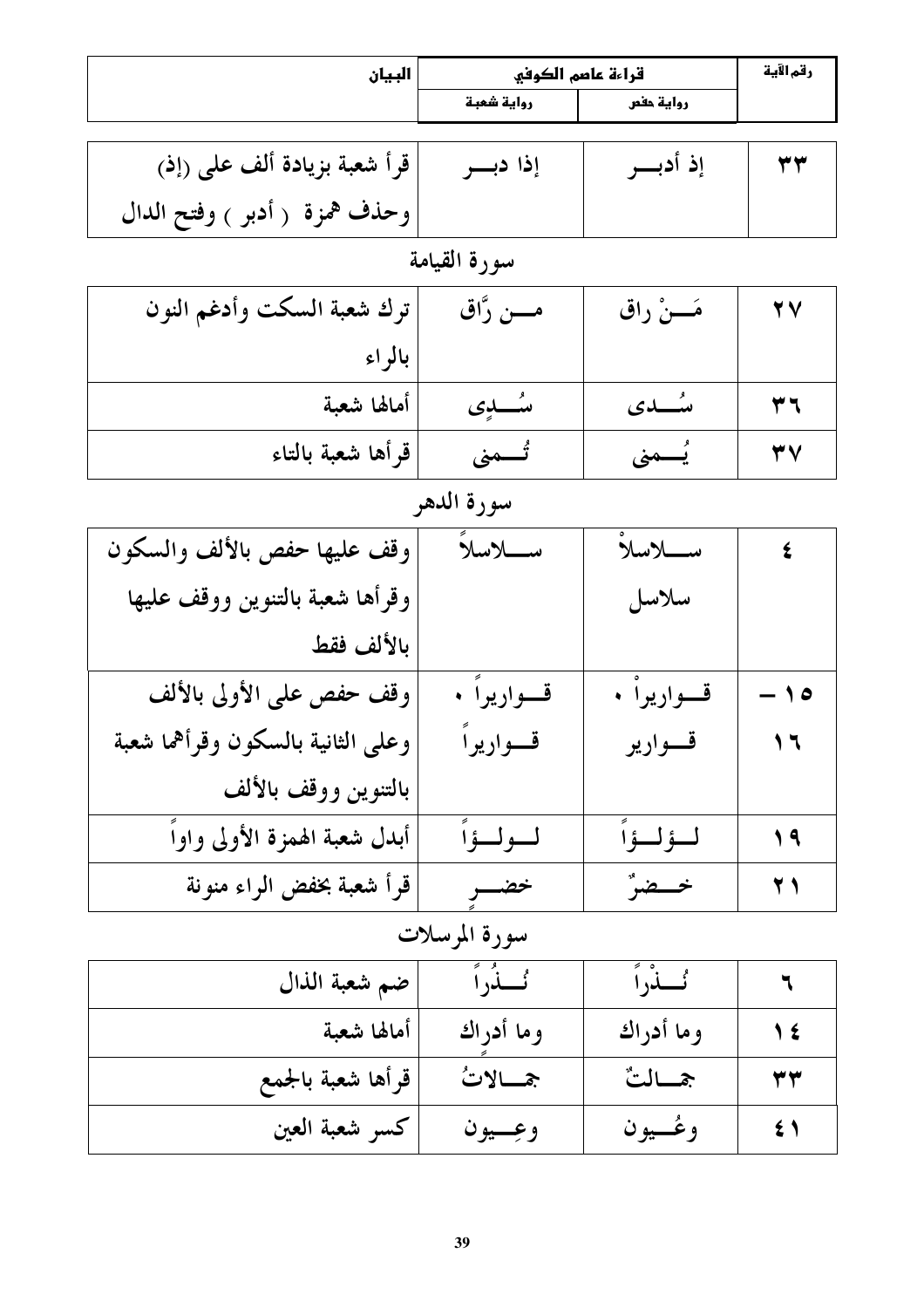| البيان                            | قراءة عاصم الكوفي |                  | رقم الآية                                  |
|-----------------------------------|-------------------|------------------|--------------------------------------------|
|                                   | رواية شعبة        | رواية حفص        |                                            |
|                                   |                   |                  |                                            |
| قرأ شعبة بزيادة ألف على (إذ)      | إذا دبسر          | إذ أدبـــر       | ٣٣                                         |
| وحذف همزة ( أدبر ) وفتح الدال     |                   |                  |                                            |
|                                   | سورة القيامة      |                  |                                            |
| ترك شعبة السكت وأدغم النون        | مــــن رَّاق      | مَـــنْ راق      | $\overline{Y}V$                            |
| بالراء                            |                   |                  |                                            |
| أمالها شعبة                       | ىئىسلەي           | ىئىسىدى          | ۳٦                                         |
| قرأها شعبة بالتاء                 | تُـــمنى          | يُـــمنى         | 37                                         |
|                                   | سورة الدهر        |                  |                                            |
| وقف عليها حفص بالألف والسكون      | سلاسلاً           | سلاسلا           | $\epsilon$                                 |
| وقرأها شعبة بالتنوين ووقف عليها   |                   | سلاسل            |                                            |
| بالألف فقط                        |                   |                  |                                            |
| وقف حفص على الأولى بالألف         | قسواريواً •       | قسواريوا •       | $-10$                                      |
| وعلى الثانية بالسكون وقرأهما شعبة | قسواريرا          | قسوارير          | $\begin{array}{c} \n\lambda \n\end{array}$ |
| بالتنوين ووقف بالألف              |                   |                  |                                            |
| أبدل شعبة الهمزة الأولى واواً     | لولوا             | لولوا            | 19                                         |
| قرأ شعبة بخفض الراء منونة         | خضـــر            | خصضرٌ            | 21                                         |
|                                   | سورة المرسلات     |                  |                                            |
| ضم شعبة الذال                     | ئَـــنُراً        | ٸ <b>ڶ</b> ۮ۠ڔٲؖ | ٦                                          |
| أمالها شعبة                       | وما أدراك         | وما أدراك        | 1 €                                        |
| قرأها شعبة بالجمع                 | جمسالاتُ          | جمسالتٌ          | ۳۳                                         |
| كسر شعبة العين                    | وعِسيون           | وغسيون           | $\epsilon$ )                               |

 $\mathbf{r}$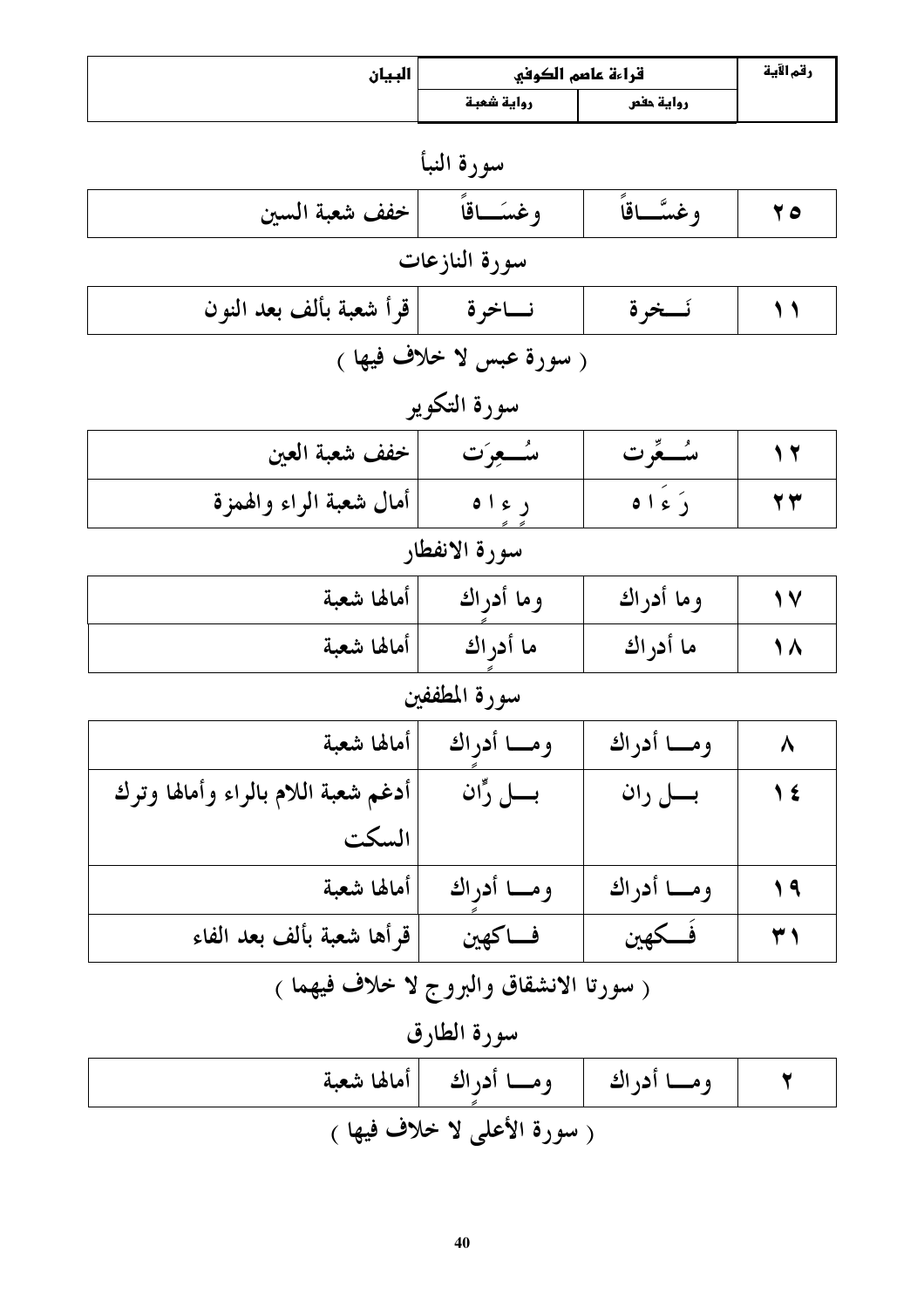| البيان                                   | قراءة عاصم الكوفي            | رقم الآية  |     |  |
|------------------------------------------|------------------------------|------------|-----|--|
|                                          | رواية شعبة                   | رواية حفص  |     |  |
|                                          | سورة النبأ                   |            |     |  |
| خفف شعبة السين                           | وغسَــاقاً                   | وغسَّـاقاً | 70  |  |
|                                          | سورة النازعات                |            |     |  |
| قرأ شعبة بألف بعد النون                  | نساخرة                       | نسخرة      | ۱۱  |  |
|                                          | ( سورة عبس لا خلاف فيها )    |            |     |  |
|                                          | سورة التكوير                 |            |     |  |
| خفف شعبة العين                           | مئسعوت                       | مئىگرت     | 17  |  |
| أمال شعبة الراء والهمزة                  | ر ء ۱ ه                      | دَ ءَ ١٥   | 23  |  |
| سورة الانفطار                            |                              |            |     |  |
| أمالها شعبة                              | وما أدراك                    | وما أدراك  | 17  |  |
| أمالها شعبة                              | ما أدراك                     | ما أدر اك  | 18  |  |
| سورة المطففين                            |                              |            |     |  |
| أمالها شعبة                              | ومــا أدراك                  | ومسا أدراك | Λ   |  |
| أدغم شعبة اللام بالراء وأمالها وترك      | بسل رًّان                    | بــــل ران | 1 € |  |
| السكت                                    |                              |            |     |  |
| أمالها شعبة                              | ومسا أدراك                   | ومسا أدراك | 19  |  |
| قرأها شعبة بألف بعد الفاء                | فساكهين                      | فكهين      | 21  |  |
| ( سورتا الانشقاق والبروج لا خلاف فيهما ) |                              |            |     |  |
|                                          | سورة الطارق                  |            |     |  |
| أمالها شعبة                              | ومــا أدراك                  | ومسا أدراك | ٢   |  |
|                                          | ( سورة الأعلى لا خلاف فيها ) |            |     |  |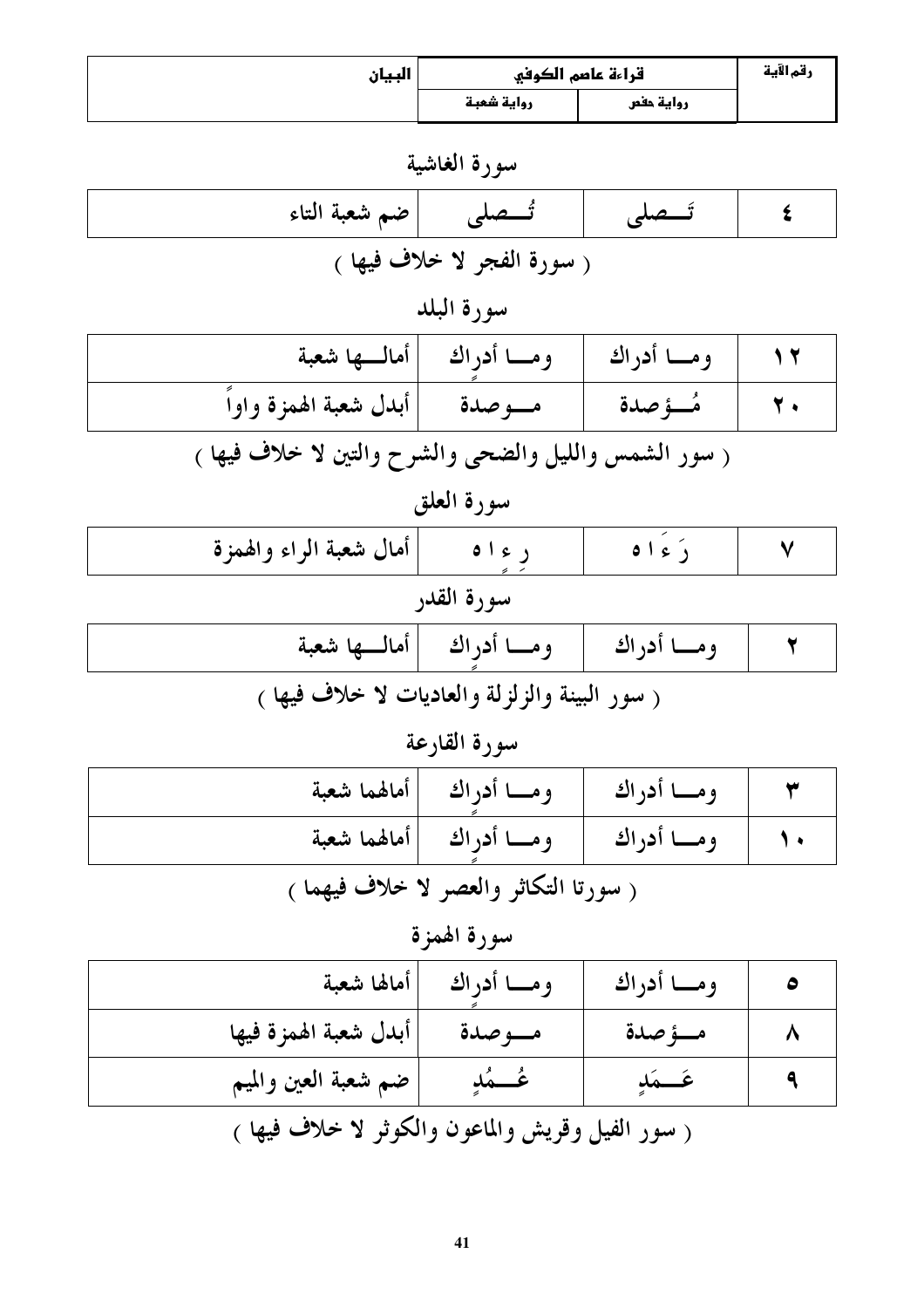| البيان |            | قراءة عاصم الكوفي | رقم الآية |
|--------|------------|-------------------|-----------|
|        | رواية شعبة | رواية حفص         |           |

سورة الغاشية

| تَـــصلى  ضم شعبة التاء     |  |  |  |
|-----------------------------|--|--|--|
| ر سورة الفجر لا خلاف فيها ) |  |  |  |

# سورة البلد

|                                                                                  | ومـــا أدراك     ومــــا أدراك  أمالــــها شعبة |            |  |
|----------------------------------------------------------------------------------|-------------------------------------------------|------------|--|
| ا مــــوصدة   أبدل شعبة الهمزة واواً                                             |                                                 | ، مُــؤصدة |  |
| ,一个人的手机,一个人的手机,一个人的手机,一个人的手机,一个人的手机,一个人的手机,一个人的手机,一个人的手机,一个人的手机,一个人的手机,一个人的手机,一个 |                                                 |            |  |

سورة العلق

| أمال شعبة الراء والهمزة                                                                                                                                                                                                                      | ر ءاه                        | 0121       |  |
|----------------------------------------------------------------------------------------------------------------------------------------------------------------------------------------------------------------------------------------------|------------------------------|------------|--|
| سورة القدر                                                                                                                                                                                                                                   |                              |            |  |
|                                                                                                                                                                                                                                              | ومـــا أدراك  أمالـــها شعبة | ومسا أدراك |  |
| $\mathcal{L}$ and $\mathcal{L}$ and $\mathcal{L}$ are the set of the state of the state of the state of the state of the state of the state of the state of the state of the state of the state of the state of the state of the state of th |                              |            |  |

#### سورة القارعة

|                                                                                                                                        | ومـــا أدراك   ومــــا أدراك  أمالهما شعبة     |  |
|----------------------------------------------------------------------------------------------------------------------------------------|------------------------------------------------|--|
|                                                                                                                                        | ١٠   ومـــا أدراك   ومـــا أدراك  أمالهما شعبة |  |
| $\mathcal{L}$ and $\mathcal{L}$ are the set of $\mathcal{L}$ . The set of $\mathcal{L}$ and $\mathcal{L}$ are the set of $\mathcal{L}$ |                                                |  |

( سورتا التكاثر والعصر لا خلاف فيهما )

سورة الهمزة

| أأمالها شعبة                                      | ومسا أدراك | ومسا أدراك  |  |
|---------------------------------------------------|------------|-------------|--|
| أبدل شعبة الهمزة فيها                             | مسوصدة     | مسؤصدة      |  |
| ضم شعبة العين والميم                              | عُـــمُدٍ  | عَــــمَلاٍ |  |
| ( سور الفيل وقريش والماعون والكوثر لا خلاف فيها ) |            |             |  |